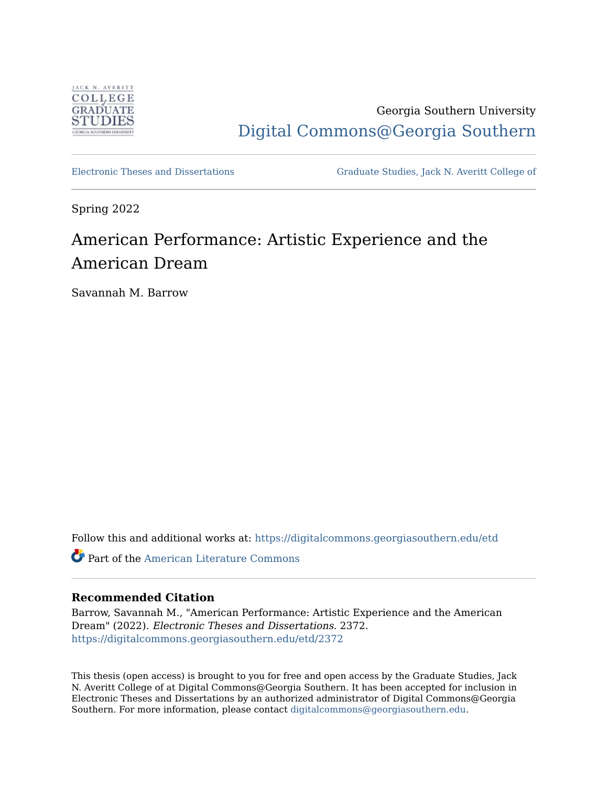

Georgia Southern University [Digital Commons@Georgia Southern](https://digitalcommons.georgiasouthern.edu/) 

[Electronic Theses and Dissertations](https://digitalcommons.georgiasouthern.edu/etd) [Graduate Studies, Jack N. Averitt College of](https://digitalcommons.georgiasouthern.edu/cogs) 

Spring 2022

# American Performance: Artistic Experience and the American Dream

Savannah M. Barrow

Follow this and additional works at: [https://digitalcommons.georgiasouthern.edu/etd](https://digitalcommons.georgiasouthern.edu/etd?utm_source=digitalcommons.georgiasouthern.edu%2Fetd%2F2372&utm_medium=PDF&utm_campaign=PDFCoverPages) 

Part of the [American Literature Commons](http://network.bepress.com/hgg/discipline/441?utm_source=digitalcommons.georgiasouthern.edu%2Fetd%2F2372&utm_medium=PDF&utm_campaign=PDFCoverPages)

### **Recommended Citation**

Barrow, Savannah M., "American Performance: Artistic Experience and the American Dream" (2022). Electronic Theses and Dissertations. 2372. [https://digitalcommons.georgiasouthern.edu/etd/2372](https://digitalcommons.georgiasouthern.edu/etd/2372?utm_source=digitalcommons.georgiasouthern.edu%2Fetd%2F2372&utm_medium=PDF&utm_campaign=PDFCoverPages) 

This thesis (open access) is brought to you for free and open access by the Graduate Studies, Jack N. Averitt College of at Digital Commons@Georgia Southern. It has been accepted for inclusion in Electronic Theses and Dissertations by an authorized administrator of Digital Commons@Georgia Southern. For more information, please contact [digitalcommons@georgiasouthern.edu](mailto:digitalcommons@georgiasouthern.edu).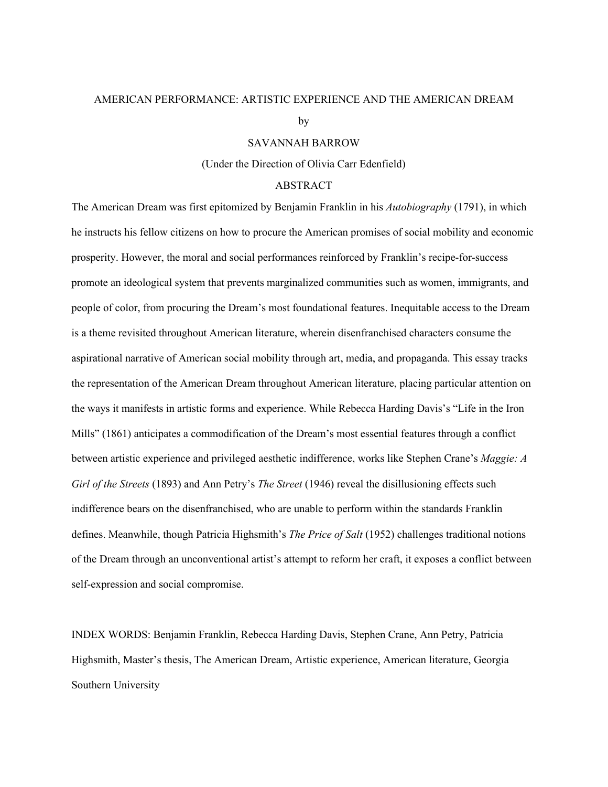## AMERICAN PERFORMANCE: ARTISTIC EXPERIENCE AND THE AMERICAN DREAM

by

#### SAVANNAH BARROW

(Under the Direction of Olivia Carr Edenfield)

#### ABSTRACT

The American Dream was first epitomized by Benjamin Franklin in his *Autobiography* (1791), in which he instructs his fellow citizens on how to procure the American promises of social mobility and economic prosperity. However, the moral and social performances reinforced by Franklin's recipe-for-success promote an ideological system that prevents marginalized communities such as women, immigrants, and people of color, from procuring the Dream's most foundational features. Inequitable access to the Dream is a theme revisited throughout American literature, wherein disenfranchised characters consume the aspirational narrative of American social mobility through art, media, and propaganda. This essay tracks the representation of the American Dream throughout American literature, placing particular attention on the ways it manifests in artistic forms and experience. While Rebecca Harding Davis's "Life in the Iron Mills" (1861) anticipates a commodification of the Dream's most essential features through a conflict between artistic experience and privileged aesthetic indifference, works like Stephen Crane's *Maggie: A Girl of the Streets* (1893) and Ann Petry's *The Street* (1946) reveal the disillusioning effects such indifference bears on the disenfranchised, who are unable to perform within the standards Franklin defines. Meanwhile, though Patricia Highsmith's *The Price of Salt* (1952) challenges traditional notions of the Dream through an unconventional artist's attempt to reform her craft, it exposes a conflict between self-expression and social compromise.

INDEX WORDS: Benjamin Franklin, Rebecca Harding Davis, Stephen Crane, Ann Petry, Patricia Highsmith, Master's thesis, The American Dream, Artistic experience, American literature, Georgia Southern University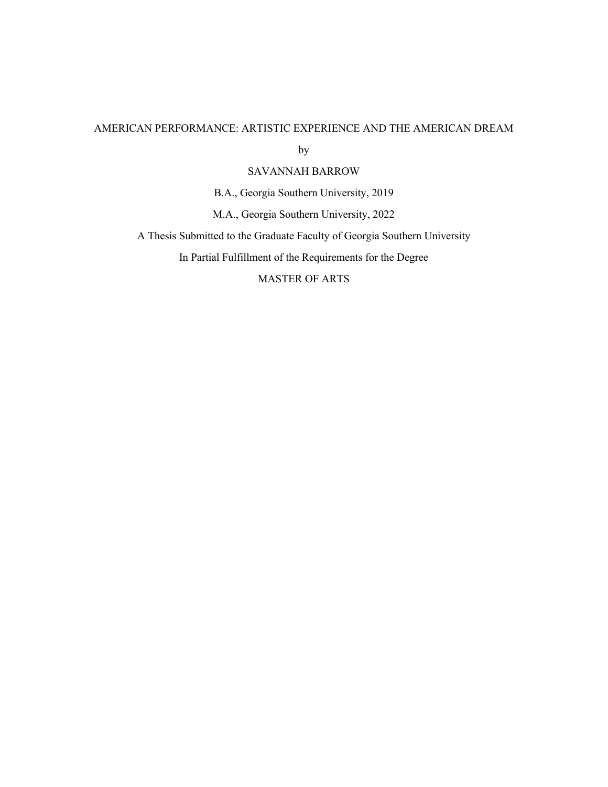## AMERICAN PERFORMANCE: ARTISTIC EXPERIENCE AND THE AMERICAN DREAM

by

SAVANNAH BARROW

B.A., Georgia Southern University, 2019

M.A., Georgia Southern University, 2022

A Thesis Submitted to the Graduate Faculty of Georgia Southern University

In Partial Fulfillment of the Requirements for the Degree

MASTER OF ARTS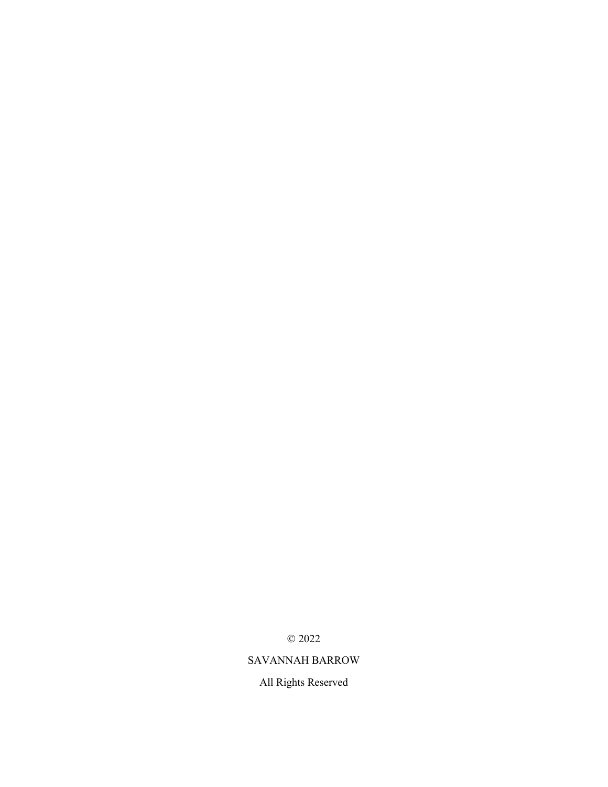$\odot$  2022

## SAVANNAH BARROW

All Rights Reserved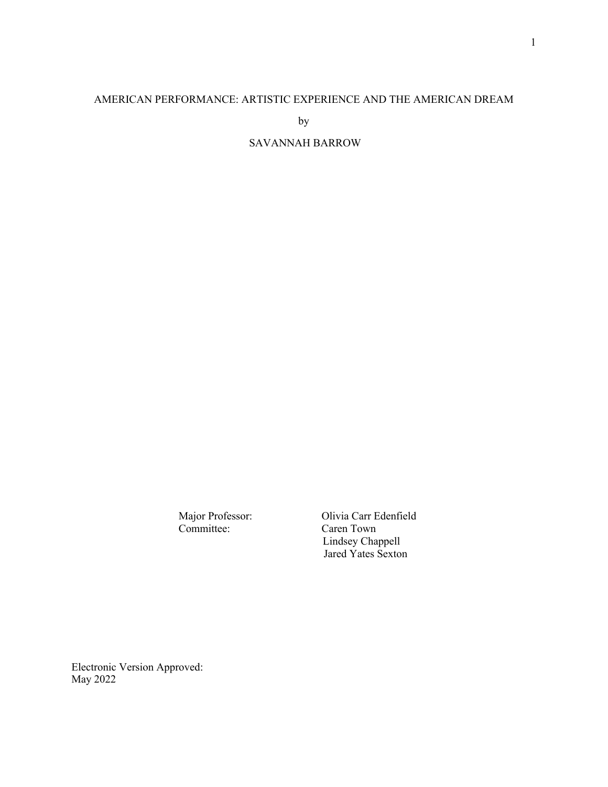## AMERICAN PERFORMANCE: ARTISTIC EXPERIENCE AND THE AMERICAN DREAM

by

### SAVANNAH BARROW

Major Professor: Olivia Carr Edenfield<br>
Committee: Caren Town Caren Town Lindsey Chappell Jared Yates Sexton

Electronic Version Approved: May 2022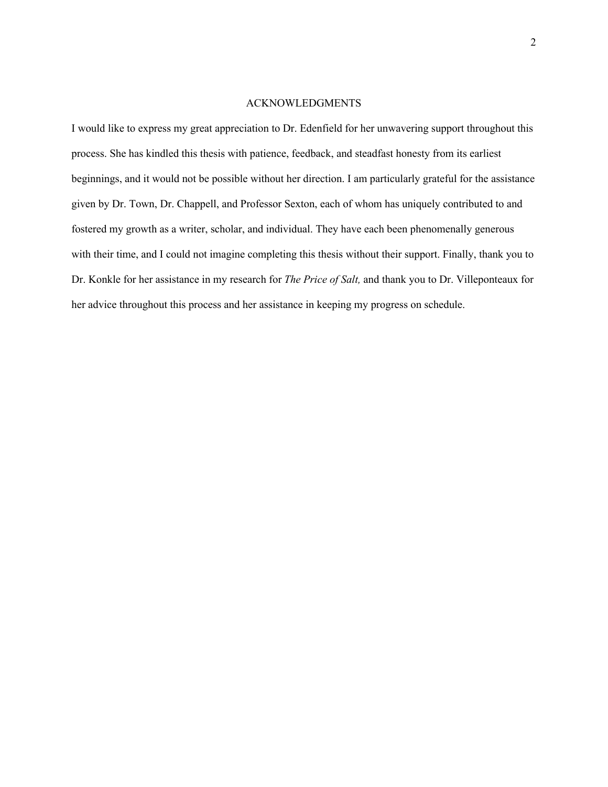#### ACKNOWLEDGMENTS

I would like to express my great appreciation to Dr. Edenfield for her unwavering support throughout this process. She has kindled this thesis with patience, feedback, and steadfast honesty from its earliest beginnings, and it would not be possible without her direction. I am particularly grateful for the assistance given by Dr. Town, Dr. Chappell, and Professor Sexton, each of whom has uniquely contributed to and fostered my growth as a writer, scholar, and individual. They have each been phenomenally generous with their time, and I could not imagine completing this thesis without their support. Finally, thank you to Dr. Konkle for her assistance in my research for *The Price of Salt,* and thank you to Dr. Villeponteaux for her advice throughout this process and her assistance in keeping my progress on schedule.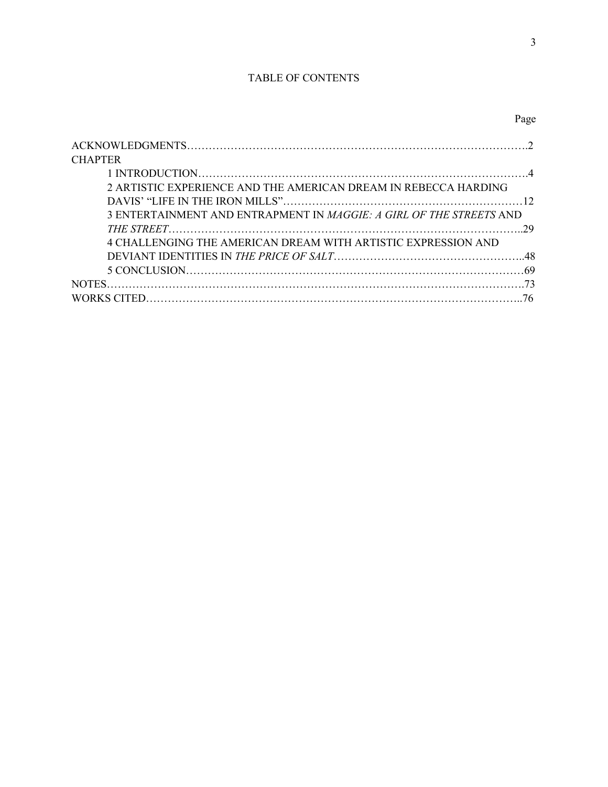### TABLE OF CONTENTS

3

| <b>CHAPTER</b>                                                             |  |
|----------------------------------------------------------------------------|--|
|                                                                            |  |
| 2 ARTISTIC EXPERIENCE AND THE AMERICAN DREAM IN REBECCA HARDING            |  |
|                                                                            |  |
| 3 ENTERTAINMENT AND ENTRAPMENT IN <i>MAGGIE: A GIRL OF THE STREETS</i> AND |  |
|                                                                            |  |
| 4 CHALLENGING THE AMERICAN DREAM WITH ARTISTIC EXPRESSION AND              |  |
|                                                                            |  |
|                                                                            |  |
|                                                                            |  |
|                                                                            |  |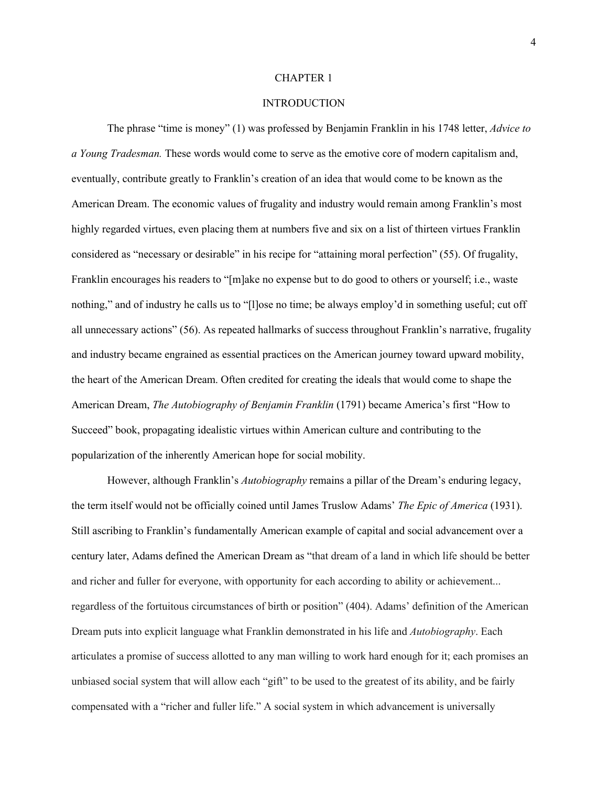#### CHAPTER 1

#### **INTRODUCTION**

The phrase "time is money" (1) was professed by Benjamin Franklin in his 1748 letter, *Advice to a Young Tradesman.* These words would come to serve as the emotive core of modern capitalism and, eventually, contribute greatly to Franklin's creation of an idea that would come to be known as the American Dream. The economic values of frugality and industry would remain among Franklin's most highly regarded virtues, even placing them at numbers five and six on a list of thirteen virtues Franklin considered as "necessary or desirable" in his recipe for "attaining moral perfection" (55). Of frugality, Franklin encourages his readers to "[m]ake no expense but to do good to others or yourself; i.e., waste nothing," and of industry he calls us to "[l]ose no time; be always employ'd in something useful; cut off all unnecessary actions" (56). As repeated hallmarks of success throughout Franklin's narrative, frugality and industry became engrained as essential practices on the American journey toward upward mobility, the heart of the American Dream. Often credited for creating the ideals that would come to shape the American Dream, *The Autobiography of Benjamin Franklin* (1791) became America's first "How to Succeed" book, propagating idealistic virtues within American culture and contributing to the popularization of the inherently American hope for social mobility.

However, although Franklin's *Autobiography* remains a pillar of the Dream's enduring legacy, the term itself would not be officially coined until James Truslow Adams' *The Epic of America* (1931). Still ascribing to Franklin's fundamentally American example of capital and social advancement over a century later, Adams defined the American Dream as "that dream of a land in which life should be better and richer and fuller for everyone, with opportunity for each according to ability or achievement... regardless of the fortuitous circumstances of birth or position" (404). Adams' definition of the American Dream puts into explicit language what Franklin demonstrated in his life and *Autobiography*. Each articulates a promise of success allotted to any man willing to work hard enough for it; each promises an unbiased social system that will allow each "gift" to be used to the greatest of its ability, and be fairly compensated with a "richer and fuller life." A social system in which advancement is universally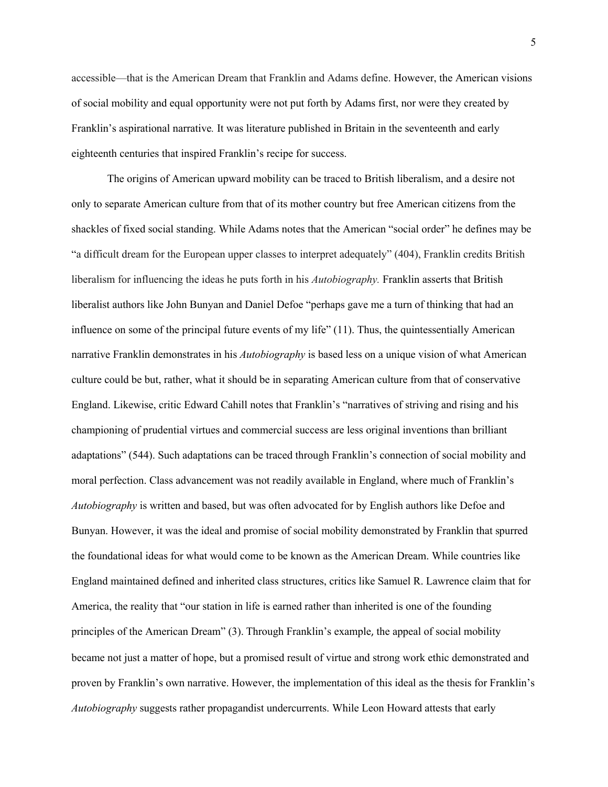accessible—that is the American Dream that Franklin and Adams define. However, the American visions of social mobility and equal opportunity were not put forth by Adams first, nor were they created by Franklin's aspirational narrative*.* It was literature published in Britain in the seventeenth and early eighteenth centuries that inspired Franklin's recipe for success.

The origins of American upward mobility can be traced to British liberalism, and a desire not only to separate American culture from that of its mother country but free American citizens from the shackles of fixed social standing. While Adams notes that the American "social order" he defines may be "a difficult dream for the European upper classes to interpret adequately" (404), Franklin credits British liberalism for influencing the ideas he puts forth in his *Autobiography.* Franklin asserts that British liberalist authors like John Bunyan and Daniel Defoe "perhaps gave me a turn of thinking that had an influence on some of the principal future events of my life" (11). Thus, the quintessentially American narrative Franklin demonstrates in his *Autobiography* is based less on a unique vision of what American culture could be but, rather, what it should be in separating American culture from that of conservative England. Likewise, critic Edward Cahill notes that Franklin's "narratives of striving and rising and his championing of prudential virtues and commercial success are less original inventions than brilliant adaptations" (544). Such adaptations can be traced through Franklin's connection of social mobility and moral perfection. Class advancement was not readily available in England, where much of Franklin's *Autobiography* is written and based, but was often advocated for by English authors like Defoe and Bunyan. However, it was the ideal and promise of social mobility demonstrated by Franklin that spurred the foundational ideas for what would come to be known as the American Dream. While countries like England maintained defined and inherited class structures, critics like Samuel R. Lawrence claim that for America, the reality that "our station in life is earned rather than inherited is one of the founding principles of the American Dream" (3). Through Franklin's example, the appeal of social mobility became not just a matter of hope, but a promised result of virtue and strong work ethic demonstrated and proven by Franklin's own narrative. However, the implementation of this ideal as the thesis for Franklin's *Autobiography* suggests rather propagandist undercurrents. While Leon Howard attests that early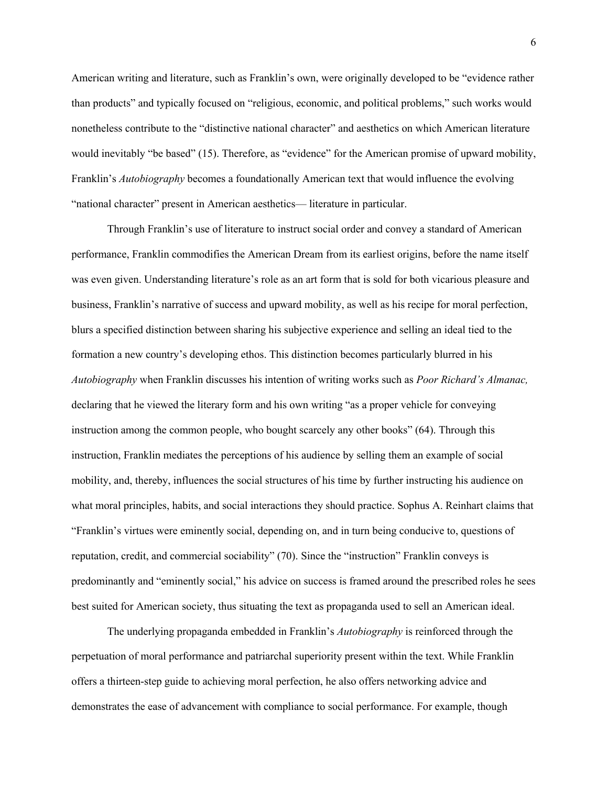American writing and literature, such as Franklin's own, were originally developed to be "evidence rather than products" and typically focused on "religious, economic, and political problems," such works would nonetheless contribute to the "distinctive national character" and aesthetics on which American literature would inevitably "be based" (15). Therefore, as "evidence" for the American promise of upward mobility, Franklin's *Autobiography* becomes a foundationally American text that would influence the evolving "national character" present in American aesthetics— literature in particular.

Through Franklin's use of literature to instruct social order and convey a standard of American performance, Franklin commodifies the American Dream from its earliest origins, before the name itself was even given. Understanding literature's role as an art form that is sold for both vicarious pleasure and business, Franklin's narrative of success and upward mobility, as well as his recipe for moral perfection, blurs a specified distinction between sharing his subjective experience and selling an ideal tied to the formation a new country's developing ethos. This distinction becomes particularly blurred in his *Autobiography* when Franklin discusses his intention of writing works such as *Poor Richard's Almanac,*  declaring that he viewed the literary form and his own writing "as a proper vehicle for conveying instruction among the common people, who bought scarcely any other books" (64). Through this instruction, Franklin mediates the perceptions of his audience by selling them an example of social mobility, and, thereby, influences the social structures of his time by further instructing his audience on what moral principles, habits, and social interactions they should practice. Sophus A. Reinhart claims that "Franklin's virtues were eminently social, depending on, and in turn being conducive to, questions of reputation, credit, and commercial sociability" (70). Since the "instruction" Franklin conveys is predominantly and "eminently social," his advice on success is framed around the prescribed roles he sees best suited for American society, thus situating the text as propaganda used to sell an American ideal.

The underlying propaganda embedded in Franklin's *Autobiography* is reinforced through the perpetuation of moral performance and patriarchal superiority present within the text. While Franklin offers a thirteen-step guide to achieving moral perfection, he also offers networking advice and demonstrates the ease of advancement with compliance to social performance. For example, though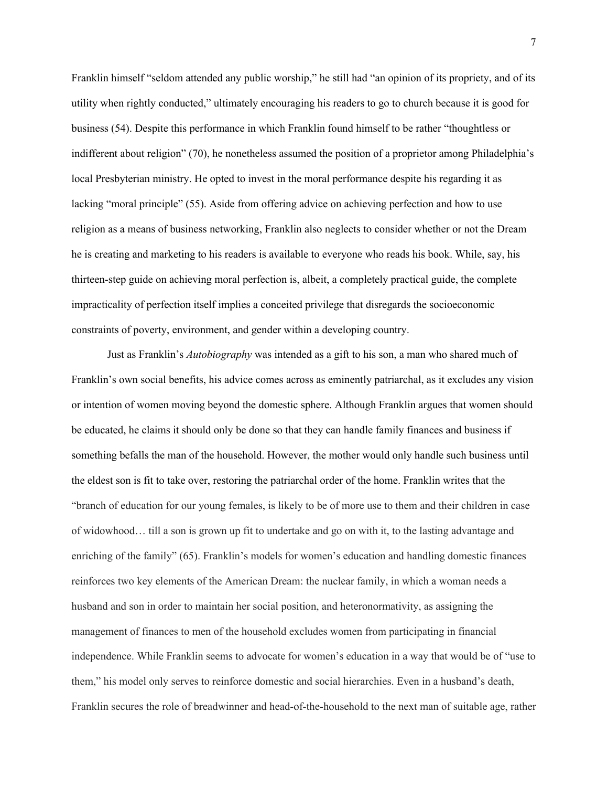Franklin himself "seldom attended any public worship," he still had "an opinion of its propriety, and of its utility when rightly conducted," ultimately encouraging his readers to go to church because it is good for business (54). Despite this performance in which Franklin found himself to be rather "thoughtless or indifferent about religion" (70), he nonetheless assumed the position of a proprietor among Philadelphia's local Presbyterian ministry. He opted to invest in the moral performance despite his regarding it as lacking "moral principle" (55). Aside from offering advice on achieving perfection and how to use religion as a means of business networking, Franklin also neglects to consider whether or not the Dream he is creating and marketing to his readers is available to everyone who reads his book. While, say, his thirteen-step guide on achieving moral perfection is, albeit, a completely practical guide, the complete impracticality of perfection itself implies a conceited privilege that disregards the socioeconomic constraints of poverty, environment, and gender within a developing country.

Just as Franklin's *Autobiography* was intended as a gift to his son, a man who shared much of Franklin's own social benefits, his advice comes across as eminently patriarchal, as it excludes any vision or intention of women moving beyond the domestic sphere. Although Franklin argues that women should be educated, he claims it should only be done so that they can handle family finances and business if something befalls the man of the household. However, the mother would only handle such business until the eldest son is fit to take over, restoring the patriarchal order of the home. Franklin writes that the "branch of education for our young females, is likely to be of more use to them and their children in case of widowhood… till a son is grown up fit to undertake and go on with it, to the lasting advantage and enriching of the family" (65). Franklin's models for women's education and handling domestic finances reinforces two key elements of the American Dream: the nuclear family, in which a woman needs a husband and son in order to maintain her social position, and heteronormativity, as assigning the management of finances to men of the household excludes women from participating in financial independence. While Franklin seems to advocate for women's education in a way that would be of "use to them," his model only serves to reinforce domestic and social hierarchies. Even in a husband's death, Franklin secures the role of breadwinner and head-of-the-household to the next man of suitable age, rather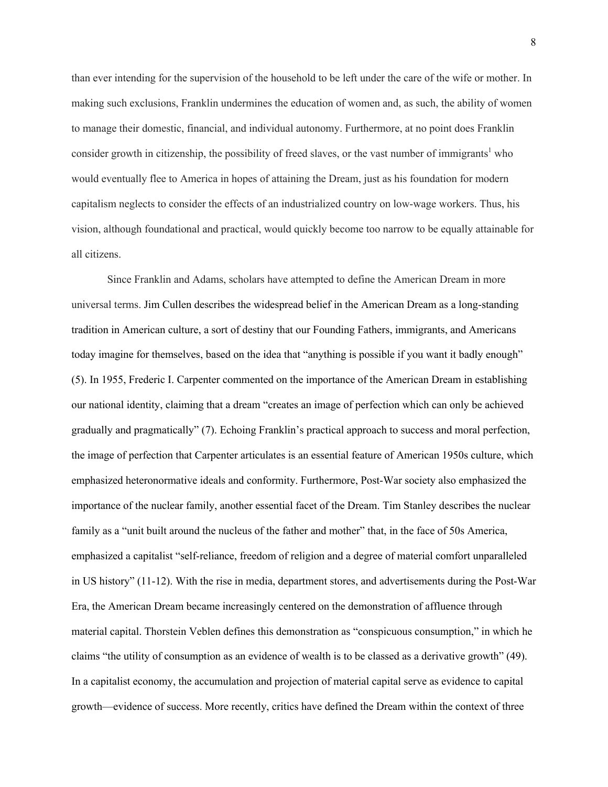than ever intending for the supervision of the household to be left under the care of the wife or mother. In making such exclusions, Franklin undermines the education of women and, as such, the ability of women to manage their domestic, financial, and individual autonomy. Furthermore, at no point does Franklin consider growth in citizenship, the possibility of freed slaves, or the vast number of immigrants<sup>1</sup> who would eventually flee to America in hopes of attaining the Dream, just as his foundation for modern capitalism neglects to consider the effects of an industrialized country on low-wage workers. Thus, his vision, although foundational and practical, would quickly become too narrow to be equally attainable for all citizens.

Since Franklin and Adams, scholars have attempted to define the American Dream in more universal terms. Jim Cullen describes the widespread belief in the American Dream as a long-standing tradition in American culture, a sort of destiny that our Founding Fathers, immigrants, and Americans today imagine for themselves, based on the idea that "anything is possible if you want it badly enough" (5). In 1955, Frederic I. Carpenter commented on the importance of the American Dream in establishing our national identity, claiming that a dream "creates an image of perfection which can only be achieved gradually and pragmatically" (7). Echoing Franklin's practical approach to success and moral perfection, the image of perfection that Carpenter articulates is an essential feature of American 1950s culture, which emphasized heteronormative ideals and conformity. Furthermore, Post-War society also emphasized the importance of the nuclear family, another essential facet of the Dream. Tim Stanley describes the nuclear family as a "unit built around the nucleus of the father and mother" that, in the face of 50s America, emphasized a capitalist "self-reliance, freedom of religion and a degree of material comfort unparalleled in US history" (11-12). With the rise in media, department stores, and advertisements during the Post-War Era, the American Dream became increasingly centered on the demonstration of affluence through material capital. Thorstein Veblen defines this demonstration as "conspicuous consumption," in which he claims "the utility of consumption as an evidence of wealth is to be classed as a derivative growth" (49). In a capitalist economy, the accumulation and projection of material capital serve as evidence to capital growth—evidence of success. More recently, critics have defined the Dream within the context of three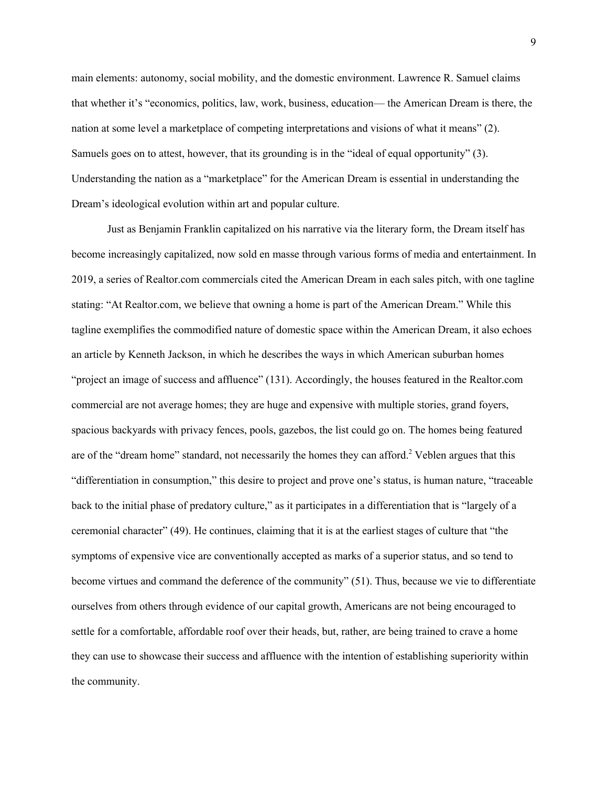main elements: autonomy, social mobility, and the domestic environment. Lawrence R. Samuel claims that whether it's "economics, politics, law, work, business, education— the American Dream is there, the nation at some level a marketplace of competing interpretations and visions of what it means" (2). Samuels goes on to attest, however, that its grounding is in the "ideal of equal opportunity" (3). Understanding the nation as a "marketplace" for the American Dream is essential in understanding the Dream's ideological evolution within art and popular culture.

Just as Benjamin Franklin capitalized on his narrative via the literary form, the Dream itself has become increasingly capitalized, now sold en masse through various forms of media and entertainment. In 2019, a series of Realtor.com commercials cited the American Dream in each sales pitch, with one tagline stating: "At Realtor.com, we believe that owning a home is part of the American Dream." While this tagline exemplifies the commodified nature of domestic space within the American Dream, it also echoes an article by Kenneth Jackson, in which he describes the ways in which American suburban homes "project an image of success and affluence" (131). Accordingly, the houses featured in the Realtor.com commercial are not average homes; they are huge and expensive with multiple stories, grand foyers, spacious backyards with privacy fences, pools, gazebos, the list could go on. The homes being featured are of the "dream home" standard, not necessarily the homes they can afford.<sup>2</sup> Veblen argues that this "differentiation in consumption," this desire to project and prove one's status, is human nature, "traceable back to the initial phase of predatory culture," as it participates in a differentiation that is "largely of a ceremonial character" (49). He continues, claiming that it is at the earliest stages of culture that "the symptoms of expensive vice are conventionally accepted as marks of a superior status, and so tend to become virtues and command the deference of the community" (51). Thus, because we vie to differentiate ourselves from others through evidence of our capital growth, Americans are not being encouraged to settle for a comfortable, affordable roof over their heads, but, rather, are being trained to crave a home they can use to showcase their success and affluence with the intention of establishing superiority within the community.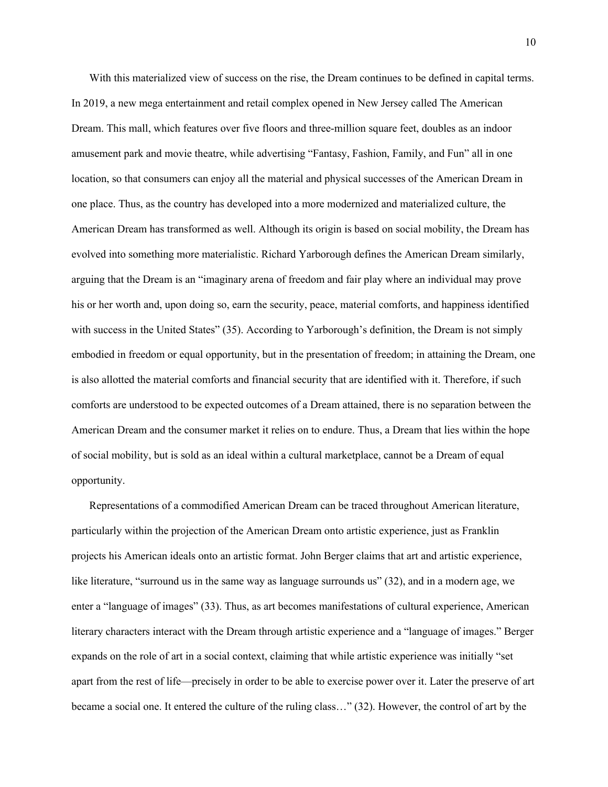With this materialized view of success on the rise, the Dream continues to be defined in capital terms. In 2019, a new mega entertainment and retail complex opened in New Jersey called The American Dream. This mall, which features over five floors and three-million square feet, doubles as an indoor amusement park and movie theatre, while advertising "Fantasy, Fashion, Family, and Fun" all in one location, so that consumers can enjoy all the material and physical successes of the American Dream in one place. Thus, as the country has developed into a more modernized and materialized culture, the American Dream has transformed as well. Although its origin is based on social mobility, the Dream has evolved into something more materialistic. Richard Yarborough defines the American Dream similarly, arguing that the Dream is an "imaginary arena of freedom and fair play where an individual may prove his or her worth and, upon doing so, earn the security, peace, material comforts, and happiness identified with success in the United States" (35). According to Yarborough's definition, the Dream is not simply embodied in freedom or equal opportunity, but in the presentation of freedom; in attaining the Dream, one is also allotted the material comforts and financial security that are identified with it. Therefore, if such comforts are understood to be expected outcomes of a Dream attained, there is no separation between the American Dream and the consumer market it relies on to endure. Thus, a Dream that lies within the hope of social mobility, but is sold as an ideal within a cultural marketplace, cannot be a Dream of equal opportunity.

Representations of a commodified American Dream can be traced throughout American literature, particularly within the projection of the American Dream onto artistic experience, just as Franklin projects his American ideals onto an artistic format. John Berger claims that art and artistic experience, like literature, "surround us in the same way as language surrounds us" (32), and in a modern age, we enter a "language of images" (33). Thus, as art becomes manifestations of cultural experience, American literary characters interact with the Dream through artistic experience and a "language of images." Berger expands on the role of art in a social context, claiming that while artistic experience was initially "set apart from the rest of life—precisely in order to be able to exercise power over it. Later the preserve of art became a social one. It entered the culture of the ruling class…" (32). However, the control of art by the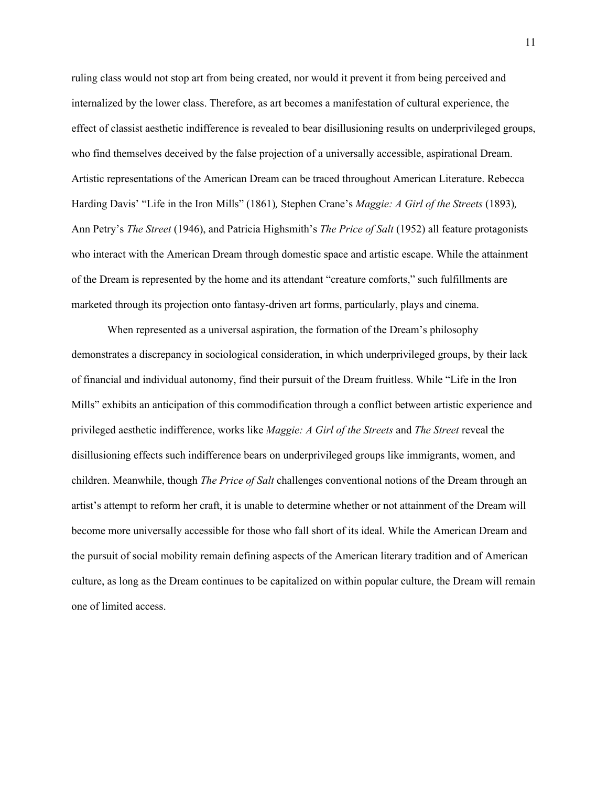ruling class would not stop art from being created, nor would it prevent it from being perceived and internalized by the lower class. Therefore, as art becomes a manifestation of cultural experience, the effect of classist aesthetic indifference is revealed to bear disillusioning results on underprivileged groups, who find themselves deceived by the false projection of a universally accessible, aspirational Dream. Artistic representations of the American Dream can be traced throughout American Literature. Rebecca Harding Davis' "Life in the Iron Mills" (1861)*,* Stephen Crane's *Maggie: A Girl of the Streets* (1893)*,*  Ann Petry's *The Street* (1946), and Patricia Highsmith's *The Price of Salt* (1952) all feature protagonists who interact with the American Dream through domestic space and artistic escape. While the attainment of the Dream is represented by the home and its attendant "creature comforts," such fulfillments are marketed through its projection onto fantasy-driven art forms, particularly, plays and cinema.

When represented as a universal aspiration, the formation of the Dream's philosophy demonstrates a discrepancy in sociological consideration, in which underprivileged groups, by their lack of financial and individual autonomy, find their pursuit of the Dream fruitless. While "Life in the Iron Mills" exhibits an anticipation of this commodification through a conflict between artistic experience and privileged aesthetic indifference, works like *Maggie: A Girl of the Streets* and *The Street* reveal the disillusioning effects such indifference bears on underprivileged groups like immigrants, women, and children. Meanwhile, though *The Price of Salt* challenges conventional notions of the Dream through an artist's attempt to reform her craft, it is unable to determine whether or not attainment of the Dream will become more universally accessible for those who fall short of its ideal. While the American Dream and the pursuit of social mobility remain defining aspects of the American literary tradition and of American culture, as long as the Dream continues to be capitalized on within popular culture, the Dream will remain one of limited access.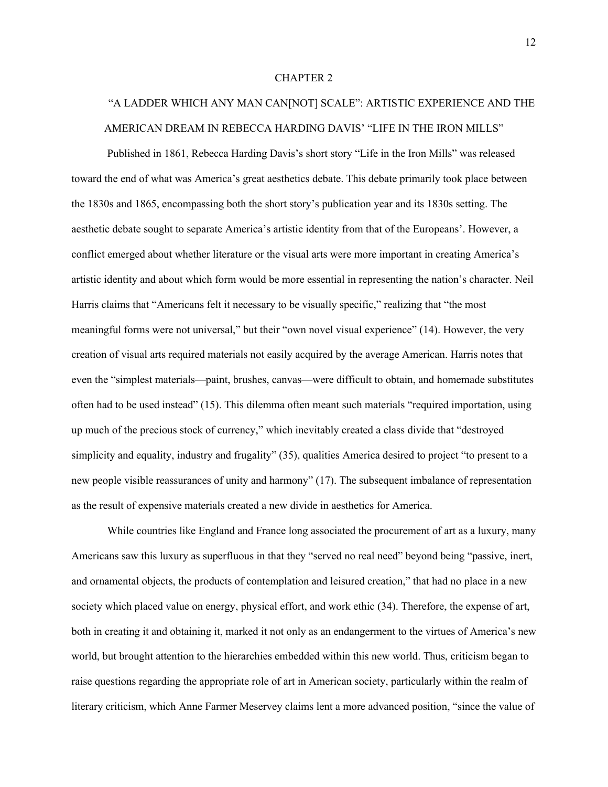#### CHAPTER 2

## "A LADDER WHICH ANY MAN CAN[NOT] SCALE": ARTISTIC EXPERIENCE AND THE AMERICAN DREAM IN REBECCA HARDING DAVIS' "LIFE IN THE IRON MILLS"

Published in 1861, Rebecca Harding Davis's short story "Life in the Iron Mills" was released toward the end of what was America's great aesthetics debate. This debate primarily took place between the 1830s and 1865, encompassing both the short story's publication year and its 1830s setting. The aesthetic debate sought to separate America's artistic identity from that of the Europeans'. However, a conflict emerged about whether literature or the visual arts were more important in creating America's artistic identity and about which form would be more essential in representing the nation's character. Neil Harris claims that "Americans felt it necessary to be visually specific," realizing that "the most meaningful forms were not universal," but their "own novel visual experience" (14). However, the very creation of visual arts required materials not easily acquired by the average American. Harris notes that even the "simplest materials—paint, brushes, canvas—were difficult to obtain, and homemade substitutes often had to be used instead" (15). This dilemma often meant such materials "required importation, using up much of the precious stock of currency," which inevitably created a class divide that "destroyed simplicity and equality, industry and frugality" (35), qualities America desired to project "to present to a new people visible reassurances of unity and harmony" (17). The subsequent imbalance of representation as the result of expensive materials created a new divide in aesthetics for America.

While countries like England and France long associated the procurement of art as a luxury, many Americans saw this luxury as superfluous in that they "served no real need" beyond being "passive, inert, and ornamental objects, the products of contemplation and leisured creation," that had no place in a new society which placed value on energy, physical effort, and work ethic (34). Therefore, the expense of art, both in creating it and obtaining it, marked it not only as an endangerment to the virtues of America's new world, but brought attention to the hierarchies embedded within this new world. Thus, criticism began to raise questions regarding the appropriate role of art in American society, particularly within the realm of literary criticism, which Anne Farmer Meservey claims lent a more advanced position, "since the value of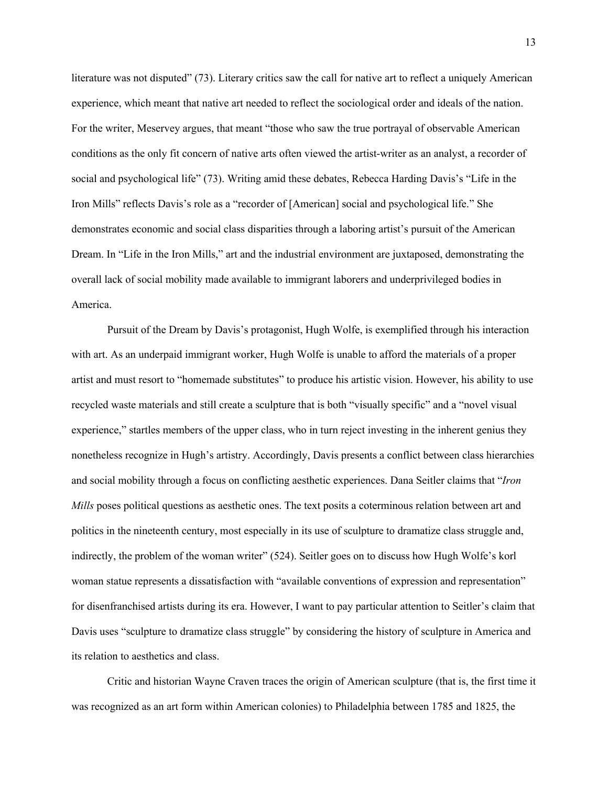literature was not disputed" (73). Literary critics saw the call for native art to reflect a uniquely American experience, which meant that native art needed to reflect the sociological order and ideals of the nation. For the writer, Meservey argues, that meant "those who saw the true portrayal of observable American conditions as the only fit concern of native arts often viewed the artist-writer as an analyst, a recorder of social and psychological life" (73). Writing amid these debates, Rebecca Harding Davis's "Life in the Iron Mills" reflects Davis's role as a "recorder of [American] social and psychological life." She demonstrates economic and social class disparities through a laboring artist's pursuit of the American Dream. In "Life in the Iron Mills," art and the industrial environment are juxtaposed, demonstrating the overall lack of social mobility made available to immigrant laborers and underprivileged bodies in America.

Pursuit of the Dream by Davis's protagonist, Hugh Wolfe, is exemplified through his interaction with art. As an underpaid immigrant worker, Hugh Wolfe is unable to afford the materials of a proper artist and must resort to "homemade substitutes" to produce his artistic vision. However, his ability to use recycled waste materials and still create a sculpture that is both "visually specific" and a "novel visual experience," startles members of the upper class, who in turn reject investing in the inherent genius they nonetheless recognize in Hugh's artistry. Accordingly, Davis presents a conflict between class hierarchies and social mobility through a focus on conflicting aesthetic experiences. Dana Seitler claims that "*Iron Mills* poses political questions as aesthetic ones. The text posits a coterminous relation between art and politics in the nineteenth century, most especially in its use of sculpture to dramatize class struggle and, indirectly, the problem of the woman writer" (524). Seitler goes on to discuss how Hugh Wolfe's korl woman statue represents a dissatisfaction with "available conventions of expression and representation" for disenfranchised artists during its era. However, I want to pay particular attention to Seitler's claim that Davis uses "sculpture to dramatize class struggle" by considering the history of sculpture in America and its relation to aesthetics and class.

Critic and historian Wayne Craven traces the origin of American sculpture (that is, the first time it was recognized as an art form within American colonies) to Philadelphia between 1785 and 1825, the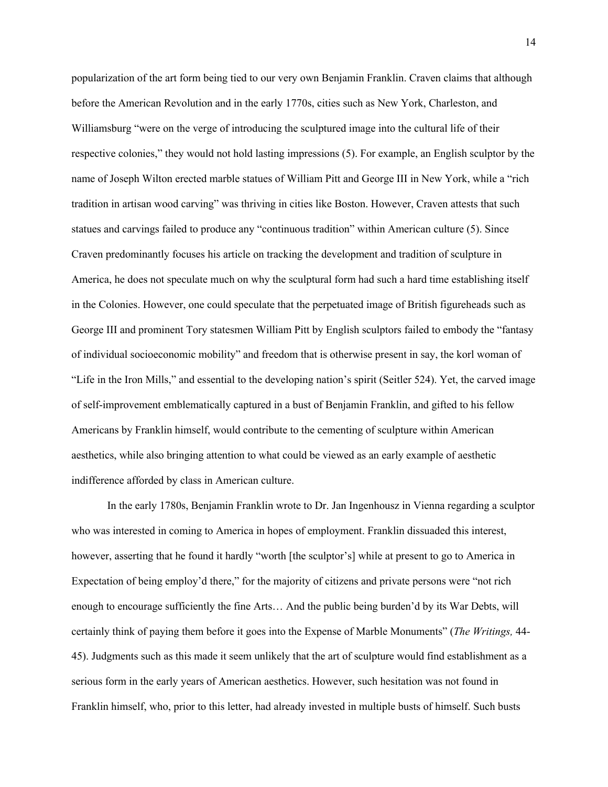popularization of the art form being tied to our very own Benjamin Franklin. Craven claims that although before the American Revolution and in the early 1770s, cities such as New York, Charleston, and Williamsburg "were on the verge of introducing the sculptured image into the cultural life of their respective colonies," they would not hold lasting impressions (5). For example, an English sculptor by the name of Joseph Wilton erected marble statues of William Pitt and George III in New York, while a "rich tradition in artisan wood carving" was thriving in cities like Boston. However, Craven attests that such statues and carvings failed to produce any "continuous tradition" within American culture (5). Since Craven predominantly focuses his article on tracking the development and tradition of sculpture in America, he does not speculate much on why the sculptural form had such a hard time establishing itself in the Colonies. However, one could speculate that the perpetuated image of British figureheads such as George III and prominent Tory statesmen William Pitt by English sculptors failed to embody the "fantasy of individual socioeconomic mobility" and freedom that is otherwise present in say, the korl woman of "Life in the Iron Mills," and essential to the developing nation's spirit (Seitler 524). Yet, the carved image of self-improvement emblematically captured in a bust of Benjamin Franklin, and gifted to his fellow Americans by Franklin himself, would contribute to the cementing of sculpture within American aesthetics, while also bringing attention to what could be viewed as an early example of aesthetic indifference afforded by class in American culture.

In the early 1780s, Benjamin Franklin wrote to Dr. Jan Ingenhousz in Vienna regarding a sculptor who was interested in coming to America in hopes of employment. Franklin dissuaded this interest, however, asserting that he found it hardly "worth [the sculptor's] while at present to go to America in Expectation of being employ'd there," for the majority of citizens and private persons were "not rich enough to encourage sufficiently the fine Arts… And the public being burden'd by its War Debts, will certainly think of paying them before it goes into the Expense of Marble Monuments" (*The Writings,* 44- 45). Judgments such as this made it seem unlikely that the art of sculpture would find establishment as a serious form in the early years of American aesthetics. However, such hesitation was not found in Franklin himself, who, prior to this letter, had already invested in multiple busts of himself. Such busts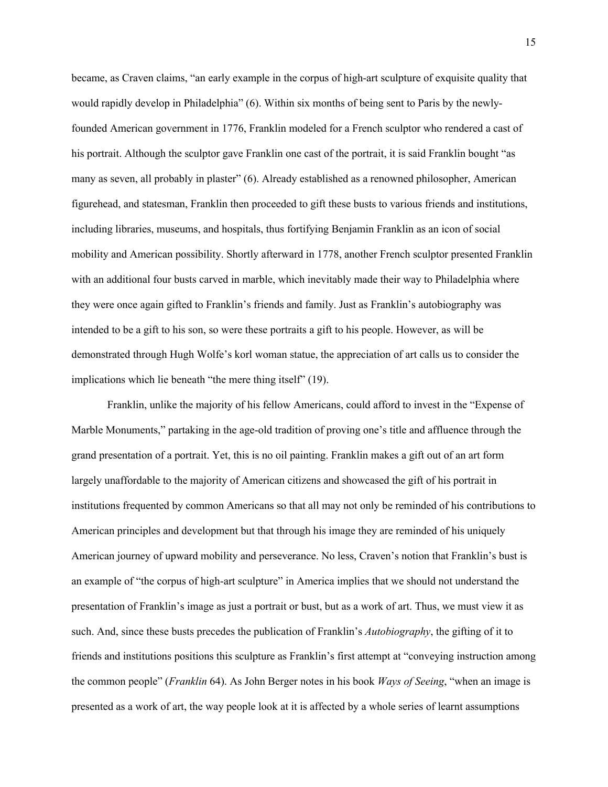became, as Craven claims, "an early example in the corpus of high-art sculpture of exquisite quality that would rapidly develop in Philadelphia" (6). Within six months of being sent to Paris by the newlyfounded American government in 1776, Franklin modeled for a French sculptor who rendered a cast of his portrait. Although the sculptor gave Franklin one cast of the portrait, it is said Franklin bought "as many as seven, all probably in plaster" (6). Already established as a renowned philosopher, American figurehead, and statesman, Franklin then proceeded to gift these busts to various friends and institutions, including libraries, museums, and hospitals, thus fortifying Benjamin Franklin as an icon of social mobility and American possibility. Shortly afterward in 1778, another French sculptor presented Franklin with an additional four busts carved in marble, which inevitably made their way to Philadelphia where they were once again gifted to Franklin's friends and family. Just as Franklin's autobiography was intended to be a gift to his son, so were these portraits a gift to his people. However, as will be demonstrated through Hugh Wolfe's korl woman statue, the appreciation of art calls us to consider the implications which lie beneath "the mere thing itself" (19).

Franklin, unlike the majority of his fellow Americans, could afford to invest in the "Expense of Marble Monuments," partaking in the age-old tradition of proving one's title and affluence through the grand presentation of a portrait. Yet, this is no oil painting. Franklin makes a gift out of an art form largely unaffordable to the majority of American citizens and showcased the gift of his portrait in institutions frequented by common Americans so that all may not only be reminded of his contributions to American principles and development but that through his image they are reminded of his uniquely American journey of upward mobility and perseverance. No less, Craven's notion that Franklin's bust is an example of "the corpus of high-art sculpture" in America implies that we should not understand the presentation of Franklin's image as just a portrait or bust, but as a work of art. Thus, we must view it as such. And, since these busts precedes the publication of Franklin's *Autobiography*, the gifting of it to friends and institutions positions this sculpture as Franklin's first attempt at "conveying instruction among the common people" (*Franklin* 64). As John Berger notes in his book *Ways of Seeing*, "when an image is presented as a work of art, the way people look at it is affected by a whole series of learnt assumptions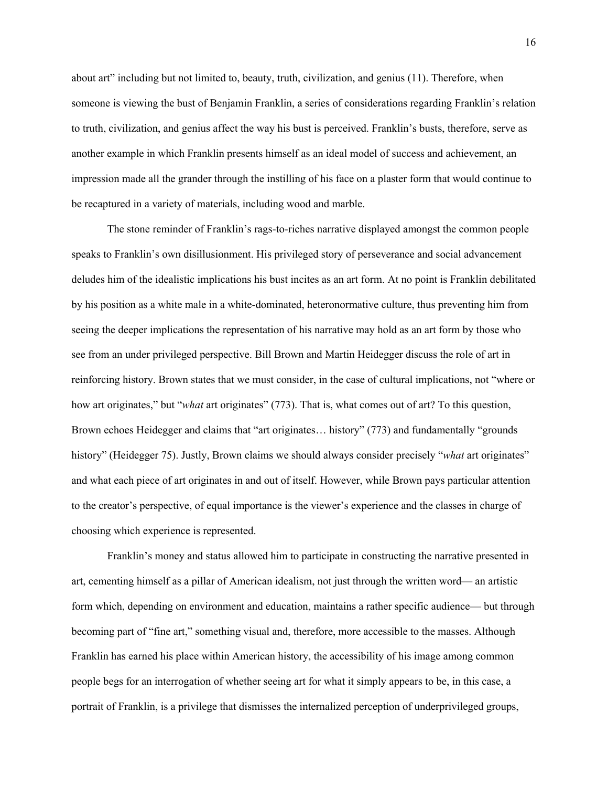about art" including but not limited to, beauty, truth, civilization, and genius (11). Therefore, when someone is viewing the bust of Benjamin Franklin, a series of considerations regarding Franklin's relation to truth, civilization, and genius affect the way his bust is perceived. Franklin's busts, therefore, serve as another example in which Franklin presents himself as an ideal model of success and achievement, an impression made all the grander through the instilling of his face on a plaster form that would continue to be recaptured in a variety of materials, including wood and marble.

The stone reminder of Franklin's rags-to-riches narrative displayed amongst the common people speaks to Franklin's own disillusionment. His privileged story of perseverance and social advancement deludes him of the idealistic implications his bust incites as an art form. At no point is Franklin debilitated by his position as a white male in a white-dominated, heteronormative culture, thus preventing him from seeing the deeper implications the representation of his narrative may hold as an art form by those who see from an under privileged perspective. Bill Brown and Martin Heidegger discuss the role of art in reinforcing history. Brown states that we must consider, in the case of cultural implications, not "where or how art originates," but "*what* art originates" (773). That is, what comes out of art? To this question, Brown echoes Heidegger and claims that "art originates… history" (773) and fundamentally "grounds history" (Heidegger 75). Justly, Brown claims we should always consider precisely "*what* art originates" and what each piece of art originates in and out of itself. However, while Brown pays particular attention to the creator's perspective, of equal importance is the viewer's experience and the classes in charge of choosing which experience is represented.

Franklin's money and status allowed him to participate in constructing the narrative presented in art, cementing himself as a pillar of American idealism, not just through the written word— an artistic form which, depending on environment and education, maintains a rather specific audience— but through becoming part of "fine art," something visual and, therefore, more accessible to the masses. Although Franklin has earned his place within American history, the accessibility of his image among common people begs for an interrogation of whether seeing art for what it simply appears to be, in this case, a portrait of Franklin, is a privilege that dismisses the internalized perception of underprivileged groups,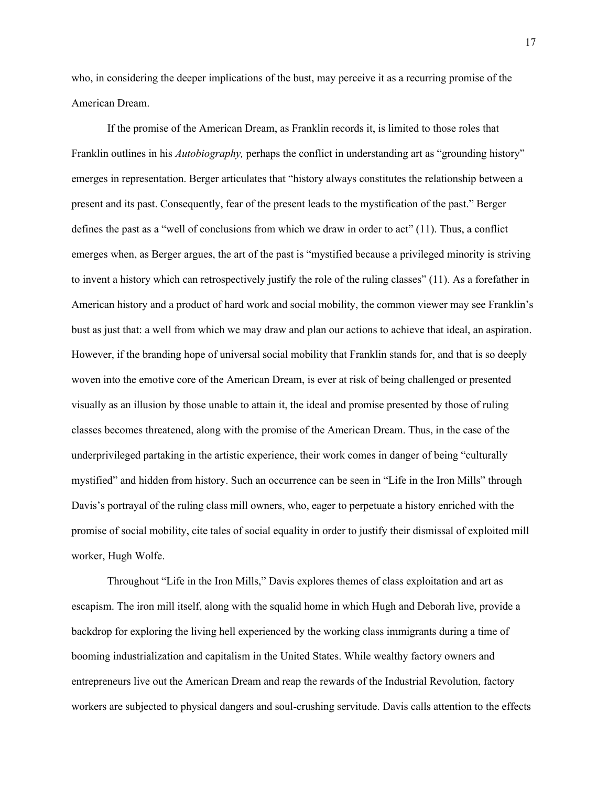who, in considering the deeper implications of the bust, may perceive it as a recurring promise of the American Dream.

If the promise of the American Dream, as Franklin records it, is limited to those roles that Franklin outlines in his *Autobiography,* perhaps the conflict in understanding art as "grounding history" emerges in representation. Berger articulates that "history always constitutes the relationship between a present and its past. Consequently, fear of the present leads to the mystification of the past." Berger defines the past as a "well of conclusions from which we draw in order to act" (11). Thus, a conflict emerges when, as Berger argues, the art of the past is "mystified because a privileged minority is striving to invent a history which can retrospectively justify the role of the ruling classes" (11). As a forefather in American history and a product of hard work and social mobility, the common viewer may see Franklin's bust as just that: a well from which we may draw and plan our actions to achieve that ideal, an aspiration. However, if the branding hope of universal social mobility that Franklin stands for, and that is so deeply woven into the emotive core of the American Dream, is ever at risk of being challenged or presented visually as an illusion by those unable to attain it, the ideal and promise presented by those of ruling classes becomes threatened, along with the promise of the American Dream. Thus, in the case of the underprivileged partaking in the artistic experience, their work comes in danger of being "culturally mystified" and hidden from history. Such an occurrence can be seen in "Life in the Iron Mills" through Davis's portrayal of the ruling class mill owners, who, eager to perpetuate a history enriched with the promise of social mobility, cite tales of social equality in order to justify their dismissal of exploited mill worker, Hugh Wolfe.

Throughout "Life in the Iron Mills," Davis explores themes of class exploitation and art as escapism. The iron mill itself, along with the squalid home in which Hugh and Deborah live, provide a backdrop for exploring the living hell experienced by the working class immigrants during a time of booming industrialization and capitalism in the United States. While wealthy factory owners and entrepreneurs live out the American Dream and reap the rewards of the Industrial Revolution, factory workers are subjected to physical dangers and soul-crushing servitude. Davis calls attention to the effects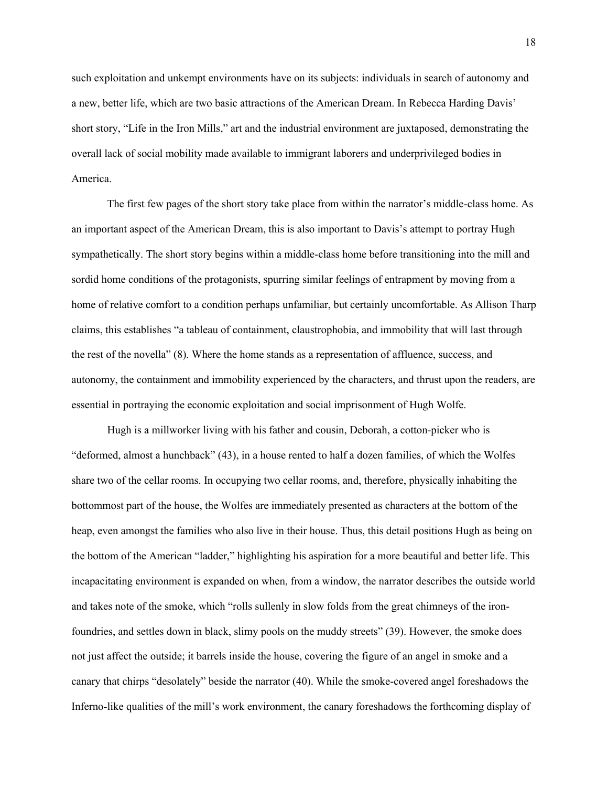such exploitation and unkempt environments have on its subjects: individuals in search of autonomy and a new, better life, which are two basic attractions of the American Dream. In Rebecca Harding Davis' short story, "Life in the Iron Mills," art and the industrial environment are juxtaposed, demonstrating the overall lack of social mobility made available to immigrant laborers and underprivileged bodies in America.

The first few pages of the short story take place from within the narrator's middle-class home. As an important aspect of the American Dream, this is also important to Davis's attempt to portray Hugh sympathetically. The short story begins within a middle-class home before transitioning into the mill and sordid home conditions of the protagonists, spurring similar feelings of entrapment by moving from a home of relative comfort to a condition perhaps unfamiliar, but certainly uncomfortable. As Allison Tharp claims, this establishes "a tableau of containment, claustrophobia, and immobility that will last through the rest of the novella" (8). Where the home stands as a representation of affluence, success, and autonomy, the containment and immobility experienced by the characters, and thrust upon the readers, are essential in portraying the economic exploitation and social imprisonment of Hugh Wolfe.

Hugh is a millworker living with his father and cousin, Deborah, a cotton-picker who is "deformed, almost a hunchback" (43), in a house rented to half a dozen families, of which the Wolfes share two of the cellar rooms. In occupying two cellar rooms, and, therefore, physically inhabiting the bottommost part of the house, the Wolfes are immediately presented as characters at the bottom of the heap, even amongst the families who also live in their house. Thus, this detail positions Hugh as being on the bottom of the American "ladder," highlighting his aspiration for a more beautiful and better life. This incapacitating environment is expanded on when, from a window, the narrator describes the outside world and takes note of the smoke, which "rolls sullenly in slow folds from the great chimneys of the ironfoundries, and settles down in black, slimy pools on the muddy streets" (39). However, the smoke does not just affect the outside; it barrels inside the house, covering the figure of an angel in smoke and a canary that chirps "desolately" beside the narrator (40). While the smoke-covered angel foreshadows the Inferno-like qualities of the mill's work environment, the canary foreshadows the forthcoming display of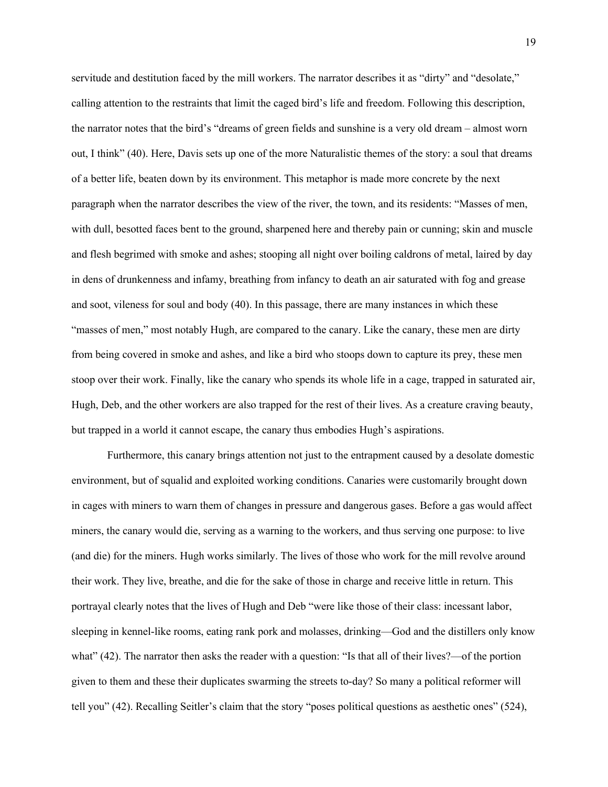servitude and destitution faced by the mill workers. The narrator describes it as "dirty" and "desolate," calling attention to the restraints that limit the caged bird's life and freedom. Following this description, the narrator notes that the bird's "dreams of green fields and sunshine is a very old dream – almost worn out, I think" (40). Here, Davis sets up one of the more Naturalistic themes of the story: a soul that dreams of a better life, beaten down by its environment. This metaphor is made more concrete by the next paragraph when the narrator describes the view of the river, the town, and its residents: "Masses of men, with dull, besotted faces bent to the ground, sharpened here and thereby pain or cunning; skin and muscle and flesh begrimed with smoke and ashes; stooping all night over boiling caldrons of metal, laired by day in dens of drunkenness and infamy, breathing from infancy to death an air saturated with fog and grease and soot, vileness for soul and body (40). In this passage, there are many instances in which these "masses of men," most notably Hugh, are compared to the canary. Like the canary, these men are dirty from being covered in smoke and ashes, and like a bird who stoops down to capture its prey, these men stoop over their work. Finally, like the canary who spends its whole life in a cage, trapped in saturated air, Hugh, Deb, and the other workers are also trapped for the rest of their lives. As a creature craving beauty, but trapped in a world it cannot escape, the canary thus embodies Hugh's aspirations.

Furthermore, this canary brings attention not just to the entrapment caused by a desolate domestic environment, but of squalid and exploited working conditions. Canaries were customarily brought down in cages with miners to warn them of changes in pressure and dangerous gases. Before a gas would affect miners, the canary would die, serving as a warning to the workers, and thus serving one purpose: to live (and die) for the miners. Hugh works similarly. The lives of those who work for the mill revolve around their work. They live, breathe, and die for the sake of those in charge and receive little in return. This portrayal clearly notes that the lives of Hugh and Deb "were like those of their class: incessant labor, sleeping in kennel-like rooms, eating rank pork and molasses, drinking—God and the distillers only know what" (42). The narrator then asks the reader with a question: "Is that all of their lives?—of the portion given to them and these their duplicates swarming the streets to-day? So many a political reformer will tell you" (42). Recalling Seitler's claim that the story "poses political questions as aesthetic ones" (524),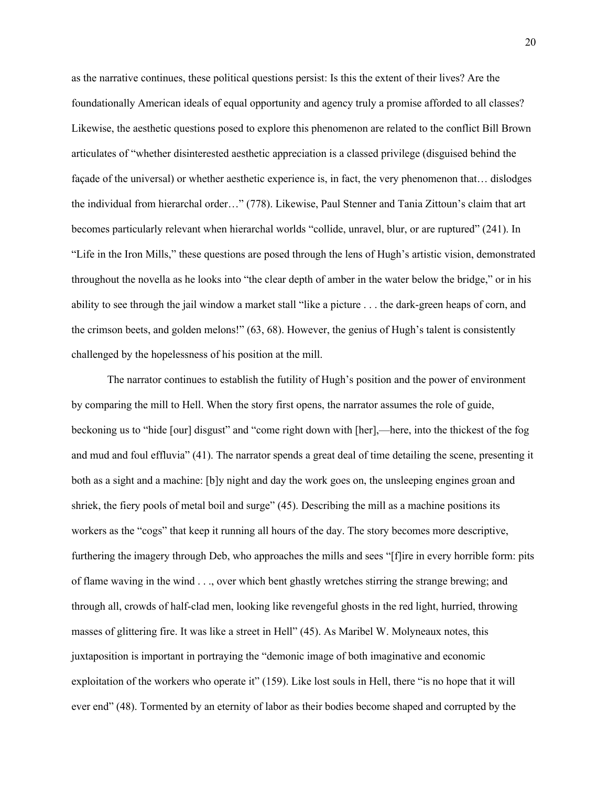as the narrative continues, these political questions persist: Is this the extent of their lives? Are the foundationally American ideals of equal opportunity and agency truly a promise afforded to all classes? Likewise, the aesthetic questions posed to explore this phenomenon are related to the conflict Bill Brown articulates of "whether disinterested aesthetic appreciation is a classed privilege (disguised behind the façade of the universal) or whether aesthetic experience is, in fact, the very phenomenon that… dislodges the individual from hierarchal order…" (778). Likewise, Paul Stenner and Tania Zittoun's claim that art becomes particularly relevant when hierarchal worlds "collide, unravel, blur, or are ruptured" (241). In "Life in the Iron Mills," these questions are posed through the lens of Hugh's artistic vision, demonstrated throughout the novella as he looks into "the clear depth of amber in the water below the bridge," or in his ability to see through the jail window a market stall "like a picture . . . the dark-green heaps of corn, and the crimson beets, and golden melons!" (63, 68). However, the genius of Hugh's talent is consistently challenged by the hopelessness of his position at the mill.

The narrator continues to establish the futility of Hugh's position and the power of environment by comparing the mill to Hell. When the story first opens, the narrator assumes the role of guide, beckoning us to "hide [our] disgust" and "come right down with [her],—here, into the thickest of the fog and mud and foul effluvia" (41). The narrator spends a great deal of time detailing the scene, presenting it both as a sight and a machine: [b]y night and day the work goes on, the unsleeping engines groan and shriek, the fiery pools of metal boil and surge" (45). Describing the mill as a machine positions its workers as the "cogs" that keep it running all hours of the day. The story becomes more descriptive, furthering the imagery through Deb, who approaches the mills and sees "[f]ire in every horrible form: pits of flame waving in the wind . . ., over which bent ghastly wretches stirring the strange brewing; and through all, crowds of half-clad men, looking like revengeful ghosts in the red light, hurried, throwing masses of glittering fire. It was like a street in Hell" (45). As Maribel W. Molyneaux notes, this juxtaposition is important in portraying the "demonic image of both imaginative and economic exploitation of the workers who operate it" (159). Like lost souls in Hell, there "is no hope that it will ever end" (48). Tormented by an eternity of labor as their bodies become shaped and corrupted by the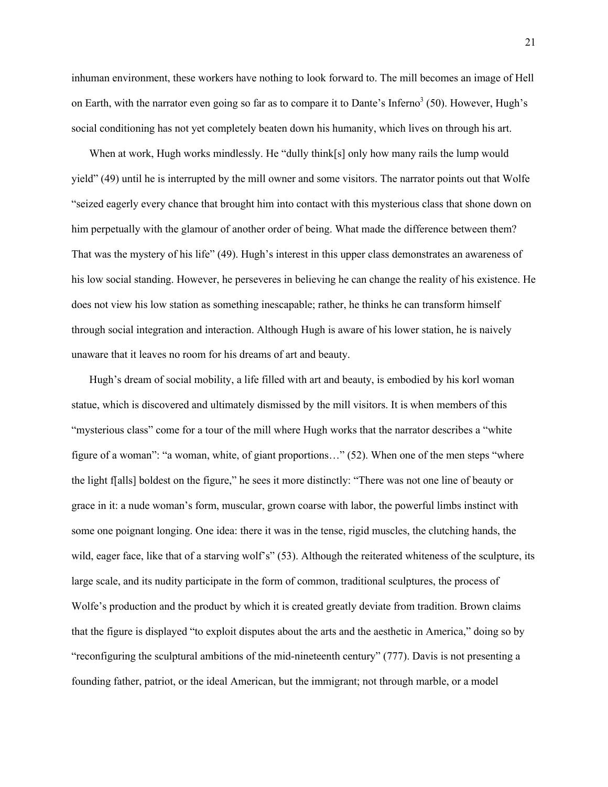inhuman environment, these workers have nothing to look forward to. The mill becomes an image of Hell on Earth, with the narrator even going so far as to compare it to Dante's Inferno $3(50)$ . However, Hugh's social conditioning has not yet completely beaten down his humanity, which lives on through his art.

When at work, Hugh works mindlessly. He "dully think[s] only how many rails the lump would yield" (49) until he is interrupted by the mill owner and some visitors. The narrator points out that Wolfe "seized eagerly every chance that brought him into contact with this mysterious class that shone down on him perpetually with the glamour of another order of being. What made the difference between them? That was the mystery of his life" (49). Hugh's interest in this upper class demonstrates an awareness of his low social standing. However, he perseveres in believing he can change the reality of his existence. He does not view his low station as something inescapable; rather, he thinks he can transform himself through social integration and interaction. Although Hugh is aware of his lower station, he is naively unaware that it leaves no room for his dreams of art and beauty.

Hugh's dream of social mobility, a life filled with art and beauty, is embodied by his korl woman statue, which is discovered and ultimately dismissed by the mill visitors. It is when members of this "mysterious class" come for a tour of the mill where Hugh works that the narrator describes a "white figure of a woman": "a woman, white, of giant proportions…" (52). When one of the men steps "where the light f[alls] boldest on the figure," he sees it more distinctly: "There was not one line of beauty or grace in it: a nude woman's form, muscular, grown coarse with labor, the powerful limbs instinct with some one poignant longing. One idea: there it was in the tense, rigid muscles, the clutching hands, the wild, eager face, like that of a starving wolf's" (53). Although the reiterated whiteness of the sculpture, its large scale, and its nudity participate in the form of common, traditional sculptures, the process of Wolfe's production and the product by which it is created greatly deviate from tradition. Brown claims that the figure is displayed "to exploit disputes about the arts and the aesthetic in America," doing so by "reconfiguring the sculptural ambitions of the mid-nineteenth century" (777). Davis is not presenting a founding father, patriot, or the ideal American, but the immigrant; not through marble, or a model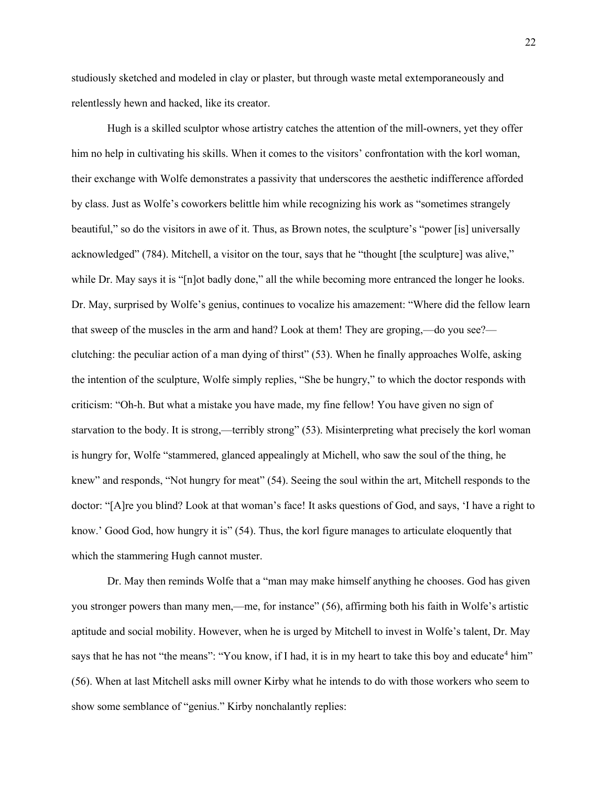studiously sketched and modeled in clay or plaster, but through waste metal extemporaneously and relentlessly hewn and hacked, like its creator.

Hugh is a skilled sculptor whose artistry catches the attention of the mill-owners, yet they offer him no help in cultivating his skills. When it comes to the visitors' confrontation with the korl woman, their exchange with Wolfe demonstrates a passivity that underscores the aesthetic indifference afforded by class. Just as Wolfe's coworkers belittle him while recognizing his work as "sometimes strangely beautiful," so do the visitors in awe of it. Thus, as Brown notes, the sculpture's "power [is] universally acknowledged" (784). Mitchell, a visitor on the tour, says that he "thought [the sculpture] was alive," while Dr. May says it is "[n]ot badly done," all the while becoming more entranced the longer he looks. Dr. May, surprised by Wolfe's genius, continues to vocalize his amazement: "Where did the fellow learn that sweep of the muscles in the arm and hand? Look at them! They are groping,—do you see? clutching: the peculiar action of a man dying of thirst" (53). When he finally approaches Wolfe, asking the intention of the sculpture, Wolfe simply replies, "She be hungry," to which the doctor responds with criticism: "Oh-h. But what a mistake you have made, my fine fellow! You have given no sign of starvation to the body. It is strong,—terribly strong" (53). Misinterpreting what precisely the korl woman is hungry for, Wolfe "stammered, glanced appealingly at Michell, who saw the soul of the thing, he knew" and responds, "Not hungry for meat" (54). Seeing the soul within the art, Mitchell responds to the doctor: "[A]re you blind? Look at that woman's face! It asks questions of God, and says, 'I have a right to know.' Good God, how hungry it is" (54). Thus, the korl figure manages to articulate eloquently that which the stammering Hugh cannot muster.

Dr. May then reminds Wolfe that a "man may make himself anything he chooses. God has given you stronger powers than many men,—me, for instance" (56), affirming both his faith in Wolfe's artistic aptitude and social mobility. However, when he is urged by Mitchell to invest in Wolfe's talent, Dr. May says that he has not "the means": "You know, if I had, it is in my heart to take this boy and educate<sup>4</sup> him" (56). When at last Mitchell asks mill owner Kirby what he intends to do with those workers who seem to show some semblance of "genius." Kirby nonchalantly replies: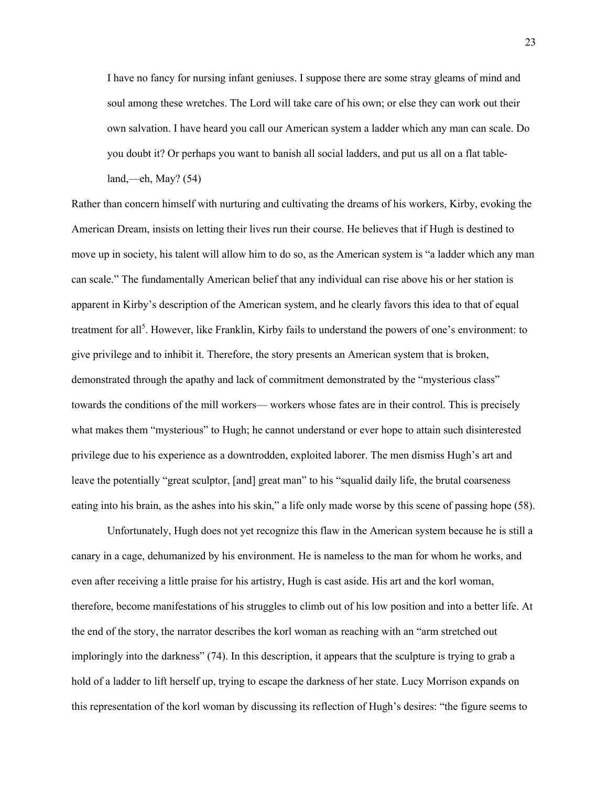I have no fancy for nursing infant geniuses. I suppose there are some stray gleams of mind and soul among these wretches. The Lord will take care of his own; or else they can work out their own salvation. I have heard you call our American system a ladder which any man can scale. Do you doubt it? Or perhaps you want to banish all social ladders, and put us all on a flat tableland,—eh, May? (54)

Rather than concern himself with nurturing and cultivating the dreams of his workers, Kirby, evoking the American Dream, insists on letting their lives run their course. He believes that if Hugh is destined to move up in society, his talent will allow him to do so, as the American system is "a ladder which any man can scale." The fundamentally American belief that any individual can rise above his or her station is apparent in Kirby's description of the American system, and he clearly favors this idea to that of equal treatment for all<sup>5</sup>. However, like Franklin, Kirby fails to understand the powers of one's environment: to give privilege and to inhibit it. Therefore, the story presents an American system that is broken, demonstrated through the apathy and lack of commitment demonstrated by the "mysterious class" towards the conditions of the mill workers— workers whose fates are in their control. This is precisely what makes them "mysterious" to Hugh; he cannot understand or ever hope to attain such disinterested privilege due to his experience as a downtrodden, exploited laborer. The men dismiss Hugh's art and leave the potentially "great sculptor, [and] great man" to his "squalid daily life, the brutal coarseness eating into his brain, as the ashes into his skin," a life only made worse by this scene of passing hope (58).

Unfortunately, Hugh does not yet recognize this flaw in the American system because he is still a canary in a cage, dehumanized by his environment. He is nameless to the man for whom he works, and even after receiving a little praise for his artistry, Hugh is cast aside. His art and the korl woman, therefore, become manifestations of his struggles to climb out of his low position and into a better life. At the end of the story, the narrator describes the korl woman as reaching with an "arm stretched out imploringly into the darkness" (74). In this description, it appears that the sculpture is trying to grab a hold of a ladder to lift herself up, trying to escape the darkness of her state. Lucy Morrison expands on this representation of the korl woman by discussing its reflection of Hugh's desires: "the figure seems to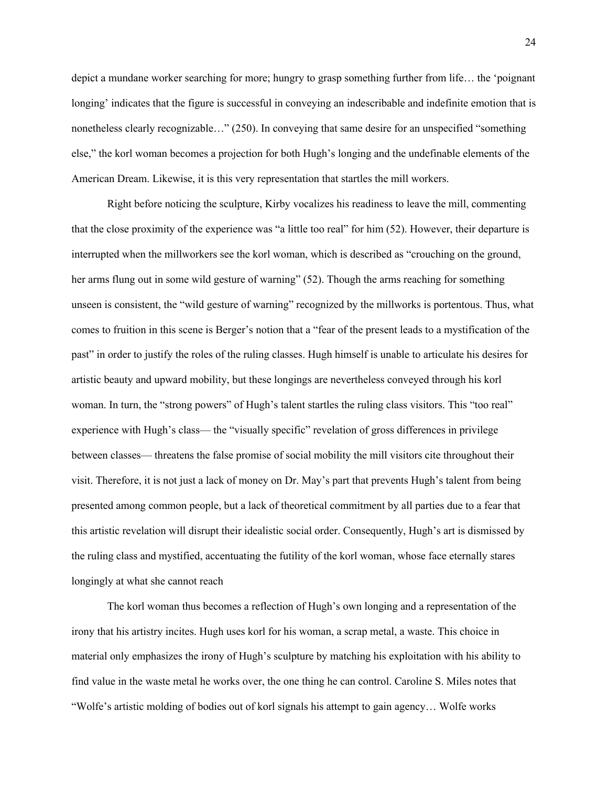depict a mundane worker searching for more; hungry to grasp something further from life… the 'poignant longing' indicates that the figure is successful in conveying an indescribable and indefinite emotion that is nonetheless clearly recognizable…" (250). In conveying that same desire for an unspecified "something else," the korl woman becomes a projection for both Hugh's longing and the undefinable elements of the American Dream. Likewise, it is this very representation that startles the mill workers.

Right before noticing the sculpture, Kirby vocalizes his readiness to leave the mill, commenting that the close proximity of the experience was "a little too real" for him (52). However, their departure is interrupted when the millworkers see the korl woman, which is described as "crouching on the ground, her arms flung out in some wild gesture of warning" (52). Though the arms reaching for something unseen is consistent, the "wild gesture of warning" recognized by the millworks is portentous. Thus, what comes to fruition in this scene is Berger's notion that a "fear of the present leads to a mystification of the past" in order to justify the roles of the ruling classes. Hugh himself is unable to articulate his desires for artistic beauty and upward mobility, but these longings are nevertheless conveyed through his korl woman. In turn, the "strong powers" of Hugh's talent startles the ruling class visitors. This "too real" experience with Hugh's class— the "visually specific" revelation of gross differences in privilege between classes— threatens the false promise of social mobility the mill visitors cite throughout their visit. Therefore, it is not just a lack of money on Dr. May's part that prevents Hugh's talent from being presented among common people, but a lack of theoretical commitment by all parties due to a fear that this artistic revelation will disrupt their idealistic social order. Consequently, Hugh's art is dismissed by the ruling class and mystified, accentuating the futility of the korl woman, whose face eternally stares longingly at what she cannot reach

The korl woman thus becomes a reflection of Hugh's own longing and a representation of the irony that his artistry incites. Hugh uses korl for his woman, a scrap metal, a waste. This choice in material only emphasizes the irony of Hugh's sculpture by matching his exploitation with his ability to find value in the waste metal he works over, the one thing he can control. Caroline S. Miles notes that "Wolfe's artistic molding of bodies out of korl signals his attempt to gain agency… Wolfe works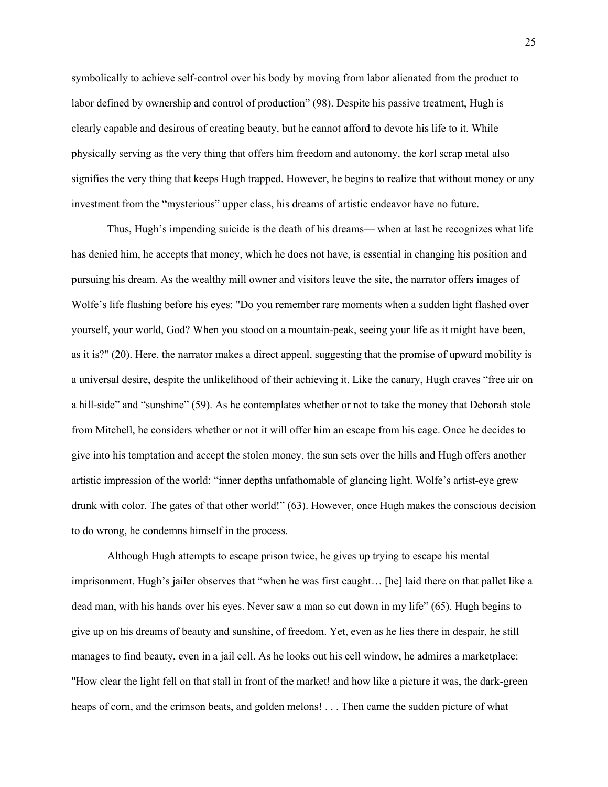symbolically to achieve self-control over his body by moving from labor alienated from the product to labor defined by ownership and control of production" (98). Despite his passive treatment, Hugh is clearly capable and desirous of creating beauty, but he cannot afford to devote his life to it. While physically serving as the very thing that offers him freedom and autonomy, the korl scrap metal also signifies the very thing that keeps Hugh trapped. However, he begins to realize that without money or any investment from the "mysterious" upper class, his dreams of artistic endeavor have no future.

Thus, Hugh's impending suicide is the death of his dreams— when at last he recognizes what life has denied him, he accepts that money, which he does not have, is essential in changing his position and pursuing his dream. As the wealthy mill owner and visitors leave the site, the narrator offers images of Wolfe's life flashing before his eyes: "Do you remember rare moments when a sudden light flashed over yourself, your world, God? When you stood on a mountain-peak, seeing your life as it might have been, as it is?" (20). Here, the narrator makes a direct appeal, suggesting that the promise of upward mobility is a universal desire, despite the unlikelihood of their achieving it. Like the canary, Hugh craves "free air on a hill-side" and "sunshine" (59). As he contemplates whether or not to take the money that Deborah stole from Mitchell, he considers whether or not it will offer him an escape from his cage. Once he decides to give into his temptation and accept the stolen money, the sun sets over the hills and Hugh offers another artistic impression of the world: "inner depths unfathomable of glancing light. Wolfe's artist-eye grew drunk with color. The gates of that other world!" (63). However, once Hugh makes the conscious decision to do wrong, he condemns himself in the process.

Although Hugh attempts to escape prison twice, he gives up trying to escape his mental imprisonment. Hugh's jailer observes that "when he was first caught… [he] laid there on that pallet like a dead man, with his hands over his eyes. Never saw a man so cut down in my life" (65). Hugh begins to give up on his dreams of beauty and sunshine, of freedom. Yet, even as he lies there in despair, he still manages to find beauty, even in a jail cell. As he looks out his cell window, he admires a marketplace: "How clear the light fell on that stall in front of the market! and how like a picture it was, the dark-green heaps of corn, and the crimson beats, and golden melons! . . . Then came the sudden picture of what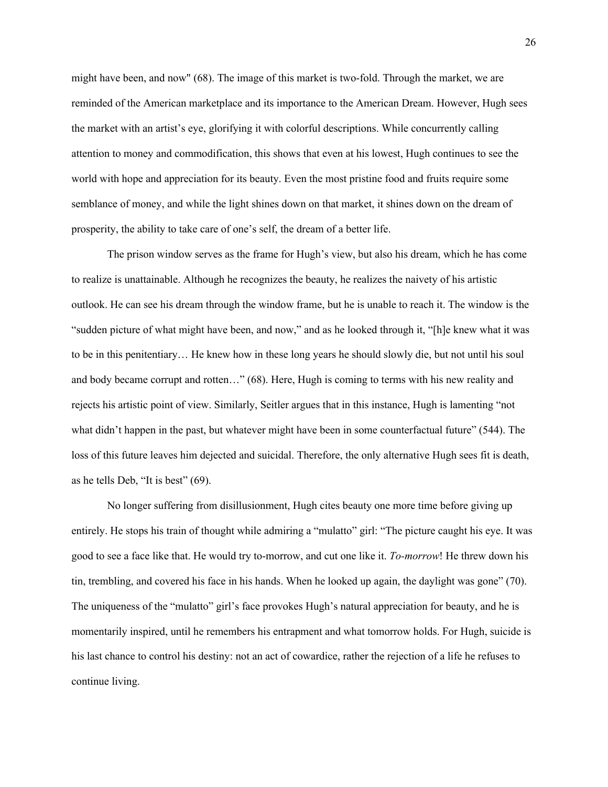might have been, and now" (68). The image of this market is two-fold. Through the market, we are reminded of the American marketplace and its importance to the American Dream. However, Hugh sees the market with an artist's eye, glorifying it with colorful descriptions. While concurrently calling attention to money and commodification, this shows that even at his lowest, Hugh continues to see the world with hope and appreciation for its beauty. Even the most pristine food and fruits require some semblance of money, and while the light shines down on that market, it shines down on the dream of prosperity, the ability to take care of one's self, the dream of a better life.

The prison window serves as the frame for Hugh's view, but also his dream, which he has come to realize is unattainable. Although he recognizes the beauty, he realizes the naivety of his artistic outlook. He can see his dream through the window frame, but he is unable to reach it. The window is the "sudden picture of what might have been, and now," and as he looked through it, "[h]e knew what it was to be in this penitentiary… He knew how in these long years he should slowly die, but not until his soul and body became corrupt and rotten…" (68). Here, Hugh is coming to terms with his new reality and rejects his artistic point of view. Similarly, Seitler argues that in this instance, Hugh is lamenting "not what didn't happen in the past, but whatever might have been in some counterfactual future" (544). The loss of this future leaves him dejected and suicidal. Therefore, the only alternative Hugh sees fit is death, as he tells Deb, "It is best" (69).

No longer suffering from disillusionment, Hugh cites beauty one more time before giving up entirely. He stops his train of thought while admiring a "mulatto" girl: "The picture caught his eye. It was good to see a face like that. He would try to-morrow, and cut one like it. *To-morrow*! He threw down his tin, trembling, and covered his face in his hands. When he looked up again, the daylight was gone" (70). The uniqueness of the "mulatto" girl's face provokes Hugh's natural appreciation for beauty, and he is momentarily inspired, until he remembers his entrapment and what tomorrow holds. For Hugh, suicide is his last chance to control his destiny: not an act of cowardice, rather the rejection of a life he refuses to continue living.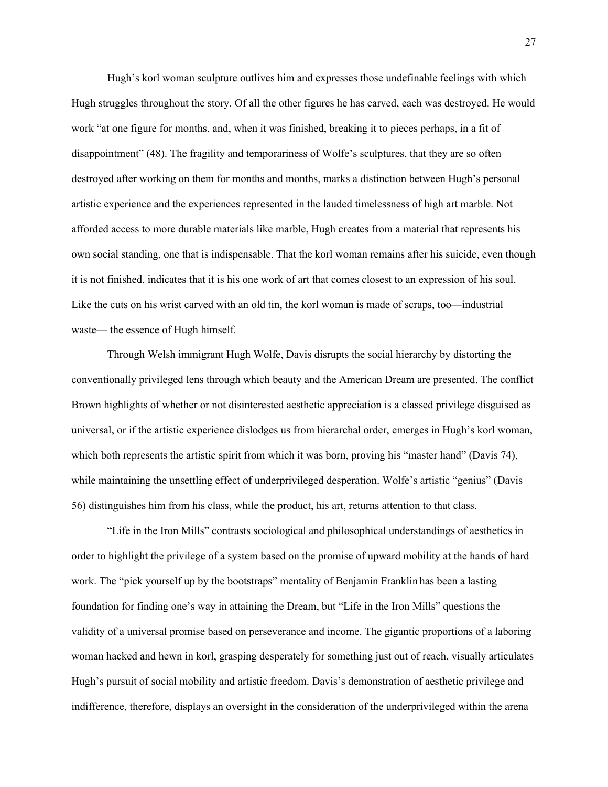Hugh's korl woman sculpture outlives him and expresses those undefinable feelings with which Hugh struggles throughout the story. Of all the other figures he has carved, each was destroyed. He would work "at one figure for months, and, when it was finished, breaking it to pieces perhaps, in a fit of disappointment" (48). The fragility and temporariness of Wolfe's sculptures, that they are so often destroyed after working on them for months and months, marks a distinction between Hugh's personal artistic experience and the experiences represented in the lauded timelessness of high art marble. Not afforded access to more durable materials like marble, Hugh creates from a material that represents his own social standing, one that is indispensable. That the korl woman remains after his suicide, even though it is not finished, indicates that it is his one work of art that comes closest to an expression of his soul. Like the cuts on his wrist carved with an old tin, the korl woman is made of scraps, too—industrial waste— the essence of Hugh himself.

Through Welsh immigrant Hugh Wolfe, Davis disrupts the social hierarchy by distorting the conventionally privileged lens through which beauty and the American Dream are presented. The conflict Brown highlights of whether or not disinterested aesthetic appreciation is a classed privilege disguised as universal, or if the artistic experience dislodges us from hierarchal order, emerges in Hugh's korl woman, which both represents the artistic spirit from which it was born, proving his "master hand" (Davis 74), while maintaining the unsettling effect of underprivileged desperation. Wolfe's artistic "genius" (Davis 56) distinguishes him from his class, while the product, his art, returns attention to that class.

"Life in the Iron Mills" contrasts sociological and philosophical understandings of aesthetics in order to highlight the privilege of a system based on the promise of upward mobility at the hands of hard work. The "pick yourself up by the bootstraps" mentality of Benjamin Franklin has been a lasting foundation for finding one's way in attaining the Dream, but "Life in the Iron Mills" questions the validity of a universal promise based on perseverance and income. The gigantic proportions of a laboring woman hacked and hewn in korl, grasping desperately for something just out of reach, visually articulates Hugh's pursuit of social mobility and artistic freedom. Davis's demonstration of aesthetic privilege and indifference, therefore, displays an oversight in the consideration of the underprivileged within the arena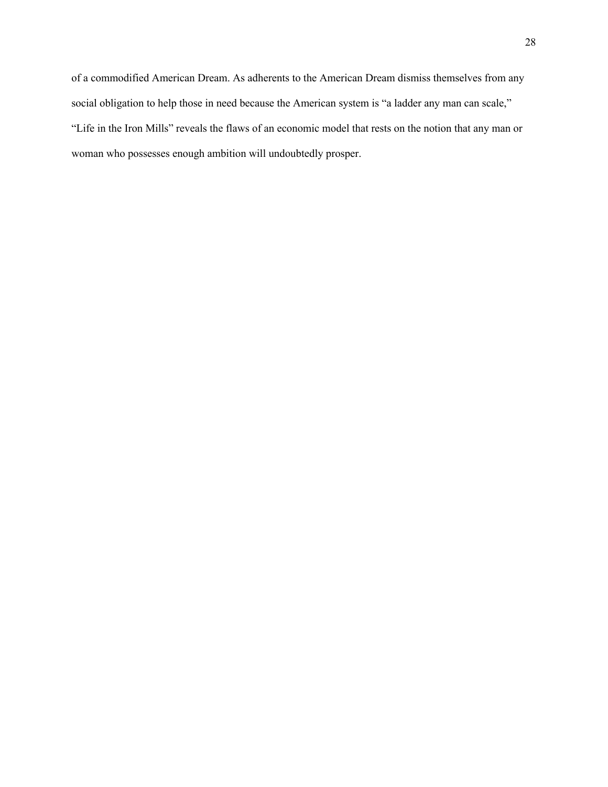of a commodified American Dream. As adherents to the American Dream dismiss themselves from any social obligation to help those in need because the American system is "a ladder any man can scale," "Life in the Iron Mills" reveals the flaws of an economic model that rests on the notion that any man or woman who possesses enough ambition will undoubtedly prosper.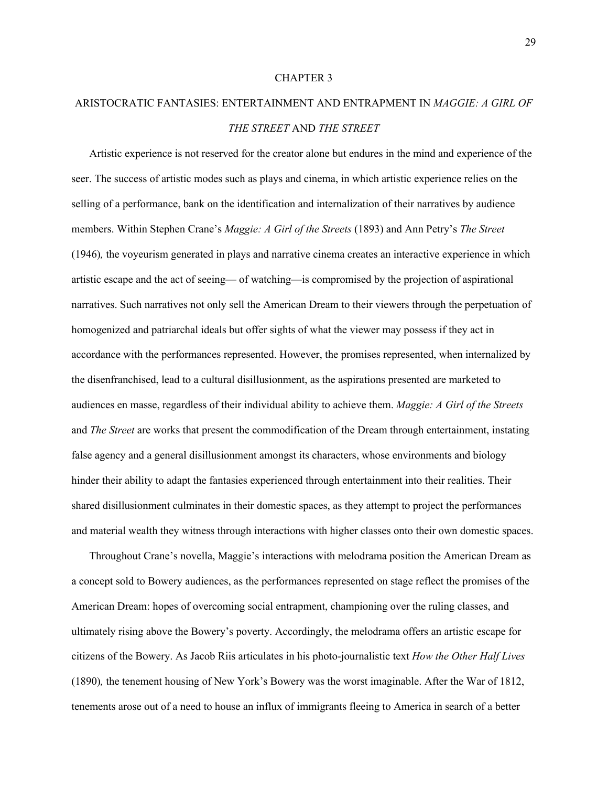#### CHAPTER 3

## ARISTOCRATIC FANTASIES: ENTERTAINMENT AND ENTRAPMENT IN *MAGGIE: A GIRL OF THE STREET* AND *THE STREET*

Artistic experience is not reserved for the creator alone but endures in the mind and experience of the seer. The success of artistic modes such as plays and cinema, in which artistic experience relies on the selling of a performance, bank on the identification and internalization of their narratives by audience members. Within Stephen Crane's *Maggie: A Girl of the Streets* (1893) and Ann Petry's *The Street*  (1946)*,* the voyeurism generated in plays and narrative cinema creates an interactive experience in which artistic escape and the act of seeing— of watching—is compromised by the projection of aspirational narratives. Such narratives not only sell the American Dream to their viewers through the perpetuation of homogenized and patriarchal ideals but offer sights of what the viewer may possess if they act in accordance with the performances represented. However, the promises represented, when internalized by the disenfranchised, lead to a cultural disillusionment, as the aspirations presented are marketed to audiences en masse, regardless of their individual ability to achieve them. *Maggie: A Girl of the Streets*  and *The Street* are works that present the commodification of the Dream through entertainment, instating false agency and a general disillusionment amongst its characters, whose environments and biology hinder their ability to adapt the fantasies experienced through entertainment into their realities. Their shared disillusionment culminates in their domestic spaces, as they attempt to project the performances and material wealth they witness through interactions with higher classes onto their own domestic spaces.

Throughout Crane's novella, Maggie's interactions with melodrama position the American Dream as a concept sold to Bowery audiences, as the performances represented on stage reflect the promises of the American Dream: hopes of overcoming social entrapment, championing over the ruling classes, and ultimately rising above the Bowery's poverty. Accordingly, the melodrama offers an artistic escape for citizens of the Bowery. As Jacob Riis articulates in his photo-journalistic text *How the Other Half Lives*  (1890)*,* the tenement housing of New York's Bowery was the worst imaginable. After the War of 1812, tenements arose out of a need to house an influx of immigrants fleeing to America in search of a better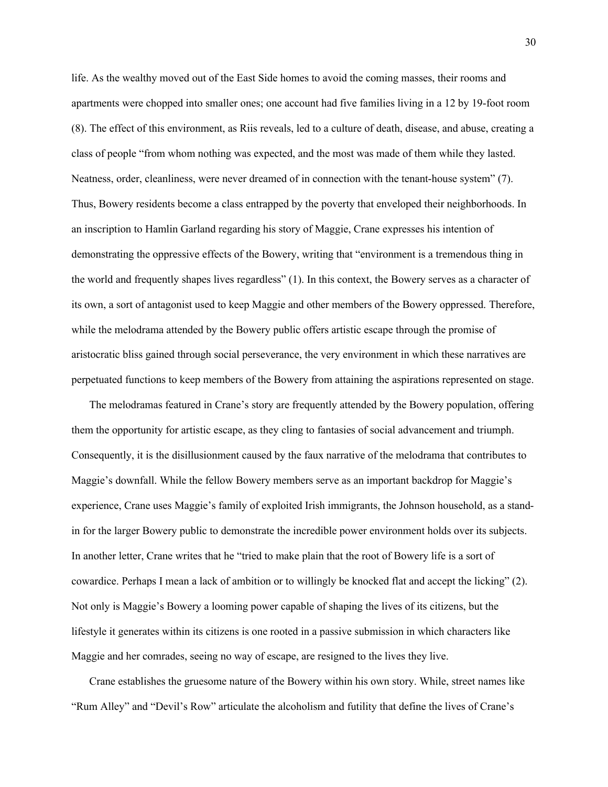life. As the wealthy moved out of the East Side homes to avoid the coming masses, their rooms and apartments were chopped into smaller ones; one account had five families living in a 12 by 19-foot room (8). The effect of this environment, as Riis reveals, led to a culture of death, disease, and abuse, creating a class of people "from whom nothing was expected, and the most was made of them while they lasted. Neatness, order, cleanliness, were never dreamed of in connection with the tenant-house system" (7). Thus, Bowery residents become a class entrapped by the poverty that enveloped their neighborhoods. In an inscription to Hamlin Garland regarding his story of Maggie, Crane expresses his intention of demonstrating the oppressive effects of the Bowery, writing that "environment is a tremendous thing in the world and frequently shapes lives regardless" (1). In this context, the Bowery serves as a character of its own, a sort of antagonist used to keep Maggie and other members of the Bowery oppressed. Therefore, while the melodrama attended by the Bowery public offers artistic escape through the promise of aristocratic bliss gained through social perseverance, the very environment in which these narratives are perpetuated functions to keep members of the Bowery from attaining the aspirations represented on stage.

The melodramas featured in Crane's story are frequently attended by the Bowery population, offering them the opportunity for artistic escape, as they cling to fantasies of social advancement and triumph. Consequently, it is the disillusionment caused by the faux narrative of the melodrama that contributes to Maggie's downfall. While the fellow Bowery members serve as an important backdrop for Maggie's experience, Crane uses Maggie's family of exploited Irish immigrants, the Johnson household, as a standin for the larger Bowery public to demonstrate the incredible power environment holds over its subjects. In another letter, Crane writes that he "tried to make plain that the root of Bowery life is a sort of cowardice. Perhaps I mean a lack of ambition or to willingly be knocked flat and accept the licking" (2). Not only is Maggie's Bowery a looming power capable of shaping the lives of its citizens, but the lifestyle it generates within its citizens is one rooted in a passive submission in which characters like Maggie and her comrades, seeing no way of escape, are resigned to the lives they live.

Crane establishes the gruesome nature of the Bowery within his own story. While, street names like "Rum Alley" and "Devil's Row" articulate the alcoholism and futility that define the lives of Crane's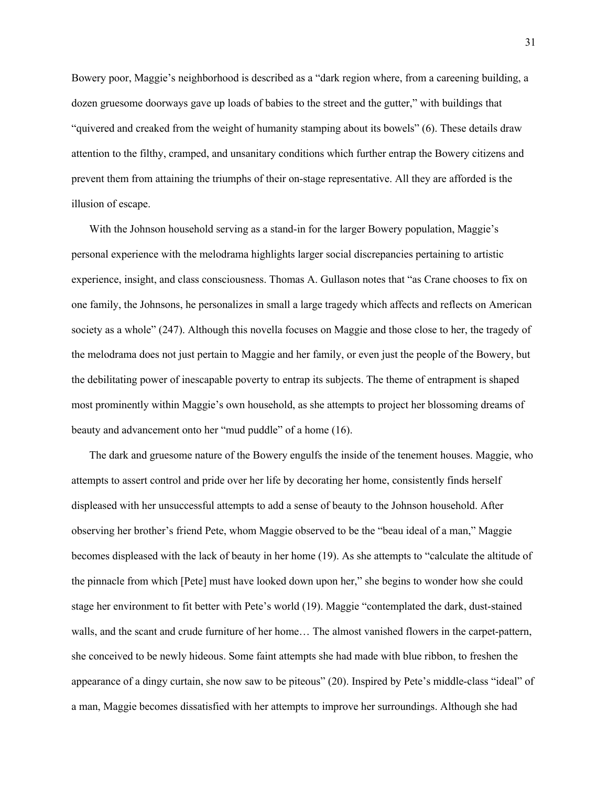Bowery poor, Maggie's neighborhood is described as a "dark region where, from a careening building, a dozen gruesome doorways gave up loads of babies to the street and the gutter," with buildings that "quivered and creaked from the weight of humanity stamping about its bowels" (6). These details draw attention to the filthy, cramped, and unsanitary conditions which further entrap the Bowery citizens and prevent them from attaining the triumphs of their on-stage representative. All they are afforded is the illusion of escape.

With the Johnson household serving as a stand-in for the larger Bowery population, Maggie's personal experience with the melodrama highlights larger social discrepancies pertaining to artistic experience, insight, and class consciousness. Thomas A. Gullason notes that "as Crane chooses to fix on one family, the Johnsons, he personalizes in small a large tragedy which affects and reflects on American society as a whole" (247). Although this novella focuses on Maggie and those close to her, the tragedy of the melodrama does not just pertain to Maggie and her family, or even just the people of the Bowery, but the debilitating power of inescapable poverty to entrap its subjects. The theme of entrapment is shaped most prominently within Maggie's own household, as she attempts to project her blossoming dreams of beauty and advancement onto her "mud puddle" of a home (16).

The dark and gruesome nature of the Bowery engulfs the inside of the tenement houses. Maggie, who attempts to assert control and pride over her life by decorating her home, consistently finds herself displeased with her unsuccessful attempts to add a sense of beauty to the Johnson household. After observing her brother's friend Pete, whom Maggie observed to be the "beau ideal of a man," Maggie becomes displeased with the lack of beauty in her home (19). As she attempts to "calculate the altitude of the pinnacle from which [Pete] must have looked down upon her," she begins to wonder how she could stage her environment to fit better with Pete's world (19). Maggie "contemplated the dark, dust-stained walls, and the scant and crude furniture of her home… The almost vanished flowers in the carpet-pattern, she conceived to be newly hideous. Some faint attempts she had made with blue ribbon, to freshen the appearance of a dingy curtain, she now saw to be piteous" (20). Inspired by Pete's middle-class "ideal" of a man, Maggie becomes dissatisfied with her attempts to improve her surroundings. Although she had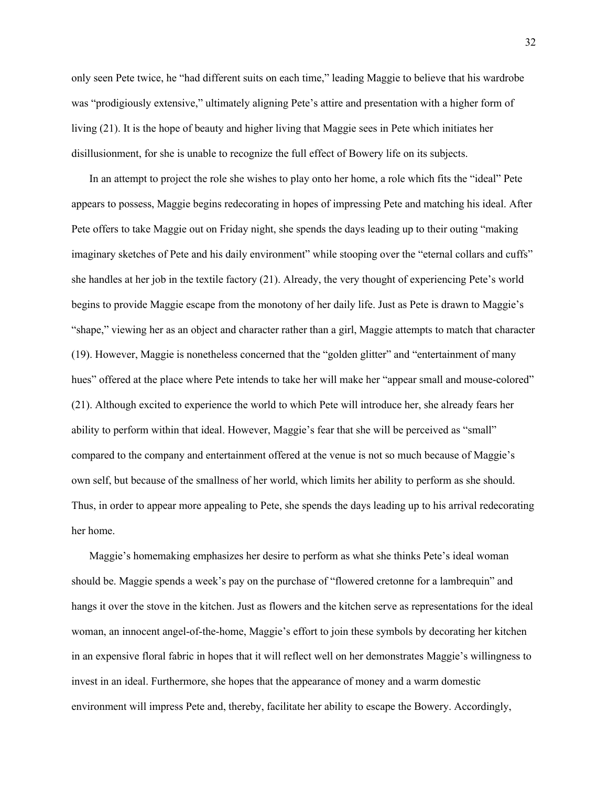only seen Pete twice, he "had different suits on each time," leading Maggie to believe that his wardrobe was "prodigiously extensive," ultimately aligning Pete's attire and presentation with a higher form of living (21). It is the hope of beauty and higher living that Maggie sees in Pete which initiates her disillusionment, for she is unable to recognize the full effect of Bowery life on its subjects.

In an attempt to project the role she wishes to play onto her home, a role which fits the "ideal" Pete appears to possess, Maggie begins redecorating in hopes of impressing Pete and matching his ideal. After Pete offers to take Maggie out on Friday night, she spends the days leading up to their outing "making imaginary sketches of Pete and his daily environment" while stooping over the "eternal collars and cuffs" she handles at her job in the textile factory (21). Already, the very thought of experiencing Pete's world begins to provide Maggie escape from the monotony of her daily life. Just as Pete is drawn to Maggie's "shape," viewing her as an object and character rather than a girl, Maggie attempts to match that character (19). However, Maggie is nonetheless concerned that the "golden glitter" and "entertainment of many hues" offered at the place where Pete intends to take her will make her "appear small and mouse-colored" (21). Although excited to experience the world to which Pete will introduce her, she already fears her ability to perform within that ideal. However, Maggie's fear that she will be perceived as "small" compared to the company and entertainment offered at the venue is not so much because of Maggie's own self, but because of the smallness of her world, which limits her ability to perform as she should. Thus, in order to appear more appealing to Pete, she spends the days leading up to his arrival redecorating her home.

Maggie's homemaking emphasizes her desire to perform as what she thinks Pete's ideal woman should be. Maggie spends a week's pay on the purchase of "flowered cretonne for a lambrequin" and hangs it over the stove in the kitchen. Just as flowers and the kitchen serve as representations for the ideal woman, an innocent angel-of-the-home, Maggie's effort to join these symbols by decorating her kitchen in an expensive floral fabric in hopes that it will reflect well on her demonstrates Maggie's willingness to invest in an ideal. Furthermore, she hopes that the appearance of money and a warm domestic environment will impress Pete and, thereby, facilitate her ability to escape the Bowery. Accordingly,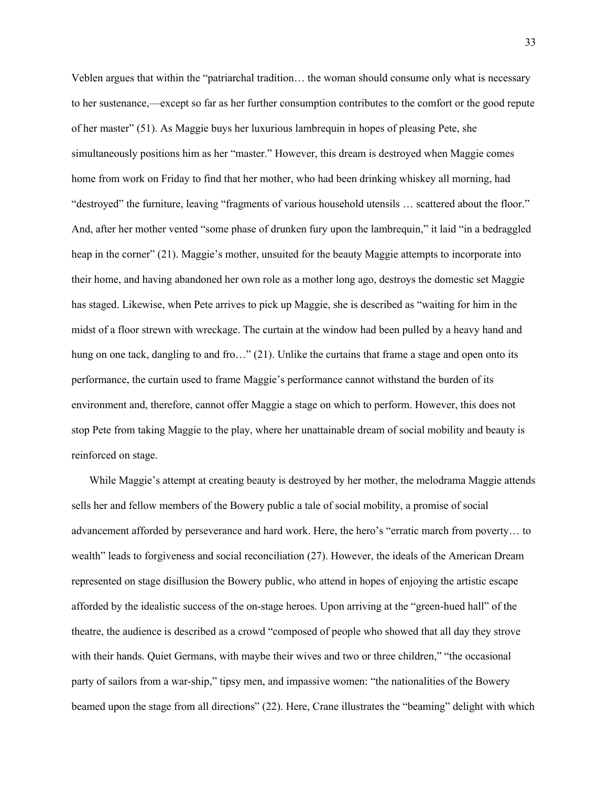Veblen argues that within the "patriarchal tradition… the woman should consume only what is necessary to her sustenance,—except so far as her further consumption contributes to the comfort or the good repute of her master" (51). As Maggie buys her luxurious lambrequin in hopes of pleasing Pete, she simultaneously positions him as her "master." However, this dream is destroyed when Maggie comes home from work on Friday to find that her mother, who had been drinking whiskey all morning, had "destroyed" the furniture, leaving "fragments of various household utensils … scattered about the floor." And, after her mother vented "some phase of drunken fury upon the lambrequin," it laid "in a bedraggled heap in the corner" (21). Maggie's mother, unsuited for the beauty Maggie attempts to incorporate into their home, and having abandoned her own role as a mother long ago, destroys the domestic set Maggie has staged. Likewise, when Pete arrives to pick up Maggie, she is described as "waiting for him in the midst of a floor strewn with wreckage. The curtain at the window had been pulled by a heavy hand and hung on one tack, dangling to and fro..." (21). Unlike the curtains that frame a stage and open onto its performance, the curtain used to frame Maggie's performance cannot withstand the burden of its environment and, therefore, cannot offer Maggie a stage on which to perform. However, this does not stop Pete from taking Maggie to the play, where her unattainable dream of social mobility and beauty is reinforced on stage.

While Maggie's attempt at creating beauty is destroyed by her mother, the melodrama Maggie attends sells her and fellow members of the Bowery public a tale of social mobility, a promise of social advancement afforded by perseverance and hard work. Here, the hero's "erratic march from poverty… to wealth" leads to forgiveness and social reconciliation (27). However, the ideals of the American Dream represented on stage disillusion the Bowery public, who attend in hopes of enjoying the artistic escape afforded by the idealistic success of the on-stage heroes. Upon arriving at the "green-hued hall" of the theatre, the audience is described as a crowd "composed of people who showed that all day they strove with their hands. Quiet Germans, with maybe their wives and two or three children," "the occasional party of sailors from a war-ship," tipsy men, and impassive women: "the nationalities of the Bowery beamed upon the stage from all directions" (22). Here, Crane illustrates the "beaming" delight with which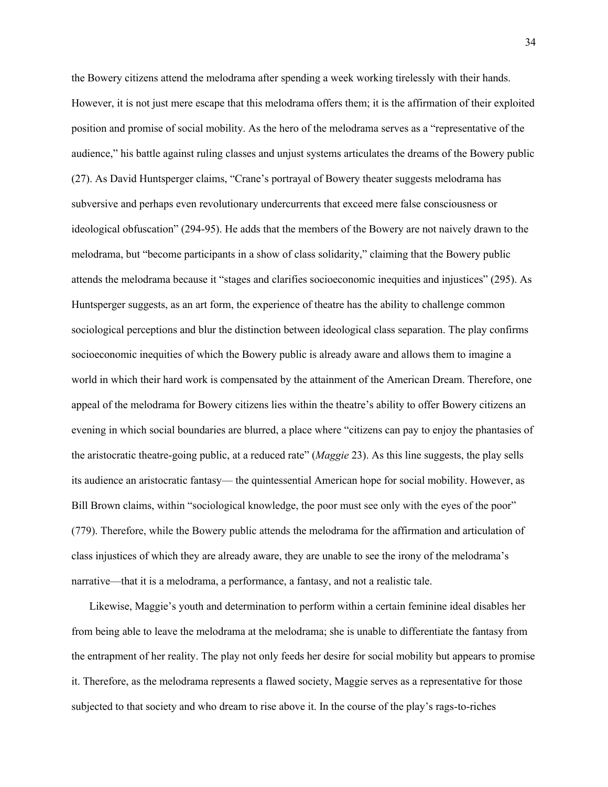the Bowery citizens attend the melodrama after spending a week working tirelessly with their hands. However, it is not just mere escape that this melodrama offers them; it is the affirmation of their exploited position and promise of social mobility. As the hero of the melodrama serves as a "representative of the audience," his battle against ruling classes and unjust systems articulates the dreams of the Bowery public (27). As David Huntsperger claims, "Crane's portrayal of Bowery theater suggests melodrama has subversive and perhaps even revolutionary undercurrents that exceed mere false consciousness or ideological obfuscation" (294-95). He adds that the members of the Bowery are not naively drawn to the melodrama, but "become participants in a show of class solidarity," claiming that the Bowery public attends the melodrama because it "stages and clarifies socioeconomic inequities and injustices" (295). As Huntsperger suggests, as an art form, the experience of theatre has the ability to challenge common sociological perceptions and blur the distinction between ideological class separation. The play confirms socioeconomic inequities of which the Bowery public is already aware and allows them to imagine a world in which their hard work is compensated by the attainment of the American Dream. Therefore, one appeal of the melodrama for Bowery citizens lies within the theatre's ability to offer Bowery citizens an evening in which social boundaries are blurred, a place where "citizens can pay to enjoy the phantasies of the aristocratic theatre-going public, at a reduced rate" (*Maggie* 23). As this line suggests, the play sells its audience an aristocratic fantasy— the quintessential American hope for social mobility. However, as Bill Brown claims, within "sociological knowledge, the poor must see only with the eyes of the poor" (779). Therefore, while the Bowery public attends the melodrama for the affirmation and articulation of class injustices of which they are already aware, they are unable to see the irony of the melodrama's narrative—that it is a melodrama, a performance, a fantasy, and not a realistic tale.

Likewise, Maggie's youth and determination to perform within a certain feminine ideal disables her from being able to leave the melodrama at the melodrama; she is unable to differentiate the fantasy from the entrapment of her reality. The play not only feeds her desire for social mobility but appears to promise it. Therefore, as the melodrama represents a flawed society, Maggie serves as a representative for those subjected to that society and who dream to rise above it. In the course of the play's rags-to-riches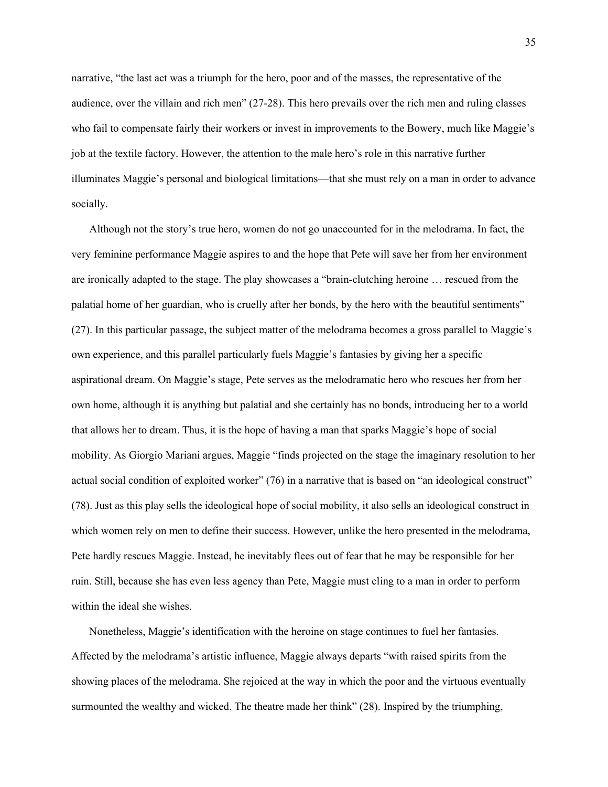narrative, "the last act was a triumph for the hero, poor and of the masses, the representative of the audience, over the villain and rich men" (27-28). This hero prevails over the rich men and ruling classes who fail to compensate fairly their workers or invest in improvements to the Bowery, much like Maggie's job at the textile factory. However, the attention to the male hero's role in this narrative further illuminates Maggie's personal and biological limitations—that she must rely on a man in order to advance socially.

Although not the story's true hero, women do not go unaccounted for in the melodrama. In fact, the very feminine performance Maggie aspires to and the hope that Pete will save her from her environment are ironically adapted to the stage. The play showcases a "brain-clutching heroine … rescued from the palatial home of her guardian, who is cruelly after her bonds, by the hero with the beautiful sentiments" (27). In this particular passage, the subject matter of the melodrama becomes a gross parallel to Maggie's own experience, and this parallel particularly fuels Maggie's fantasies by giving her a specific aspirational dream. On Maggie's stage, Pete serves as the melodramatic hero who rescues her from her own home, although it is anything but palatial and she certainly has no bonds, introducing her to a world that allows her to dream. Thus, it is the hope of having a man that sparks Maggie's hope of social mobility. As Giorgio Mariani argues, Maggie "finds projected on the stage the imaginary resolution to her actual social condition of exploited worker" (76) in a narrative that is based on "an ideological construct" (78). Just as this play sells the ideological hope of social mobility, it also sells an ideological construct in which women rely on men to define their success. However, unlike the hero presented in the melodrama, Pete hardly rescues Maggie. Instead, he inevitably flees out of fear that he may be responsible for her ruin. Still, because she has even less agency than Pete, Maggie must cling to a man in order to perform within the ideal she wishes.

Nonetheless, Maggie's identification with the heroine on stage continues to fuel her fantasies. Affected by the melodrama's artistic influence, Maggie always departs "with raised spirits from the showing places of the melodrama. She rejoiced at the way in which the poor and the virtuous eventually surmounted the wealthy and wicked. The theatre made her think" (28). Inspired by the triumphing,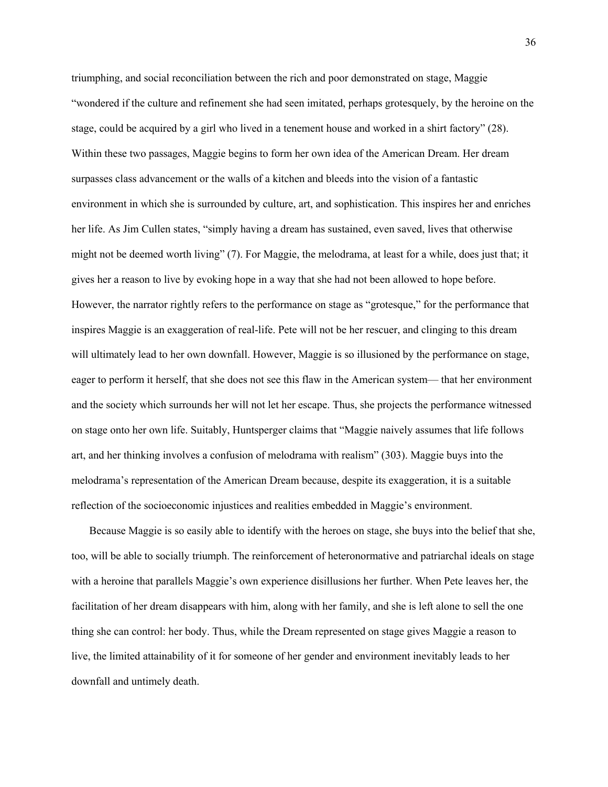triumphing, and social reconciliation between the rich and poor demonstrated on stage, Maggie "wondered if the culture and refinement she had seen imitated, perhaps grotesquely, by the heroine on the stage, could be acquired by a girl who lived in a tenement house and worked in a shirt factory" (28). Within these two passages, Maggie begins to form her own idea of the American Dream. Her dream surpasses class advancement or the walls of a kitchen and bleeds into the vision of a fantastic environment in which she is surrounded by culture, art, and sophistication. This inspires her and enriches her life. As Jim Cullen states, "simply having a dream has sustained, even saved, lives that otherwise might not be deemed worth living" (7). For Maggie, the melodrama, at least for a while, does just that; it gives her a reason to live by evoking hope in a way that she had not been allowed to hope before. However, the narrator rightly refers to the performance on stage as "grotesque," for the performance that inspires Maggie is an exaggeration of real-life. Pete will not be her rescuer, and clinging to this dream will ultimately lead to her own downfall. However, Maggie is so illusioned by the performance on stage, eager to perform it herself, that she does not see this flaw in the American system— that her environment and the society which surrounds her will not let her escape. Thus, she projects the performance witnessed on stage onto her own life. Suitably, Huntsperger claims that "Maggie naively assumes that life follows art, and her thinking involves a confusion of melodrama with realism" (303). Maggie buys into the melodrama's representation of the American Dream because, despite its exaggeration, it is a suitable reflection of the socioeconomic injustices and realities embedded in Maggie's environment.

Because Maggie is so easily able to identify with the heroes on stage, she buys into the belief that she, too, will be able to socially triumph. The reinforcement of heteronormative and patriarchal ideals on stage with a heroine that parallels Maggie's own experience disillusions her further. When Pete leaves her, the facilitation of her dream disappears with him, along with her family, and she is left alone to sell the one thing she can control: her body. Thus, while the Dream represented on stage gives Maggie a reason to live, the limited attainability of it for someone of her gender and environment inevitably leads to her downfall and untimely death.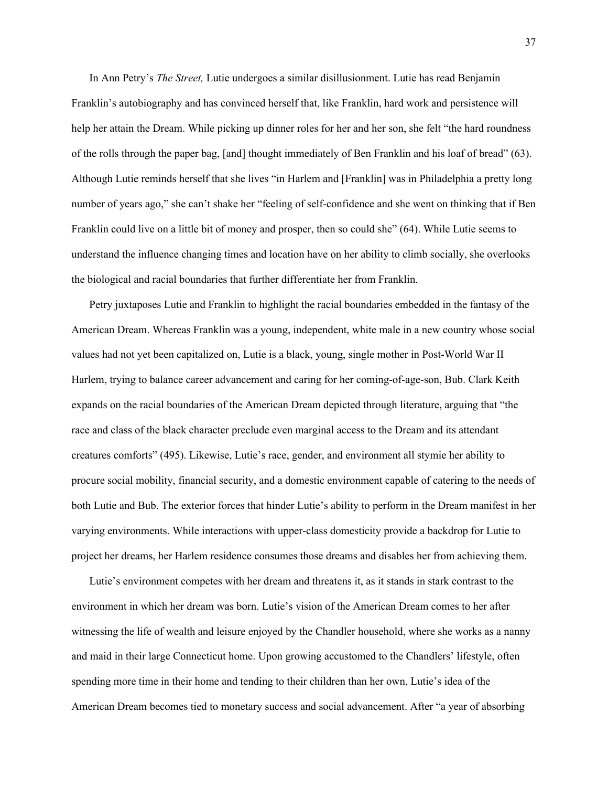In Ann Petry's *The Street,* Lutie undergoes a similar disillusionment. Lutie has read Benjamin Franklin's autobiography and has convinced herself that, like Franklin, hard work and persistence will help her attain the Dream. While picking up dinner roles for her and her son, she felt "the hard roundness of the rolls through the paper bag, [and] thought immediately of Ben Franklin and his loaf of bread" (63). Although Lutie reminds herself that she lives "in Harlem and [Franklin] was in Philadelphia a pretty long number of years ago," she can't shake her "feeling of self-confidence and she went on thinking that if Ben Franklin could live on a little bit of money and prosper, then so could she" (64). While Lutie seems to understand the influence changing times and location have on her ability to climb socially, she overlooks the biological and racial boundaries that further differentiate her from Franklin.

Petry juxtaposes Lutie and Franklin to highlight the racial boundaries embedded in the fantasy of the American Dream. Whereas Franklin was a young, independent, white male in a new country whose social values had not yet been capitalized on, Lutie is a black, young, single mother in Post-World War II Harlem, trying to balance career advancement and caring for her coming-of-age-son, Bub. Clark Keith expands on the racial boundaries of the American Dream depicted through literature, arguing that "the race and class of the black character preclude even marginal access to the Dream and its attendant creatures comforts" (495). Likewise, Lutie's race, gender, and environment all stymie her ability to procure social mobility, financial security, and a domestic environment capable of catering to the needs of both Lutie and Bub. The exterior forces that hinder Lutie's ability to perform in the Dream manifest in her varying environments. While interactions with upper-class domesticity provide a backdrop for Lutie to project her dreams, her Harlem residence consumes those dreams and disables her from achieving them.

Lutie's environment competes with her dream and threatens it, as it stands in stark contrast to the environment in which her dream was born. Lutie's vision of the American Dream comes to her after witnessing the life of wealth and leisure enjoyed by the Chandler household, where she works as a nanny and maid in their large Connecticut home. Upon growing accustomed to the Chandlers' lifestyle, often spending more time in their home and tending to their children than her own, Lutie's idea of the American Dream becomes tied to monetary success and social advancement. After "a year of absorbing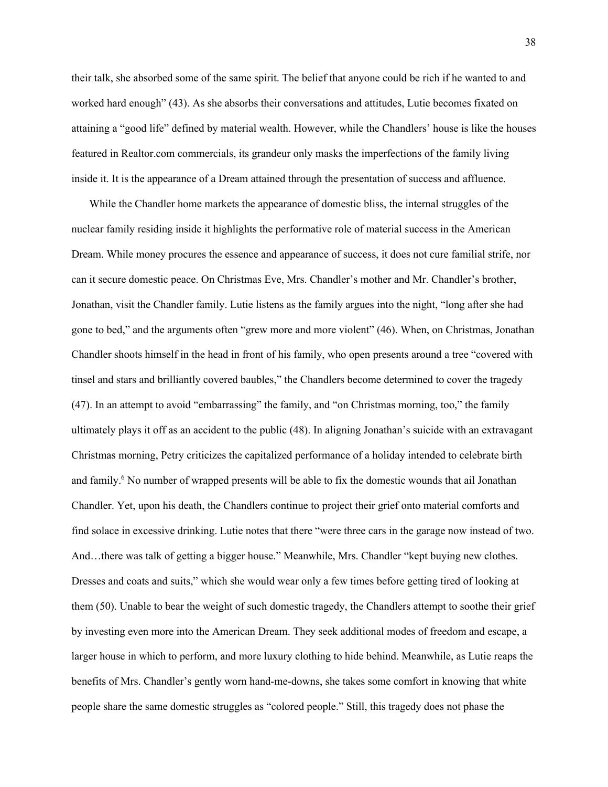their talk, she absorbed some of the same spirit. The belief that anyone could be rich if he wanted to and worked hard enough" (43). As she absorbs their conversations and attitudes, Lutie becomes fixated on attaining a "good life" defined by material wealth. However, while the Chandlers' house is like the houses featured in Realtor.com commercials, its grandeur only masks the imperfections of the family living inside it. It is the appearance of a Dream attained through the presentation of success and affluence.

While the Chandler home markets the appearance of domestic bliss, the internal struggles of the nuclear family residing inside it highlights the performative role of material success in the American Dream. While money procures the essence and appearance of success, it does not cure familial strife, nor can it secure domestic peace. On Christmas Eve, Mrs. Chandler's mother and Mr. Chandler's brother, Jonathan, visit the Chandler family. Lutie listens as the family argues into the night, "long after she had gone to bed," and the arguments often "grew more and more violent" (46). When, on Christmas, Jonathan Chandler shoots himself in the head in front of his family, who open presents around a tree "covered with tinsel and stars and brilliantly covered baubles," the Chandlers become determined to cover the tragedy (47). In an attempt to avoid "embarrassing" the family, and "on Christmas morning, too," the family ultimately plays it off as an accident to the public (48). In aligning Jonathan's suicide with an extravagant Christmas morning, Petry criticizes the capitalized performance of a holiday intended to celebrate birth and family.<sup>6</sup> No number of wrapped presents will be able to fix the domestic wounds that ail Jonathan Chandler. Yet, upon his death, the Chandlers continue to project their grief onto material comforts and find solace in excessive drinking. Lutie notes that there "were three cars in the garage now instead of two. And…there was talk of getting a bigger house." Meanwhile, Mrs. Chandler "kept buying new clothes. Dresses and coats and suits," which she would wear only a few times before getting tired of looking at them (50). Unable to bear the weight of such domestic tragedy, the Chandlers attempt to soothe their grief by investing even more into the American Dream. They seek additional modes of freedom and escape, a larger house in which to perform, and more luxury clothing to hide behind. Meanwhile, as Lutie reaps the benefits of Mrs. Chandler's gently worn hand-me-downs, she takes some comfort in knowing that white people share the same domestic struggles as "colored people." Still, this tragedy does not phase the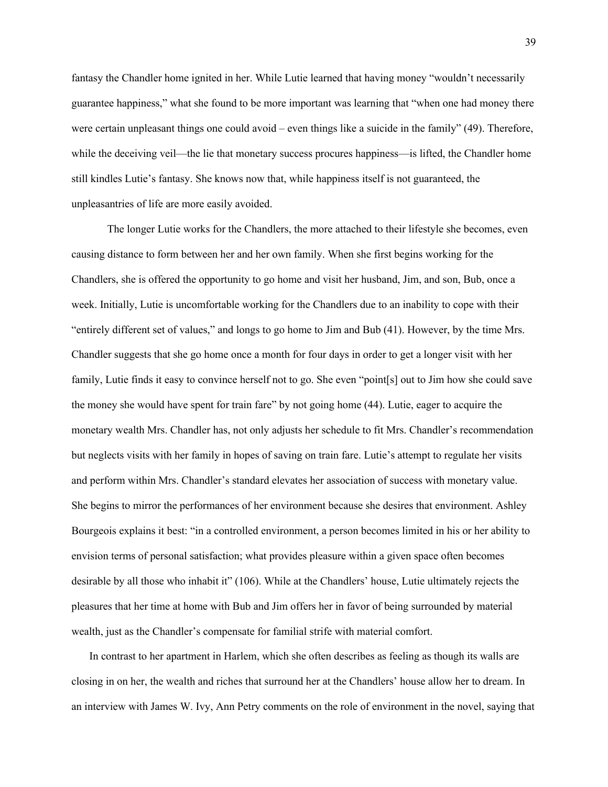fantasy the Chandler home ignited in her. While Lutie learned that having money "wouldn't necessarily guarantee happiness," what she found to be more important was learning that "when one had money there were certain unpleasant things one could avoid – even things like a suicide in the family" (49). Therefore, while the deceiving veil—the lie that monetary success procures happiness—is lifted, the Chandler home still kindles Lutie's fantasy. She knows now that, while happiness itself is not guaranteed, the unpleasantries of life are more easily avoided.

The longer Lutie works for the Chandlers, the more attached to their lifestyle she becomes, even causing distance to form between her and her own family. When she first begins working for the Chandlers, she is offered the opportunity to go home and visit her husband, Jim, and son, Bub, once a week. Initially, Lutie is uncomfortable working for the Chandlers due to an inability to cope with their "entirely different set of values," and longs to go home to Jim and Bub (41). However, by the time Mrs. Chandler suggests that she go home once a month for four days in order to get a longer visit with her family, Lutie finds it easy to convince herself not to go. She even "point[s] out to Jim how she could save the money she would have spent for train fare" by not going home (44). Lutie, eager to acquire the monetary wealth Mrs. Chandler has, not only adjusts her schedule to fit Mrs. Chandler's recommendation but neglects visits with her family in hopes of saving on train fare. Lutie's attempt to regulate her visits and perform within Mrs. Chandler's standard elevates her association of success with monetary value. She begins to mirror the performances of her environment because she desires that environment. Ashley Bourgeois explains it best: "in a controlled environment, a person becomes limited in his or her ability to envision terms of personal satisfaction; what provides pleasure within a given space often becomes desirable by all those who inhabit it" (106). While at the Chandlers' house, Lutie ultimately rejects the pleasures that her time at home with Bub and Jim offers her in favor of being surrounded by material wealth, just as the Chandler's compensate for familial strife with material comfort.

In contrast to her apartment in Harlem, which she often describes as feeling as though its walls are closing in on her, the wealth and riches that surround her at the Chandlers' house allow her to dream. In an interview with James W. Ivy, Ann Petry comments on the role of environment in the novel, saying that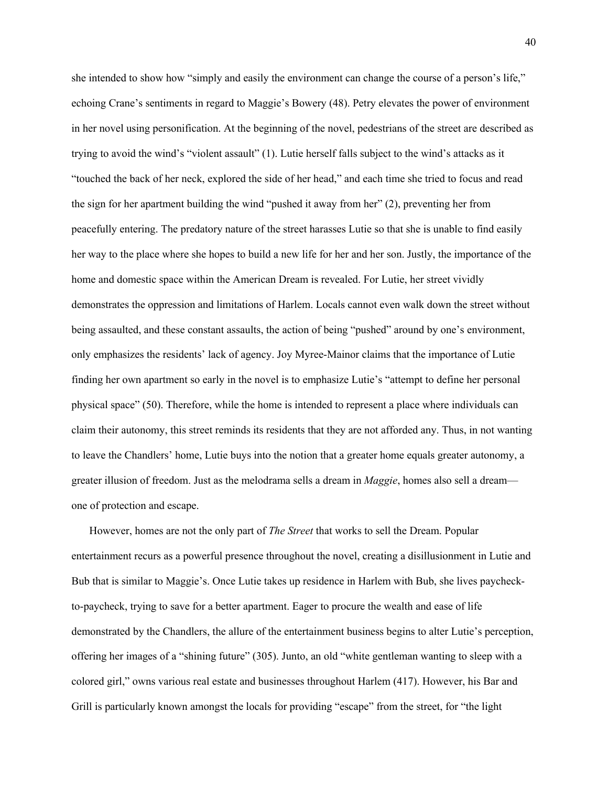she intended to show how "simply and easily the environment can change the course of a person's life," echoing Crane's sentiments in regard to Maggie's Bowery (48). Petry elevates the power of environment in her novel using personification. At the beginning of the novel, pedestrians of the street are described as trying to avoid the wind's "violent assault" (1). Lutie herself falls subject to the wind's attacks as it "touched the back of her neck, explored the side of her head," and each time she tried to focus and read the sign for her apartment building the wind "pushed it away from her" (2), preventing her from peacefully entering. The predatory nature of the street harasses Lutie so that she is unable to find easily her way to the place where she hopes to build a new life for her and her son. Justly, the importance of the home and domestic space within the American Dream is revealed. For Lutie, her street vividly demonstrates the oppression and limitations of Harlem. Locals cannot even walk down the street without being assaulted, and these constant assaults, the action of being "pushed" around by one's environment, only emphasizes the residents' lack of agency. Joy Myree-Mainor claims that the importance of Lutie finding her own apartment so early in the novel is to emphasize Lutie's "attempt to define her personal physical space" (50). Therefore, while the home is intended to represent a place where individuals can claim their autonomy, this street reminds its residents that they are not afforded any. Thus, in not wanting to leave the Chandlers' home, Lutie buys into the notion that a greater home equals greater autonomy, a greater illusion of freedom. Just as the melodrama sells a dream in *Maggie*, homes also sell a dream one of protection and escape.

However, homes are not the only part of *The Street* that works to sell the Dream. Popular entertainment recurs as a powerful presence throughout the novel, creating a disillusionment in Lutie and Bub that is similar to Maggie's. Once Lutie takes up residence in Harlem with Bub, she lives paycheckto-paycheck, trying to save for a better apartment. Eager to procure the wealth and ease of life demonstrated by the Chandlers, the allure of the entertainment business begins to alter Lutie's perception, offering her images of a "shining future" (305). Junto, an old "white gentleman wanting to sleep with a colored girl," owns various real estate and businesses throughout Harlem (417). However, his Bar and Grill is particularly known amongst the locals for providing "escape" from the street, for "the light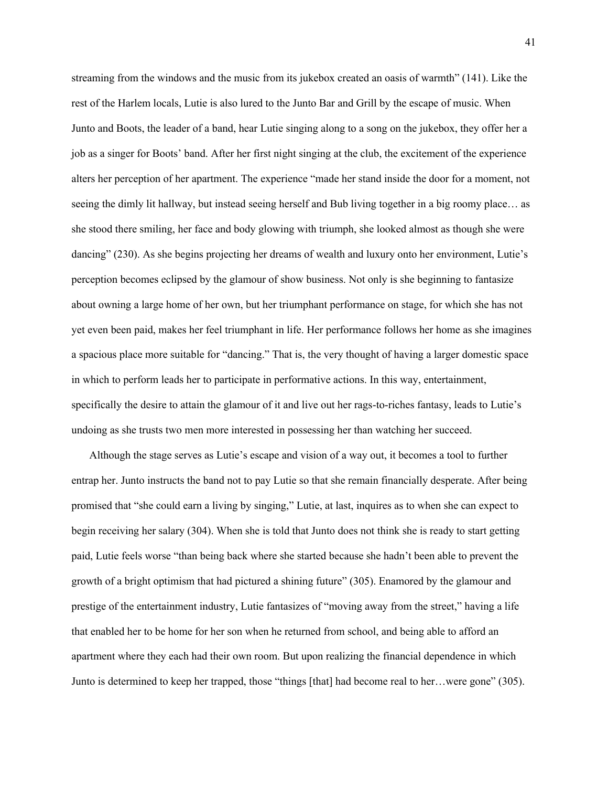streaming from the windows and the music from its jukebox created an oasis of warmth" (141). Like the rest of the Harlem locals, Lutie is also lured to the Junto Bar and Grill by the escape of music. When Junto and Boots, the leader of a band, hear Lutie singing along to a song on the jukebox, they offer her a job as a singer for Boots' band. After her first night singing at the club, the excitement of the experience alters her perception of her apartment. The experience "made her stand inside the door for a moment, not seeing the dimly lit hallway, but instead seeing herself and Bub living together in a big roomy place… as she stood there smiling, her face and body glowing with triumph, she looked almost as though she were dancing" (230). As she begins projecting her dreams of wealth and luxury onto her environment, Lutie's perception becomes eclipsed by the glamour of show business. Not only is she beginning to fantasize about owning a large home of her own, but her triumphant performance on stage, for which she has not yet even been paid, makes her feel triumphant in life. Her performance follows her home as she imagines a spacious place more suitable for "dancing." That is, the very thought of having a larger domestic space in which to perform leads her to participate in performative actions. In this way, entertainment, specifically the desire to attain the glamour of it and live out her rags-to-riches fantasy, leads to Lutie's undoing as she trusts two men more interested in possessing her than watching her succeed.

Although the stage serves as Lutie's escape and vision of a way out, it becomes a tool to further entrap her. Junto instructs the band not to pay Lutie so that she remain financially desperate. After being promised that "she could earn a living by singing," Lutie, at last, inquires as to when she can expect to begin receiving her salary (304). When she is told that Junto does not think she is ready to start getting paid, Lutie feels worse "than being back where she started because she hadn't been able to prevent the growth of a bright optimism that had pictured a shining future" (305). Enamored by the glamour and prestige of the entertainment industry, Lutie fantasizes of "moving away from the street," having a life that enabled her to be home for her son when he returned from school, and being able to afford an apartment where they each had their own room. But upon realizing the financial dependence in which Junto is determined to keep her trapped, those "things [that] had become real to her…were gone" (305).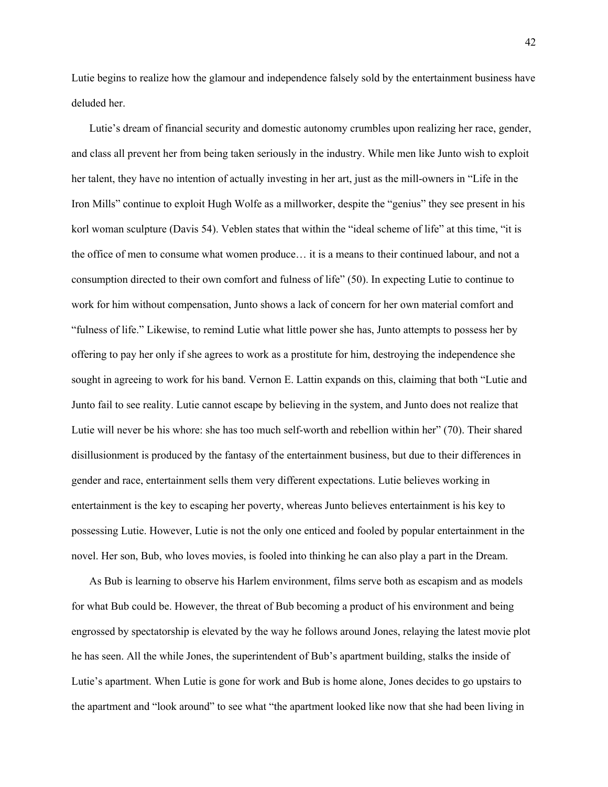Lutie begins to realize how the glamour and independence falsely sold by the entertainment business have deluded her.

Lutie's dream of financial security and domestic autonomy crumbles upon realizing her race, gender, and class all prevent her from being taken seriously in the industry. While men like Junto wish to exploit her talent, they have no intention of actually investing in her art, just as the mill-owners in "Life in the Iron Mills" continue to exploit Hugh Wolfe as a millworker, despite the "genius" they see present in his korl woman sculpture (Davis 54). Veblen states that within the "ideal scheme of life" at this time, "it is the office of men to consume what women produce… it is a means to their continued labour, and not a consumption directed to their own comfort and fulness of life" (50). In expecting Lutie to continue to work for him without compensation, Junto shows a lack of concern for her own material comfort and "fulness of life." Likewise, to remind Lutie what little power she has, Junto attempts to possess her by offering to pay her only if she agrees to work as a prostitute for him, destroying the independence she sought in agreeing to work for his band. Vernon E. Lattin expands on this, claiming that both "Lutie and Junto fail to see reality. Lutie cannot escape by believing in the system, and Junto does not realize that Lutie will never be his whore: she has too much self-worth and rebellion within her" (70). Their shared disillusionment is produced by the fantasy of the entertainment business, but due to their differences in gender and race, entertainment sells them very different expectations. Lutie believes working in entertainment is the key to escaping her poverty, whereas Junto believes entertainment is his key to possessing Lutie. However, Lutie is not the only one enticed and fooled by popular entertainment in the novel. Her son, Bub, who loves movies, is fooled into thinking he can also play a part in the Dream.

As Bub is learning to observe his Harlem environment, films serve both as escapism and as models for what Bub could be. However, the threat of Bub becoming a product of his environment and being engrossed by spectatorship is elevated by the way he follows around Jones, relaying the latest movie plot he has seen. All the while Jones, the superintendent of Bub's apartment building, stalks the inside of Lutie's apartment. When Lutie is gone for work and Bub is home alone, Jones decides to go upstairs to the apartment and "look around" to see what "the apartment looked like now that she had been living in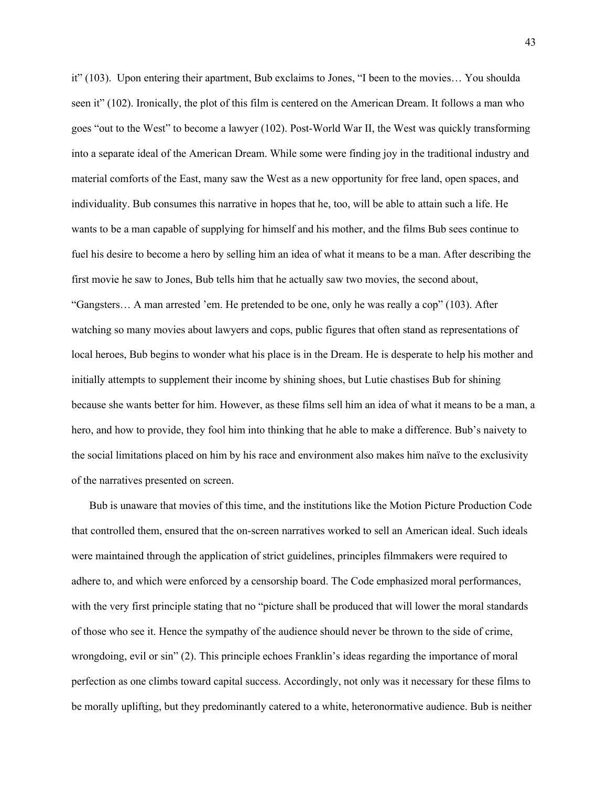it" (103). Upon entering their apartment, Bub exclaims to Jones, "I been to the movies… You shoulda seen it" (102). Ironically, the plot of this film is centered on the American Dream. It follows a man who goes "out to the West" to become a lawyer (102). Post-World War II, the West was quickly transforming into a separate ideal of the American Dream. While some were finding joy in the traditional industry and material comforts of the East, many saw the West as a new opportunity for free land, open spaces, and individuality. Bub consumes this narrative in hopes that he, too, will be able to attain such a life. He wants to be a man capable of supplying for himself and his mother, and the films Bub sees continue to fuel his desire to become a hero by selling him an idea of what it means to be a man. After describing the first movie he saw to Jones, Bub tells him that he actually saw two movies, the second about, "Gangsters… A man arrested 'em. He pretended to be one, only he was really a cop" (103). After watching so many movies about lawyers and cops, public figures that often stand as representations of local heroes, Bub begins to wonder what his place is in the Dream. He is desperate to help his mother and initially attempts to supplement their income by shining shoes, but Lutie chastises Bub for shining because she wants better for him. However, as these films sell him an idea of what it means to be a man, a hero, and how to provide, they fool him into thinking that he able to make a difference. Bub's naivety to the social limitations placed on him by his race and environment also makes him naïve to the exclusivity of the narratives presented on screen.

Bub is unaware that movies of this time, and the institutions like the Motion Picture Production Code that controlled them, ensured that the on-screen narratives worked to sell an American ideal. Such ideals were maintained through the application of strict guidelines, principles filmmakers were required to adhere to, and which were enforced by a censorship board. The Code emphasized moral performances, with the very first principle stating that no "picture shall be produced that will lower the moral standards of those who see it. Hence the sympathy of the audience should never be thrown to the side of crime, wrongdoing, evil or sin" (2). This principle echoes Franklin's ideas regarding the importance of moral perfection as one climbs toward capital success. Accordingly, not only was it necessary for these films to be morally uplifting, but they predominantly catered to a white, heteronormative audience. Bub is neither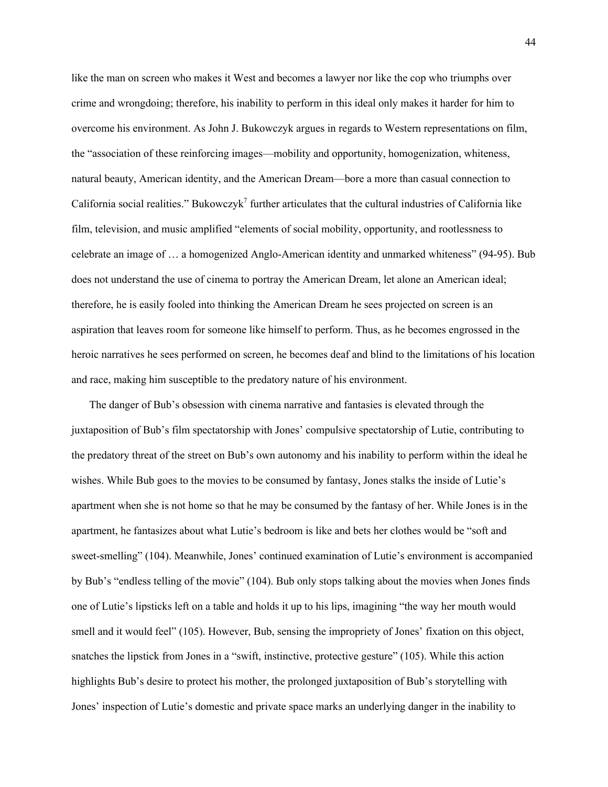like the man on screen who makes it West and becomes a lawyer nor like the cop who triumphs over crime and wrongdoing; therefore, his inability to perform in this ideal only makes it harder for him to overcome his environment. As John J. Bukowczyk argues in regards to Western representations on film, the "association of these reinforcing images—mobility and opportunity, homogenization, whiteness, natural beauty, American identity, and the American Dream—bore a more than casual connection to California social realities." Bukowczyk<sup>7</sup> further articulates that the cultural industries of California like film, television, and music amplified "elements of social mobility, opportunity, and rootlessness to celebrate an image of … a homogenized Anglo-American identity and unmarked whiteness" (94-95). Bub does not understand the use of cinema to portray the American Dream, let alone an American ideal; therefore, he is easily fooled into thinking the American Dream he sees projected on screen is an aspiration that leaves room for someone like himself to perform. Thus, as he becomes engrossed in the heroic narratives he sees performed on screen, he becomes deaf and blind to the limitations of his location and race, making him susceptible to the predatory nature of his environment.

The danger of Bub's obsession with cinema narrative and fantasies is elevated through the juxtaposition of Bub's film spectatorship with Jones' compulsive spectatorship of Lutie, contributing to the predatory threat of the street on Bub's own autonomy and his inability to perform within the ideal he wishes. While Bub goes to the movies to be consumed by fantasy, Jones stalks the inside of Lutie's apartment when she is not home so that he may be consumed by the fantasy of her. While Jones is in the apartment, he fantasizes about what Lutie's bedroom is like and bets her clothes would be "soft and sweet-smelling" (104). Meanwhile, Jones' continued examination of Lutie's environment is accompanied by Bub's "endless telling of the movie" (104). Bub only stops talking about the movies when Jones finds one of Lutie's lipsticks left on a table and holds it up to his lips, imagining "the way her mouth would smell and it would feel" (105). However, Bub, sensing the impropriety of Jones' fixation on this object, snatches the lipstick from Jones in a "swift, instinctive, protective gesture" (105). While this action highlights Bub's desire to protect his mother, the prolonged juxtaposition of Bub's storytelling with Jones' inspection of Lutie's domestic and private space marks an underlying danger in the inability to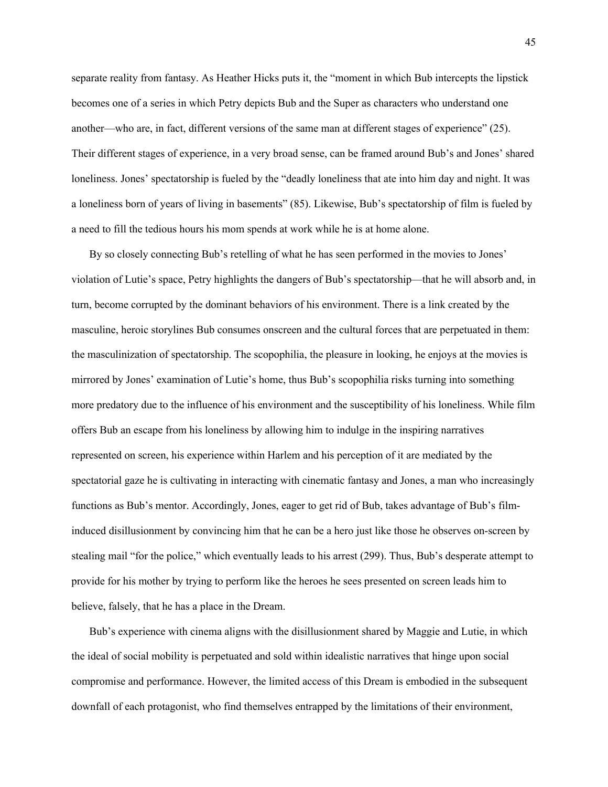separate reality from fantasy. As Heather Hicks puts it, the "moment in which Bub intercepts the lipstick becomes one of a series in which Petry depicts Bub and the Super as characters who understand one another—who are, in fact, different versions of the same man at different stages of experience" (25). Their different stages of experience, in a very broad sense, can be framed around Bub's and Jones' shared loneliness. Jones' spectatorship is fueled by the "deadly loneliness that ate into him day and night. It was a loneliness born of years of living in basements" (85). Likewise, Bub's spectatorship of film is fueled by a need to fill the tedious hours his mom spends at work while he is at home alone.

By so closely connecting Bub's retelling of what he has seen performed in the movies to Jones' violation of Lutie's space, Petry highlights the dangers of Bub's spectatorship—that he will absorb and, in turn, become corrupted by the dominant behaviors of his environment. There is a link created by the masculine, heroic storylines Bub consumes onscreen and the cultural forces that are perpetuated in them: the masculinization of spectatorship. The scopophilia, the pleasure in looking, he enjoys at the movies is mirrored by Jones' examination of Lutie's home, thus Bub's scopophilia risks turning into something more predatory due to the influence of his environment and the susceptibility of his loneliness. While film offers Bub an escape from his loneliness by allowing him to indulge in the inspiring narratives represented on screen, his experience within Harlem and his perception of it are mediated by the spectatorial gaze he is cultivating in interacting with cinematic fantasy and Jones, a man who increasingly functions as Bub's mentor. Accordingly, Jones, eager to get rid of Bub, takes advantage of Bub's filminduced disillusionment by convincing him that he can be a hero just like those he observes on-screen by stealing mail "for the police," which eventually leads to his arrest (299). Thus, Bub's desperate attempt to provide for his mother by trying to perform like the heroes he sees presented on screen leads him to believe, falsely, that he has a place in the Dream.

Bub's experience with cinema aligns with the disillusionment shared by Maggie and Lutie, in which the ideal of social mobility is perpetuated and sold within idealistic narratives that hinge upon social compromise and performance. However, the limited access of this Dream is embodied in the subsequent downfall of each protagonist, who find themselves entrapped by the limitations of their environment,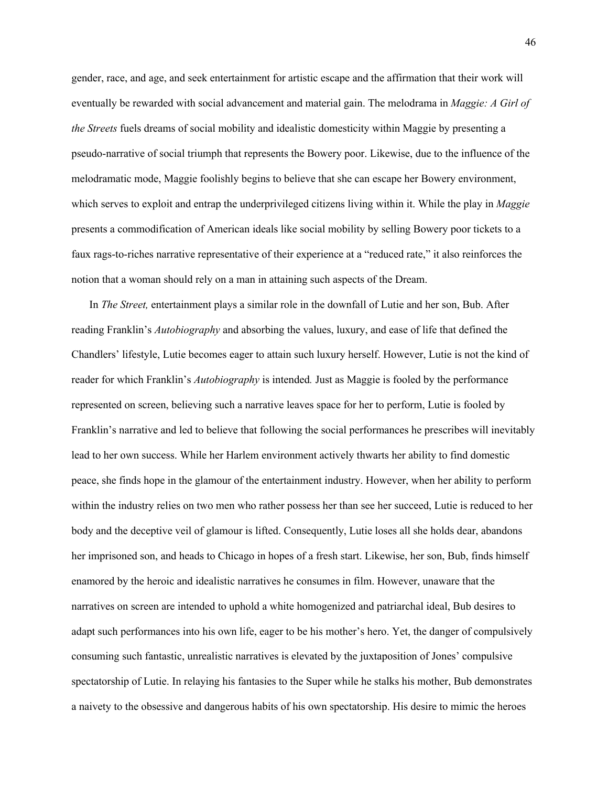gender, race, and age, and seek entertainment for artistic escape and the affirmation that their work will eventually be rewarded with social advancement and material gain. The melodrama in *Maggie: A Girl of the Streets* fuels dreams of social mobility and idealistic domesticity within Maggie by presenting a pseudo-narrative of social triumph that represents the Bowery poor. Likewise, due to the influence of the melodramatic mode, Maggie foolishly begins to believe that she can escape her Bowery environment, which serves to exploit and entrap the underprivileged citizens living within it. While the play in *Maggie*  presents a commodification of American ideals like social mobility by selling Bowery poor tickets to a faux rags-to-riches narrative representative of their experience at a "reduced rate," it also reinforces the notion that a woman should rely on a man in attaining such aspects of the Dream.

In *The Street,* entertainment plays a similar role in the downfall of Lutie and her son, Bub. After reading Franklin's *Autobiography* and absorbing the values, luxury, and ease of life that defined the Chandlers' lifestyle, Lutie becomes eager to attain such luxury herself. However, Lutie is not the kind of reader for which Franklin's *Autobiography* is intended*.* Just as Maggie is fooled by the performance represented on screen, believing such a narrative leaves space for her to perform, Lutie is fooled by Franklin's narrative and led to believe that following the social performances he prescribes will inevitably lead to her own success. While her Harlem environment actively thwarts her ability to find domestic peace, she finds hope in the glamour of the entertainment industry. However, when her ability to perform within the industry relies on two men who rather possess her than see her succeed, Lutie is reduced to her body and the deceptive veil of glamour is lifted. Consequently, Lutie loses all she holds dear, abandons her imprisoned son, and heads to Chicago in hopes of a fresh start. Likewise, her son, Bub, finds himself enamored by the heroic and idealistic narratives he consumes in film. However, unaware that the narratives on screen are intended to uphold a white homogenized and patriarchal ideal, Bub desires to adapt such performances into his own life, eager to be his mother's hero. Yet, the danger of compulsively consuming such fantastic, unrealistic narratives is elevated by the juxtaposition of Jones' compulsive spectatorship of Lutie. In relaying his fantasies to the Super while he stalks his mother, Bub demonstrates a naivety to the obsessive and dangerous habits of his own spectatorship. His desire to mimic the heroes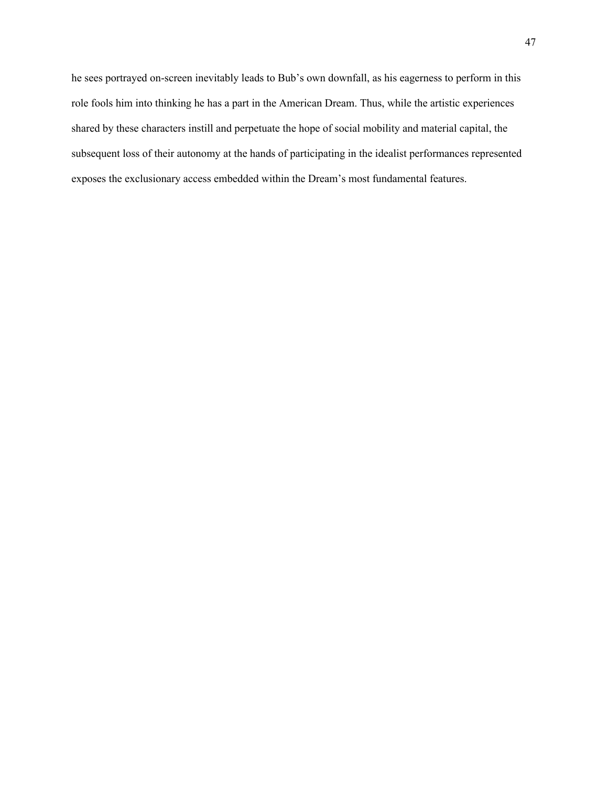he sees portrayed on-screen inevitably leads to Bub's own downfall, as his eagerness to perform in this role fools him into thinking he has a part in the American Dream. Thus, while the artistic experiences shared by these characters instill and perpetuate the hope of social mobility and material capital, the subsequent loss of their autonomy at the hands of participating in the idealist performances represented exposes the exclusionary access embedded within the Dream's most fundamental features.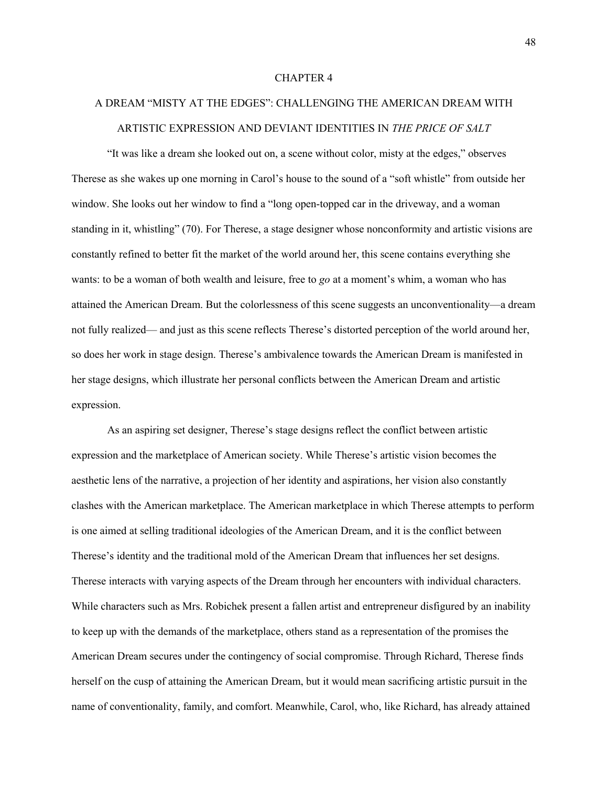## CHAPTER 4

## A DREAM "MISTY AT THE EDGES": CHALLENGING THE AMERICAN DREAM WITH ARTISTIC EXPRESSION AND DEVIANT IDENTITIES IN *THE PRICE OF SALT*

"It was like a dream she looked out on, a scene without color, misty at the edges," observes Therese as she wakes up one morning in Carol's house to the sound of a "soft whistle" from outside her window. She looks out her window to find a "long open-topped car in the driveway, and a woman standing in it, whistling" (70). For Therese, a stage designer whose nonconformity and artistic visions are constantly refined to better fit the market of the world around her, this scene contains everything she wants: to be a woman of both wealth and leisure, free to *go* at a moment's whim, a woman who has attained the American Dream. But the colorlessness of this scene suggests an unconventionality—a dream not fully realized— and just as this scene reflects Therese's distorted perception of the world around her, so does her work in stage design. Therese's ambivalence towards the American Dream is manifested in her stage designs, which illustrate her personal conflicts between the American Dream and artistic expression.

As an aspiring set designer, Therese's stage designs reflect the conflict between artistic expression and the marketplace of American society. While Therese's artistic vision becomes the aesthetic lens of the narrative, a projection of her identity and aspirations, her vision also constantly clashes with the American marketplace. The American marketplace in which Therese attempts to perform is one aimed at selling traditional ideologies of the American Dream, and it is the conflict between Therese's identity and the traditional mold of the American Dream that influences her set designs. Therese interacts with varying aspects of the Dream through her encounters with individual characters. While characters such as Mrs. Robichek present a fallen artist and entrepreneur disfigured by an inability to keep up with the demands of the marketplace, others stand as a representation of the promises the American Dream secures under the contingency of social compromise. Through Richard, Therese finds herself on the cusp of attaining the American Dream, but it would mean sacrificing artistic pursuit in the name of conventionality, family, and comfort. Meanwhile, Carol, who, like Richard, has already attained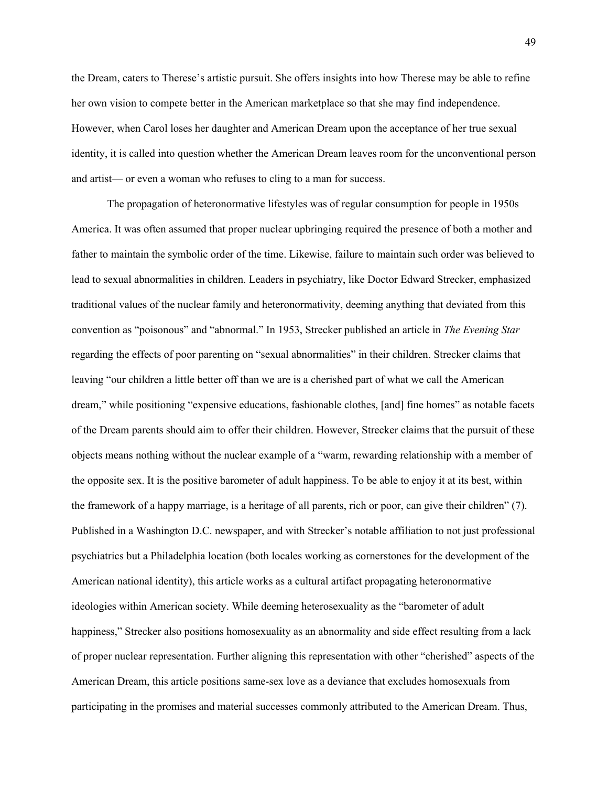the Dream, caters to Therese's artistic pursuit. She offers insights into how Therese may be able to refine her own vision to compete better in the American marketplace so that she may find independence. However, when Carol loses her daughter and American Dream upon the acceptance of her true sexual identity, it is called into question whether the American Dream leaves room for the unconventional person and artist— or even a woman who refuses to cling to a man for success.

The propagation of heteronormative lifestyles was of regular consumption for people in 1950s America. It was often assumed that proper nuclear upbringing required the presence of both a mother and father to maintain the symbolic order of the time. Likewise, failure to maintain such order was believed to lead to sexual abnormalities in children. Leaders in psychiatry, like Doctor Edward Strecker, emphasized traditional values of the nuclear family and heteronormativity, deeming anything that deviated from this convention as "poisonous" and "abnormal." In 1953, Strecker published an article in *The Evening Star* regarding the effects of poor parenting on "sexual abnormalities" in their children. Strecker claims that leaving "our children a little better off than we are is a cherished part of what we call the American dream," while positioning "expensive educations, fashionable clothes, [and] fine homes" as notable facets of the Dream parents should aim to offer their children. However, Strecker claims that the pursuit of these objects means nothing without the nuclear example of a "warm, rewarding relationship with a member of the opposite sex. It is the positive barometer of adult happiness. To be able to enjoy it at its best, within the framework of a happy marriage, is a heritage of all parents, rich or poor, can give their children" (7). Published in a Washington D.C. newspaper, and with Strecker's notable affiliation to not just professional psychiatrics but a Philadelphia location (both locales working as cornerstones for the development of the American national identity), this article works as a cultural artifact propagating heteronormative ideologies within American society. While deeming heterosexuality as the "barometer of adult happiness," Strecker also positions homosexuality as an abnormality and side effect resulting from a lack of proper nuclear representation. Further aligning this representation with other "cherished" aspects of the American Dream, this article positions same-sex love as a deviance that excludes homosexuals from participating in the promises and material successes commonly attributed to the American Dream. Thus,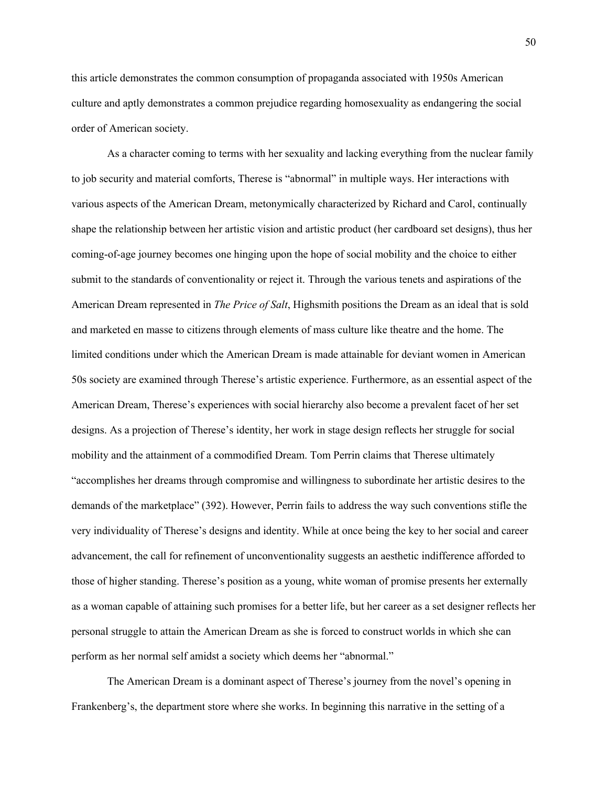this article demonstrates the common consumption of propaganda associated with 1950s American culture and aptly demonstrates a common prejudice regarding homosexuality as endangering the social order of American society.

As a character coming to terms with her sexuality and lacking everything from the nuclear family to job security and material comforts, Therese is "abnormal" in multiple ways. Her interactions with various aspects of the American Dream, metonymically characterized by Richard and Carol, continually shape the relationship between her artistic vision and artistic product (her cardboard set designs), thus her coming-of-age journey becomes one hinging upon the hope of social mobility and the choice to either submit to the standards of conventionality or reject it. Through the various tenets and aspirations of the American Dream represented in *The Price of Salt*, Highsmith positions the Dream as an ideal that is sold and marketed en masse to citizens through elements of mass culture like theatre and the home. The limited conditions under which the American Dream is made attainable for deviant women in American 50s society are examined through Therese's artistic experience. Furthermore, as an essential aspect of the American Dream, Therese's experiences with social hierarchy also become a prevalent facet of her set designs. As a projection of Therese's identity, her work in stage design reflects her struggle for social mobility and the attainment of a commodified Dream. Tom Perrin claims that Therese ultimately "accomplishes her dreams through compromise and willingness to subordinate her artistic desires to the demands of the marketplace" (392). However, Perrin fails to address the way such conventions stifle the very individuality of Therese's designs and identity. While at once being the key to her social and career advancement, the call for refinement of unconventionality suggests an aesthetic indifference afforded to those of higher standing. Therese's position as a young, white woman of promise presents her externally as a woman capable of attaining such promises for a better life, but her career as a set designer reflects her personal struggle to attain the American Dream as she is forced to construct worlds in which she can perform as her normal self amidst a society which deems her "abnormal."

The American Dream is a dominant aspect of Therese's journey from the novel's opening in Frankenberg's, the department store where she works. In beginning this narrative in the setting of a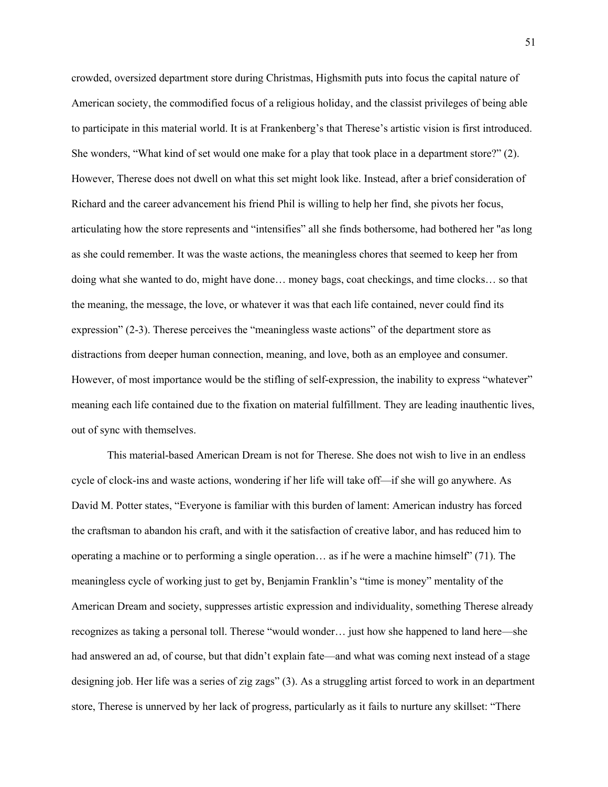crowded, oversized department store during Christmas, Highsmith puts into focus the capital nature of American society, the commodified focus of a religious holiday, and the classist privileges of being able to participate in this material world. It is at Frankenberg's that Therese's artistic vision is first introduced. She wonders, "What kind of set would one make for a play that took place in a department store?" (2). However, Therese does not dwell on what this set might look like. Instead, after a brief consideration of Richard and the career advancement his friend Phil is willing to help her find, she pivots her focus, articulating how the store represents and "intensifies" all she finds bothersome, had bothered her "as long as she could remember. It was the waste actions, the meaningless chores that seemed to keep her from doing what she wanted to do, might have done… money bags, coat checkings, and time clocks… so that the meaning, the message, the love, or whatever it was that each life contained, never could find its expression" (2-3). Therese perceives the "meaningless waste actions" of the department store as distractions from deeper human connection, meaning, and love, both as an employee and consumer. However, of most importance would be the stifling of self-expression, the inability to express "whatever" meaning each life contained due to the fixation on material fulfillment. They are leading inauthentic lives, out of sync with themselves.

This material-based American Dream is not for Therese. She does not wish to live in an endless cycle of clock-ins and waste actions, wondering if her life will take off—if she will go anywhere. As David M. Potter states, "Everyone is familiar with this burden of lament: American industry has forced the craftsman to abandon his craft, and with it the satisfaction of creative labor, and has reduced him to operating a machine or to performing a single operation… as if he were a machine himself" (71). The meaningless cycle of working just to get by, Benjamin Franklin's "time is money" mentality of the American Dream and society, suppresses artistic expression and individuality, something Therese already recognizes as taking a personal toll. Therese "would wonder… just how she happened to land here—she had answered an ad, of course, but that didn't explain fate—and what was coming next instead of a stage designing job. Her life was a series of zig zags" (3). As a struggling artist forced to work in an department store, Therese is unnerved by her lack of progress, particularly as it fails to nurture any skillset: "There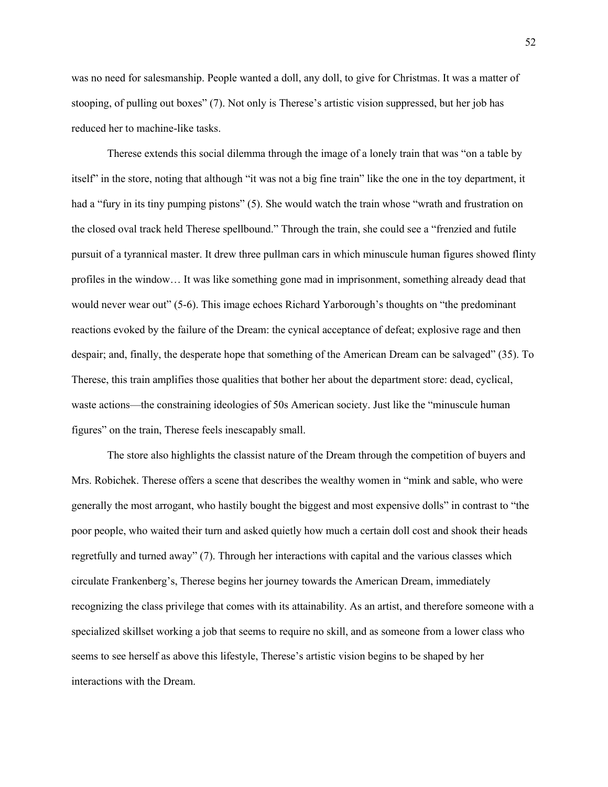was no need for salesmanship. People wanted a doll, any doll, to give for Christmas. It was a matter of stooping, of pulling out boxes" (7). Not only is Therese's artistic vision suppressed, but her job has reduced her to machine-like tasks.

Therese extends this social dilemma through the image of a lonely train that was "on a table by itself" in the store, noting that although "it was not a big fine train" like the one in the toy department, it had a "fury in its tiny pumping pistons" (5). She would watch the train whose "wrath and frustration on the closed oval track held Therese spellbound." Through the train, she could see a "frenzied and futile pursuit of a tyrannical master. It drew three pullman cars in which minuscule human figures showed flinty profiles in the window… It was like something gone mad in imprisonment, something already dead that would never wear out" (5-6). This image echoes Richard Yarborough's thoughts on "the predominant reactions evoked by the failure of the Dream: the cynical acceptance of defeat; explosive rage and then despair; and, finally, the desperate hope that something of the American Dream can be salvaged" (35). To Therese, this train amplifies those qualities that bother her about the department store: dead, cyclical, waste actions—the constraining ideologies of 50s American society. Just like the "minuscule human figures" on the train, Therese feels inescapably small.

The store also highlights the classist nature of the Dream through the competition of buyers and Mrs. Robichek. Therese offers a scene that describes the wealthy women in "mink and sable, who were generally the most arrogant, who hastily bought the biggest and most expensive dolls" in contrast to "the poor people, who waited their turn and asked quietly how much a certain doll cost and shook their heads regretfully and turned away" (7). Through her interactions with capital and the various classes which circulate Frankenberg's, Therese begins her journey towards the American Dream, immediately recognizing the class privilege that comes with its attainability. As an artist, and therefore someone with a specialized skillset working a job that seems to require no skill, and as someone from a lower class who seems to see herself as above this lifestyle, Therese's artistic vision begins to be shaped by her interactions with the Dream.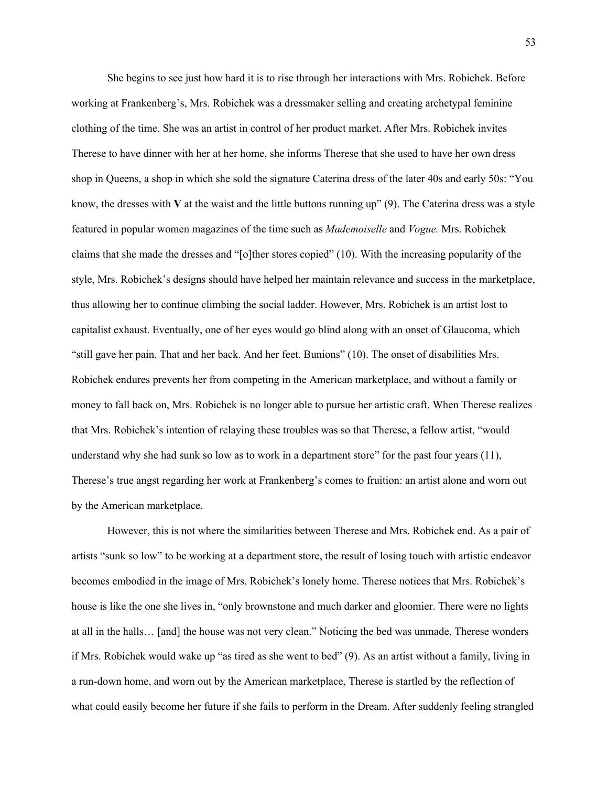She begins to see just how hard it is to rise through her interactions with Mrs. Robichek. Before working at Frankenberg's, Mrs. Robichek was a dressmaker selling and creating archetypal feminine clothing of the time. She was an artist in control of her product market. After Mrs. Robichek invites Therese to have dinner with her at her home, she informs Therese that she used to have her own dress shop in Queens, a shop in which she sold the signature Caterina dress of the later 40s and early 50s: "You know, the dresses with **V** at the waist and the little buttons running up" (9). The Caterina dress was a style featured in popular women magazines of the time such as *Mademoiselle* and *Vogue.* Mrs. Robichek claims that she made the dresses and "[o]ther stores copied" (10). With the increasing popularity of the style, Mrs. Robichek's designs should have helped her maintain relevance and success in the marketplace, thus allowing her to continue climbing the social ladder. However, Mrs. Robichek is an artist lost to capitalist exhaust. Eventually, one of her eyes would go blind along with an onset of Glaucoma, which "still gave her pain. That and her back. And her feet. Bunions" (10). The onset of disabilities Mrs. Robichek endures prevents her from competing in the American marketplace, and without a family or money to fall back on, Mrs. Robichek is no longer able to pursue her artistic craft. When Therese realizes that Mrs. Robichek's intention of relaying these troubles was so that Therese, a fellow artist, "would understand why she had sunk so low as to work in a department store" for the past four years (11), Therese's true angst regarding her work at Frankenberg's comes to fruition: an artist alone and worn out by the American marketplace.

However, this is not where the similarities between Therese and Mrs. Robichek end. As a pair of artists "sunk so low" to be working at a department store, the result of losing touch with artistic endeavor becomes embodied in the image of Mrs. Robichek's lonely home. Therese notices that Mrs. Robichek's house is like the one she lives in, "only brownstone and much darker and gloomier. There were no lights at all in the halls… [and] the house was not very clean." Noticing the bed was unmade, Therese wonders if Mrs. Robichek would wake up "as tired as she went to bed" (9). As an artist without a family, living in a run-down home, and worn out by the American marketplace, Therese is startled by the reflection of what could easily become her future if she fails to perform in the Dream. After suddenly feeling strangled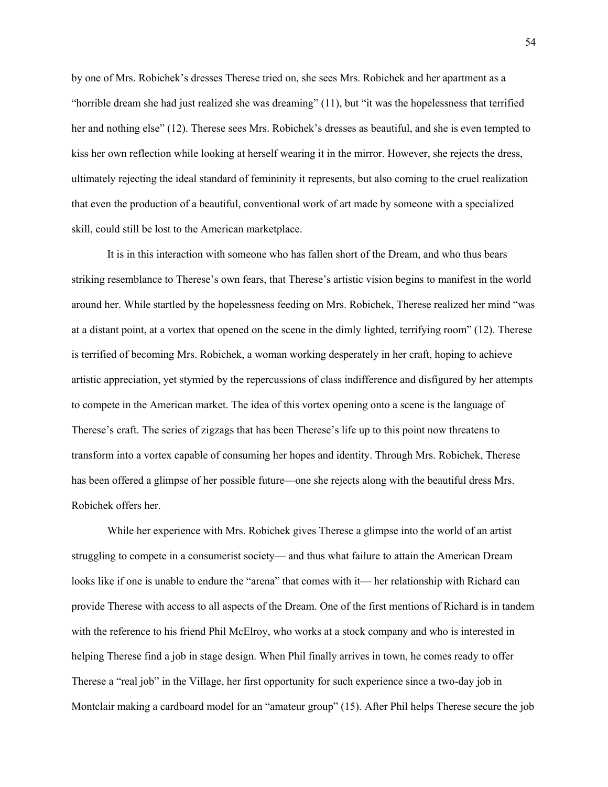by one of Mrs. Robichek's dresses Therese tried on, she sees Mrs. Robichek and her apartment as a "horrible dream she had just realized she was dreaming" (11), but "it was the hopelessness that terrified her and nothing else" (12). Therese sees Mrs. Robichek's dresses as beautiful, and she is even tempted to kiss her own reflection while looking at herself wearing it in the mirror. However, she rejects the dress, ultimately rejecting the ideal standard of femininity it represents, but also coming to the cruel realization that even the production of a beautiful, conventional work of art made by someone with a specialized skill, could still be lost to the American marketplace.

It is in this interaction with someone who has fallen short of the Dream, and who thus bears striking resemblance to Therese's own fears, that Therese's artistic vision begins to manifest in the world around her. While startled by the hopelessness feeding on Mrs. Robichek, Therese realized her mind "was at a distant point, at a vortex that opened on the scene in the dimly lighted, terrifying room" (12). Therese is terrified of becoming Mrs. Robichek, a woman working desperately in her craft, hoping to achieve artistic appreciation, yet stymied by the repercussions of class indifference and disfigured by her attempts to compete in the American market. The idea of this vortex opening onto a scene is the language of Therese's craft. The series of zigzags that has been Therese's life up to this point now threatens to transform into a vortex capable of consuming her hopes and identity. Through Mrs. Robichek, Therese has been offered a glimpse of her possible future—one she rejects along with the beautiful dress Mrs. Robichek offers her.

While her experience with Mrs. Robichek gives Therese a glimpse into the world of an artist struggling to compete in a consumerist society— and thus what failure to attain the American Dream looks like if one is unable to endure the "arena" that comes with it— her relationship with Richard can provide Therese with access to all aspects of the Dream. One of the first mentions of Richard is in tandem with the reference to his friend Phil McElroy, who works at a stock company and who is interested in helping Therese find a job in stage design. When Phil finally arrives in town, he comes ready to offer Therese a "real job" in the Village, her first opportunity for such experience since a two-day job in Montclair making a cardboard model for an "amateur group" (15). After Phil helps Therese secure the job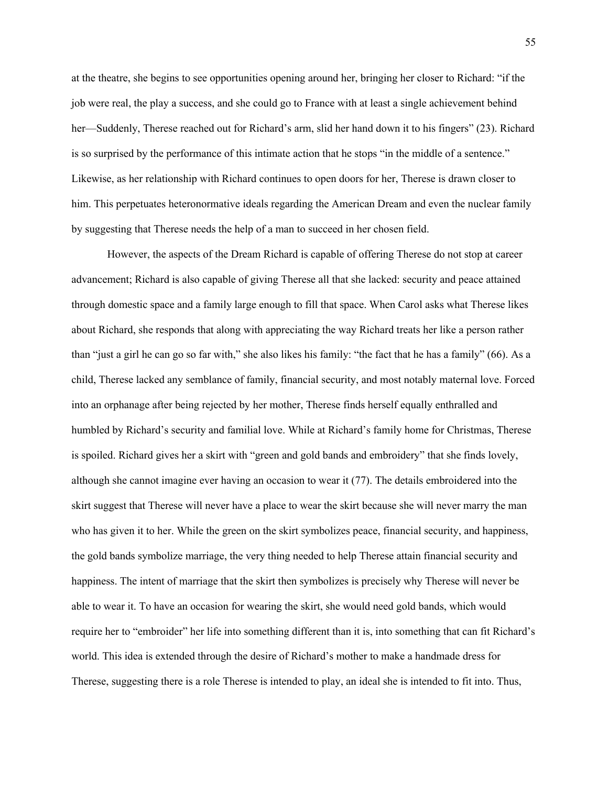at the theatre, she begins to see opportunities opening around her, bringing her closer to Richard: "if the job were real, the play a success, and she could go to France with at least a single achievement behind her—Suddenly, Therese reached out for Richard's arm, slid her hand down it to his fingers" (23). Richard is so surprised by the performance of this intimate action that he stops "in the middle of a sentence." Likewise, as her relationship with Richard continues to open doors for her, Therese is drawn closer to him. This perpetuates heteronormative ideals regarding the American Dream and even the nuclear family by suggesting that Therese needs the help of a man to succeed in her chosen field.

However, the aspects of the Dream Richard is capable of offering Therese do not stop at career advancement; Richard is also capable of giving Therese all that she lacked: security and peace attained through domestic space and a family large enough to fill that space. When Carol asks what Therese likes about Richard, she responds that along with appreciating the way Richard treats her like a person rather than "just a girl he can go so far with," she also likes his family: "the fact that he has a family" (66). As a child, Therese lacked any semblance of family, financial security, and most notably maternal love. Forced into an orphanage after being rejected by her mother, Therese finds herself equally enthralled and humbled by Richard's security and familial love. While at Richard's family home for Christmas, Therese is spoiled. Richard gives her a skirt with "green and gold bands and embroidery" that she finds lovely, although she cannot imagine ever having an occasion to wear it (77). The details embroidered into the skirt suggest that Therese will never have a place to wear the skirt because she will never marry the man who has given it to her. While the green on the skirt symbolizes peace, financial security, and happiness, the gold bands symbolize marriage, the very thing needed to help Therese attain financial security and happiness. The intent of marriage that the skirt then symbolizes is precisely why Therese will never be able to wear it. To have an occasion for wearing the skirt, she would need gold bands, which would require her to "embroider" her life into something different than it is, into something that can fit Richard's world. This idea is extended through the desire of Richard's mother to make a handmade dress for Therese, suggesting there is a role Therese is intended to play, an ideal she is intended to fit into. Thus,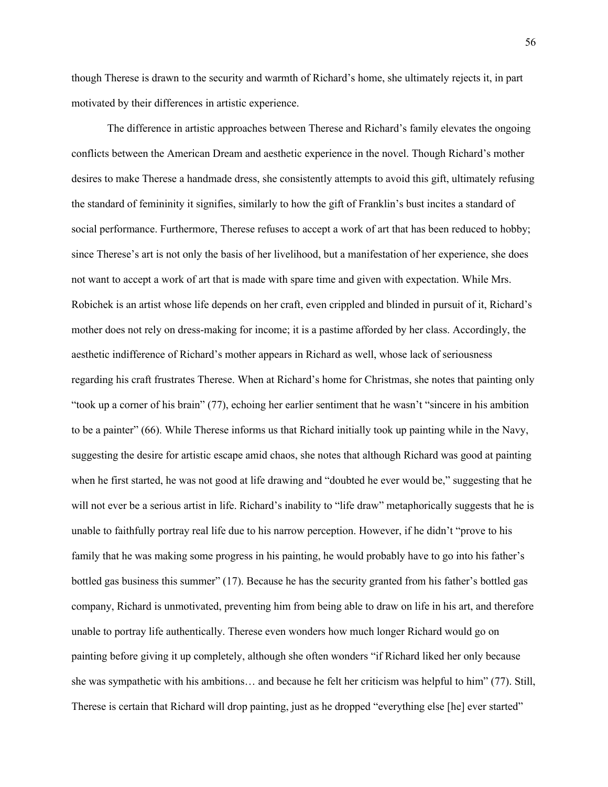though Therese is drawn to the security and warmth of Richard's home, she ultimately rejects it, in part motivated by their differences in artistic experience.

The difference in artistic approaches between Therese and Richard's family elevates the ongoing conflicts between the American Dream and aesthetic experience in the novel. Though Richard's mother desires to make Therese a handmade dress, she consistently attempts to avoid this gift, ultimately refusing the standard of femininity it signifies, similarly to how the gift of Franklin's bust incites a standard of social performance. Furthermore, Therese refuses to accept a work of art that has been reduced to hobby; since Therese's art is not only the basis of her livelihood, but a manifestation of her experience, she does not want to accept a work of art that is made with spare time and given with expectation. While Mrs. Robichek is an artist whose life depends on her craft, even crippled and blinded in pursuit of it, Richard's mother does not rely on dress-making for income; it is a pastime afforded by her class. Accordingly, the aesthetic indifference of Richard's mother appears in Richard as well, whose lack of seriousness regarding his craft frustrates Therese. When at Richard's home for Christmas, she notes that painting only "took up a corner of his brain" (77), echoing her earlier sentiment that he wasn't "sincere in his ambition to be a painter" (66). While Therese informs us that Richard initially took up painting while in the Navy, suggesting the desire for artistic escape amid chaos, she notes that although Richard was good at painting when he first started, he was not good at life drawing and "doubted he ever would be," suggesting that he will not ever be a serious artist in life. Richard's inability to "life draw" metaphorically suggests that he is unable to faithfully portray real life due to his narrow perception. However, if he didn't "prove to his family that he was making some progress in his painting, he would probably have to go into his father's bottled gas business this summer" (17). Because he has the security granted from his father's bottled gas company, Richard is unmotivated, preventing him from being able to draw on life in his art, and therefore unable to portray life authentically. Therese even wonders how much longer Richard would go on painting before giving it up completely, although she often wonders "if Richard liked her only because she was sympathetic with his ambitions… and because he felt her criticism was helpful to him" (77). Still, Therese is certain that Richard will drop painting, just as he dropped "everything else [he] ever started"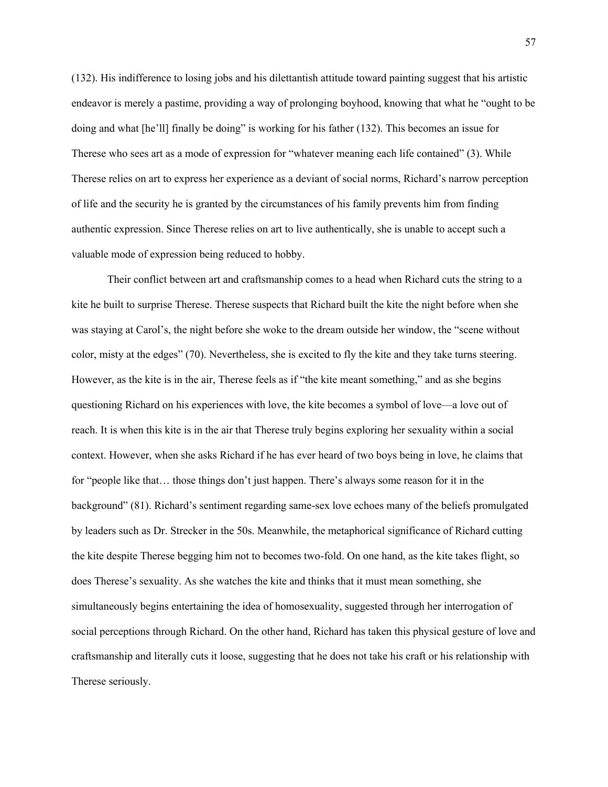(132). His indifference to losing jobs and his dilettantish attitude toward painting suggest that his artistic endeavor is merely a pastime, providing a way of prolonging boyhood, knowing that what he "ought to be doing and what [he'll] finally be doing" is working for his father (132). This becomes an issue for Therese who sees art as a mode of expression for "whatever meaning each life contained" (3). While Therese relies on art to express her experience as a deviant of social norms, Richard's narrow perception of life and the security he is granted by the circumstances of his family prevents him from finding authentic expression. Since Therese relies on art to live authentically, she is unable to accept such a valuable mode of expression being reduced to hobby.

Their conflict between art and craftsmanship comes to a head when Richard cuts the string to a kite he built to surprise Therese. Therese suspects that Richard built the kite the night before when she was staying at Carol's, the night before she woke to the dream outside her window, the "scene without color, misty at the edges" (70). Nevertheless, she is excited to fly the kite and they take turns steering. However, as the kite is in the air, Therese feels as if "the kite meant something," and as she begins questioning Richard on his experiences with love, the kite becomes a symbol of love—a love out of reach. It is when this kite is in the air that Therese truly begins exploring her sexuality within a social context. However, when she asks Richard if he has ever heard of two boys being in love, he claims that for "people like that… those things don't just happen. There's always some reason for it in the background" (81). Richard's sentiment regarding same-sex love echoes many of the beliefs promulgated by leaders such as Dr. Strecker in the 50s. Meanwhile, the metaphorical significance of Richard cutting the kite despite Therese begging him not to becomes two-fold. On one hand, as the kite takes flight, so does Therese's sexuality. As she watches the kite and thinks that it must mean something, she simultaneously begins entertaining the idea of homosexuality, suggested through her interrogation of social perceptions through Richard. On the other hand, Richard has taken this physical gesture of love and craftsmanship and literally cuts it loose, suggesting that he does not take his craft or his relationship with Therese seriously.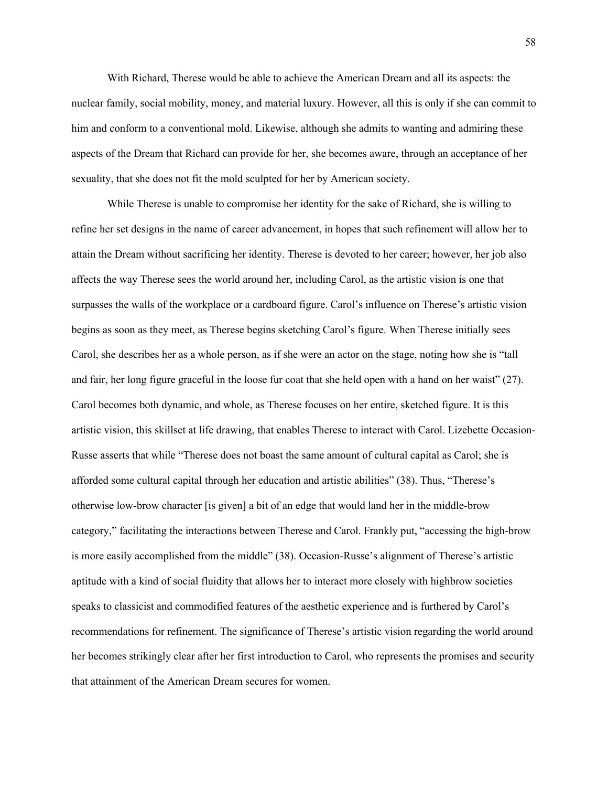With Richard, Therese would be able to achieve the American Dream and all its aspects: the nuclear family, social mobility, money, and material luxury. However, all this is only if she can commit to him and conform to a conventional mold. Likewise, although she admits to wanting and admiring these aspects of the Dream that Richard can provide for her, she becomes aware, through an acceptance of her sexuality, that she does not fit the mold sculpted for her by American society.

While Therese is unable to compromise her identity for the sake of Richard, she is willing to refine her set designs in the name of career advancement, in hopes that such refinement will allow her to attain the Dream without sacrificing her identity. Therese is devoted to her career; however, her job also affects the way Therese sees the world around her, including Carol, as the artistic vision is one that surpasses the walls of the workplace or a cardboard figure. Carol's influence on Therese's artistic vision begins as soon as they meet, as Therese begins sketching Carol's figure. When Therese initially sees Carol, she describes her as a whole person, as if she were an actor on the stage, noting how she is "tall and fair, her long figure graceful in the loose fur coat that she held open with a hand on her waist" (27). Carol becomes both dynamic, and whole, as Therese focuses on her entire, sketched figure. It is this artistic vision, this skillset at life drawing, that enables Therese to interact with Carol. Lizebette Occasion-Russe asserts that while "Therese does not boast the same amount of cultural capital as Carol; she is afforded some cultural capital through her education and artistic abilities" (38). Thus, "Therese's otherwise low-brow character [is given] a bit of an edge that would land her in the middle-brow category," facilitating the interactions between Therese and Carol. Frankly put, "accessing the high-brow is more easily accomplished from the middle" (38). Occasion-Russe's alignment of Therese's artistic aptitude with a kind of social fluidity that allows her to interact more closely with highbrow societies speaks to classicist and commodified features of the aesthetic experience and is furthered by Carol's recommendations for refinement. The significance of Therese's artistic vision regarding the world around her becomes strikingly clear after her first introduction to Carol, who represents the promises and security that attainment of the American Dream secures for women.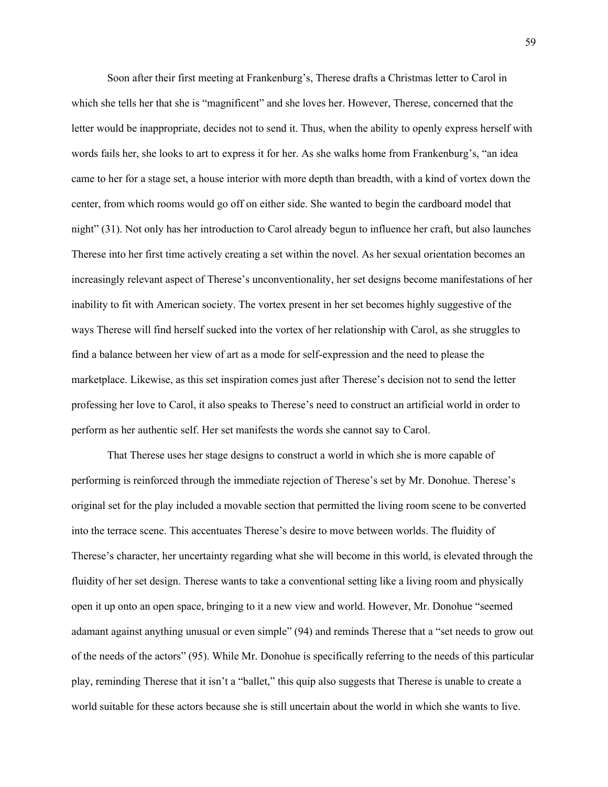Soon after their first meeting at Frankenburg's, Therese drafts a Christmas letter to Carol in which she tells her that she is "magnificent" and she loves her. However, Therese, concerned that the letter would be inappropriate, decides not to send it. Thus, when the ability to openly express herself with words fails her, she looks to art to express it for her. As she walks home from Frankenburg's, "an idea came to her for a stage set, a house interior with more depth than breadth, with a kind of vortex down the center, from which rooms would go off on either side. She wanted to begin the cardboard model that night" (31). Not only has her introduction to Carol already begun to influence her craft, but also launches Therese into her first time actively creating a set within the novel. As her sexual orientation becomes an increasingly relevant aspect of Therese's unconventionality, her set designs become manifestations of her inability to fit with American society. The vortex present in her set becomes highly suggestive of the ways Therese will find herself sucked into the vortex of her relationship with Carol, as she struggles to find a balance between her view of art as a mode for self-expression and the need to please the marketplace. Likewise, as this set inspiration comes just after Therese's decision not to send the letter professing her love to Carol, it also speaks to Therese's need to construct an artificial world in order to perform as her authentic self. Her set manifests the words she cannot say to Carol.

That Therese uses her stage designs to construct a world in which she is more capable of performing is reinforced through the immediate rejection of Therese's set by Mr. Donohue. Therese's original set for the play included a movable section that permitted the living room scene to be converted into the terrace scene. This accentuates Therese's desire to move between worlds. The fluidity of Therese's character, her uncertainty regarding what she will become in this world, is elevated through the fluidity of her set design. Therese wants to take a conventional setting like a living room and physically open it up onto an open space, bringing to it a new view and world. However, Mr. Donohue "seemed adamant against anything unusual or even simple" (94) and reminds Therese that a "set needs to grow out of the needs of the actors" (95). While Mr. Donohue is specifically referring to the needs of this particular play, reminding Therese that it isn't a "ballet," this quip also suggests that Therese is unable to create a world suitable for these actors because she is still uncertain about the world in which she wants to live.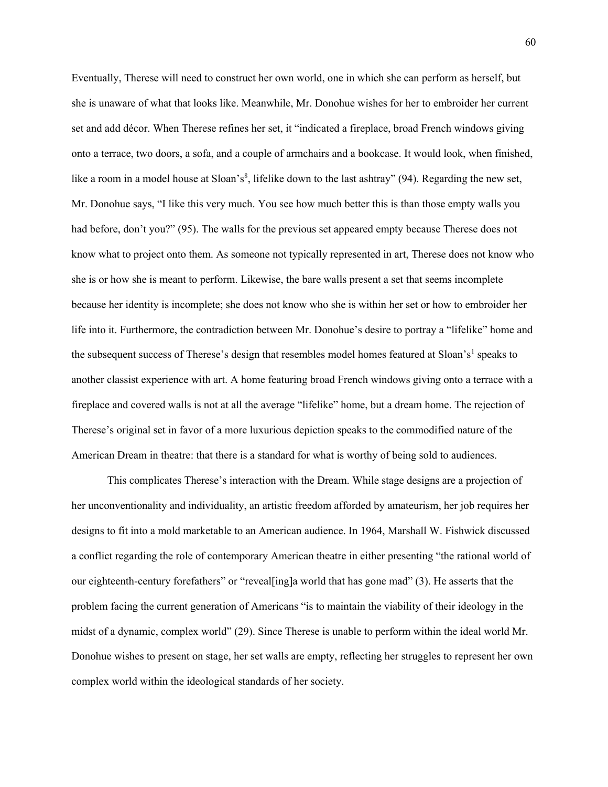Eventually, Therese will need to construct her own world, one in which she can perform as herself, but she is unaware of what that looks like. Meanwhile, Mr. Donohue wishes for her to embroider her current set and add décor. When Therese refines her set, it "indicated a fireplace, broad French windows giving onto a terrace, two doors, a sofa, and a couple of armchairs and a bookcase. It would look, when finished, like a room in a model house at Sloan's<sup>8</sup>, lifelike down to the last ashtray" (94). Regarding the new set, Mr. Donohue says, "I like this very much. You see how much better this is than those empty walls you had before, don't you?" (95). The walls for the previous set appeared empty because Therese does not know what to project onto them. As someone not typically represented in art, Therese does not know who she is or how she is meant to perform. Likewise, the bare walls present a set that seems incomplete because her identity is incomplete; she does not know who she is within her set or how to embroider her life into it. Furthermore, the contradiction between Mr. Donohue's desire to portray a "lifelike" home and the subsequent success of Therese's design that resembles model homes featured at Sloan's<sup>1</sup> speaks to another classist experience with art. A home featuring broad French windows giving onto a terrace with a fireplace and covered walls is not at all the average "lifelike" home, but a dream home. The rejection of Therese's original set in favor of a more luxurious depiction speaks to the commodified nature of the American Dream in theatre: that there is a standard for what is worthy of being sold to audiences.

This complicates Therese's interaction with the Dream. While stage designs are a projection of her unconventionality and individuality, an artistic freedom afforded by amateurism, her job requires her designs to fit into a mold marketable to an American audience. In 1964, Marshall W. Fishwick discussed a conflict regarding the role of contemporary American theatre in either presenting "the rational world of our eighteenth-century forefathers" or "reveal[ing]a world that has gone mad" (3). He asserts that the problem facing the current generation of Americans "is to maintain the viability of their ideology in the midst of a dynamic, complex world" (29). Since Therese is unable to perform within the ideal world Mr. Donohue wishes to present on stage, her set walls are empty, reflecting her struggles to represent her own complex world within the ideological standards of her society.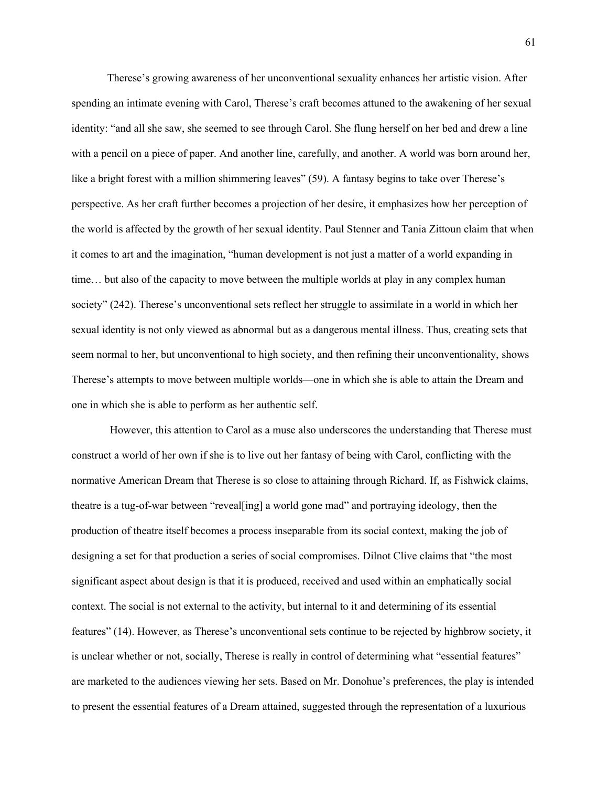Therese's growing awareness of her unconventional sexuality enhances her artistic vision. After spending an intimate evening with Carol, Therese's craft becomes attuned to the awakening of her sexual identity: "and all she saw, she seemed to see through Carol. She flung herself on her bed and drew a line with a pencil on a piece of paper. And another line, carefully, and another. A world was born around her, like a bright forest with a million shimmering leaves" (59). A fantasy begins to take over Therese's perspective. As her craft further becomes a projection of her desire, it emphasizes how her perception of the world is affected by the growth of her sexual identity. Paul Stenner and Tania Zittoun claim that when it comes to art and the imagination, "human development is not just a matter of a world expanding in time… but also of the capacity to move between the multiple worlds at play in any complex human society" (242). Therese's unconventional sets reflect her struggle to assimilate in a world in which her sexual identity is not only viewed as abnormal but as a dangerous mental illness. Thus, creating sets that seem normal to her, but unconventional to high society, and then refining their unconventionality, shows Therese's attempts to move between multiple worlds—one in which she is able to attain the Dream and one in which she is able to perform as her authentic self.

However, this attention to Carol as a muse also underscores the understanding that Therese must construct a world of her own if she is to live out her fantasy of being with Carol, conflicting with the normative American Dream that Therese is so close to attaining through Richard. If, as Fishwick claims, theatre is a tug-of-war between "reveal[ing] a world gone mad" and portraying ideology, then the production of theatre itself becomes a process inseparable from its social context, making the job of designing a set for that production a series of social compromises. Dilnot Clive claims that "the most significant aspect about design is that it is produced, received and used within an emphatically social context. The social is not external to the activity, but internal to it and determining of its essential features" (14). However, as Therese's unconventional sets continue to be rejected by highbrow society, it is unclear whether or not, socially, Therese is really in control of determining what "essential features" are marketed to the audiences viewing her sets. Based on Mr. Donohue's preferences, the play is intended to present the essential features of a Dream attained, suggested through the representation of a luxurious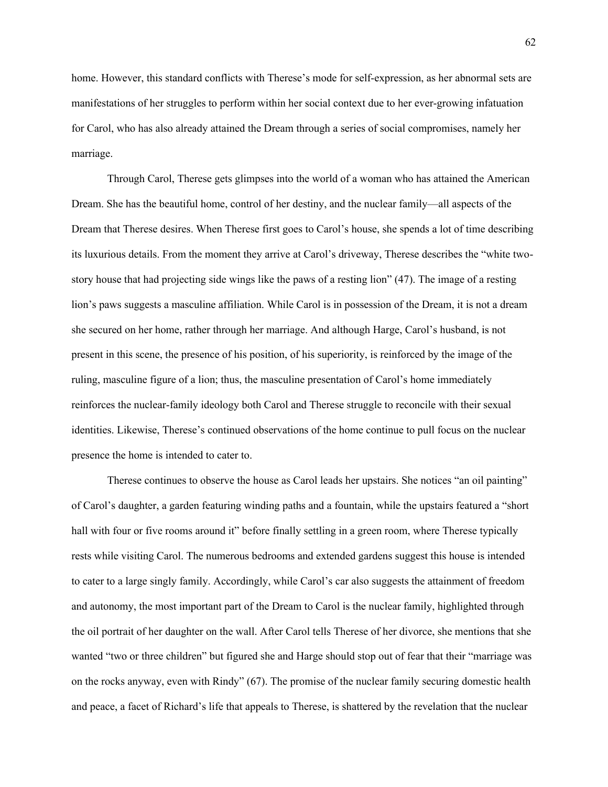home. However, this standard conflicts with Therese's mode for self-expression, as her abnormal sets are manifestations of her struggles to perform within her social context due to her ever-growing infatuation for Carol, who has also already attained the Dream through a series of social compromises, namely her marriage.

Through Carol, Therese gets glimpses into the world of a woman who has attained the American Dream. She has the beautiful home, control of her destiny, and the nuclear family—all aspects of the Dream that Therese desires. When Therese first goes to Carol's house, she spends a lot of time describing its luxurious details. From the moment they arrive at Carol's driveway, Therese describes the "white twostory house that had projecting side wings like the paws of a resting lion" (47). The image of a resting lion's paws suggests a masculine affiliation. While Carol is in possession of the Dream, it is not a dream she secured on her home, rather through her marriage. And although Harge, Carol's husband, is not present in this scene, the presence of his position, of his superiority, is reinforced by the image of the ruling, masculine figure of a lion; thus, the masculine presentation of Carol's home immediately reinforces the nuclear-family ideology both Carol and Therese struggle to reconcile with their sexual identities. Likewise, Therese's continued observations of the home continue to pull focus on the nuclear presence the home is intended to cater to.

Therese continues to observe the house as Carol leads her upstairs. She notices "an oil painting" of Carol's daughter, a garden featuring winding paths and a fountain, while the upstairs featured a "short hall with four or five rooms around it" before finally settling in a green room, where Therese typically rests while visiting Carol. The numerous bedrooms and extended gardens suggest this house is intended to cater to a large singly family. Accordingly, while Carol's car also suggests the attainment of freedom and autonomy, the most important part of the Dream to Carol is the nuclear family, highlighted through the oil portrait of her daughter on the wall. After Carol tells Therese of her divorce, she mentions that she wanted "two or three children" but figured she and Harge should stop out of fear that their "marriage was on the rocks anyway, even with Rindy" (67). The promise of the nuclear family securing domestic health and peace, a facet of Richard's life that appeals to Therese, is shattered by the revelation that the nuclear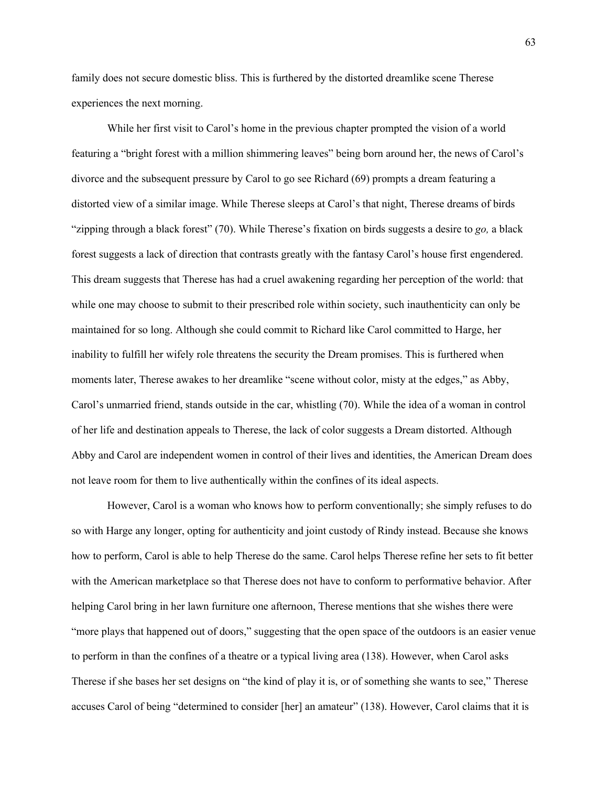family does not secure domestic bliss. This is furthered by the distorted dreamlike scene Therese experiences the next morning.

While her first visit to Carol's home in the previous chapter prompted the vision of a world featuring a "bright forest with a million shimmering leaves" being born around her, the news of Carol's divorce and the subsequent pressure by Carol to go see Richard (69) prompts a dream featuring a distorted view of a similar image. While Therese sleeps at Carol's that night, Therese dreams of birds "zipping through a black forest" (70). While Therese's fixation on birds suggests a desire to *go,* a black forest suggests a lack of direction that contrasts greatly with the fantasy Carol's house first engendered. This dream suggests that Therese has had a cruel awakening regarding her perception of the world: that while one may choose to submit to their prescribed role within society, such inauthenticity can only be maintained for so long. Although she could commit to Richard like Carol committed to Harge, her inability to fulfill her wifely role threatens the security the Dream promises. This is furthered when moments later, Therese awakes to her dreamlike "scene without color, misty at the edges," as Abby, Carol's unmarried friend, stands outside in the car, whistling (70). While the idea of a woman in control of her life and destination appeals to Therese, the lack of color suggests a Dream distorted. Although Abby and Carol are independent women in control of their lives and identities, the American Dream does not leave room for them to live authentically within the confines of its ideal aspects.

However, Carol is a woman who knows how to perform conventionally; she simply refuses to do so with Harge any longer, opting for authenticity and joint custody of Rindy instead. Because she knows how to perform, Carol is able to help Therese do the same. Carol helps Therese refine her sets to fit better with the American marketplace so that Therese does not have to conform to performative behavior. After helping Carol bring in her lawn furniture one afternoon, Therese mentions that she wishes there were "more plays that happened out of doors," suggesting that the open space of the outdoors is an easier venue to perform in than the confines of a theatre or a typical living area (138). However, when Carol asks Therese if she bases her set designs on "the kind of play it is, or of something she wants to see," Therese accuses Carol of being "determined to consider [her] an amateur" (138). However, Carol claims that it is

63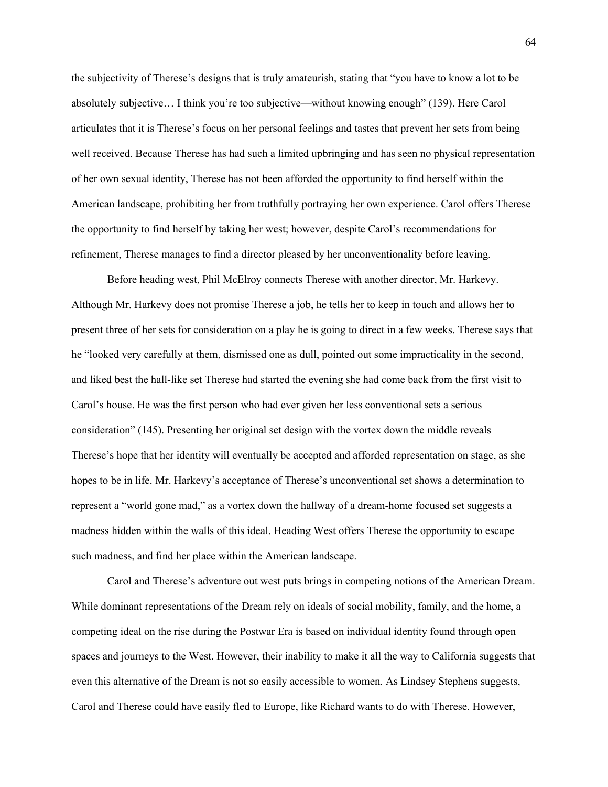the subjectivity of Therese's designs that is truly amateurish, stating that "you have to know a lot to be absolutely subjective… I think you're too subjective—without knowing enough" (139). Here Carol articulates that it is Therese's focus on her personal feelings and tastes that prevent her sets from being well received. Because Therese has had such a limited upbringing and has seen no physical representation of her own sexual identity, Therese has not been afforded the opportunity to find herself within the American landscape, prohibiting her from truthfully portraying her own experience. Carol offers Therese the opportunity to find herself by taking her west; however, despite Carol's recommendations for refinement, Therese manages to find a director pleased by her unconventionality before leaving.

Before heading west, Phil McElroy connects Therese with another director, Mr. Harkevy. Although Mr. Harkevy does not promise Therese a job, he tells her to keep in touch and allows her to present three of her sets for consideration on a play he is going to direct in a few weeks. Therese says that he "looked very carefully at them, dismissed one as dull, pointed out some impracticality in the second, and liked best the hall-like set Therese had started the evening she had come back from the first visit to Carol's house. He was the first person who had ever given her less conventional sets a serious consideration" (145). Presenting her original set design with the vortex down the middle reveals Therese's hope that her identity will eventually be accepted and afforded representation on stage, as she hopes to be in life. Mr. Harkevy's acceptance of Therese's unconventional set shows a determination to represent a "world gone mad," as a vortex down the hallway of a dream-home focused set suggests a madness hidden within the walls of this ideal. Heading West offers Therese the opportunity to escape such madness, and find her place within the American landscape.

Carol and Therese's adventure out west puts brings in competing notions of the American Dream. While dominant representations of the Dream rely on ideals of social mobility, family, and the home, a competing ideal on the rise during the Postwar Era is based on individual identity found through open spaces and journeys to the West. However, their inability to make it all the way to California suggests that even this alternative of the Dream is not so easily accessible to women. As Lindsey Stephens suggests, Carol and Therese could have easily fled to Europe, like Richard wants to do with Therese. However,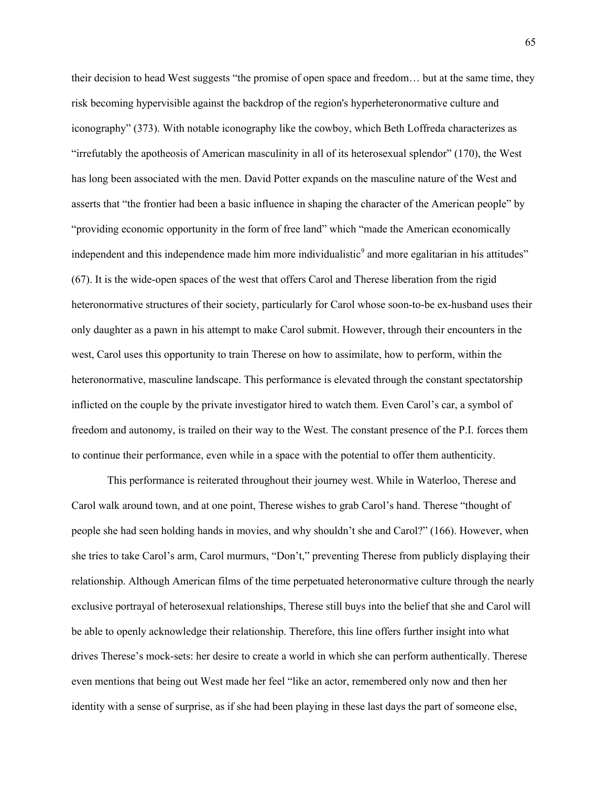their decision to head West suggests "the promise of open space and freedom… but at the same time, they risk becoming hypervisible against the backdrop of the region's hyperheteronormative culture and iconography" (373). With notable iconography like the cowboy, which Beth Loffreda characterizes as "irrefutably the apotheosis of American masculinity in all of its heterosexual splendor" (170), the West has long been associated with the men. David Potter expands on the masculine nature of the West and asserts that "the frontier had been a basic influence in shaping the character of the American people" by "providing economic opportunity in the form of free land" which "made the American economically independent and this independence made him more individualistic<sup>9</sup> and more egalitarian in his attitudes" (67). It is the wide-open spaces of the west that offers Carol and Therese liberation from the rigid heteronormative structures of their society, particularly for Carol whose soon-to-be ex-husband uses their only daughter as a pawn in his attempt to make Carol submit. However, through their encounters in the west, Carol uses this opportunity to train Therese on how to assimilate, how to perform, within the heteronormative, masculine landscape. This performance is elevated through the constant spectatorship inflicted on the couple by the private investigator hired to watch them. Even Carol's car, a symbol of freedom and autonomy, is trailed on their way to the West. The constant presence of the P.I. forces them to continue their performance, even while in a space with the potential to offer them authenticity.

This performance is reiterated throughout their journey west. While in Waterloo, Therese and Carol walk around town, and at one point, Therese wishes to grab Carol's hand. Therese "thought of people she had seen holding hands in movies, and why shouldn't she and Carol?" (166). However, when she tries to take Carol's arm, Carol murmurs, "Don't," preventing Therese from publicly displaying their relationship. Although American films of the time perpetuated heteronormative culture through the nearly exclusive portrayal of heterosexual relationships, Therese still buys into the belief that she and Carol will be able to openly acknowledge their relationship. Therefore, this line offers further insight into what drives Therese's mock-sets: her desire to create a world in which she can perform authentically. Therese even mentions that being out West made her feel "like an actor, remembered only now and then her identity with a sense of surprise, as if she had been playing in these last days the part of someone else,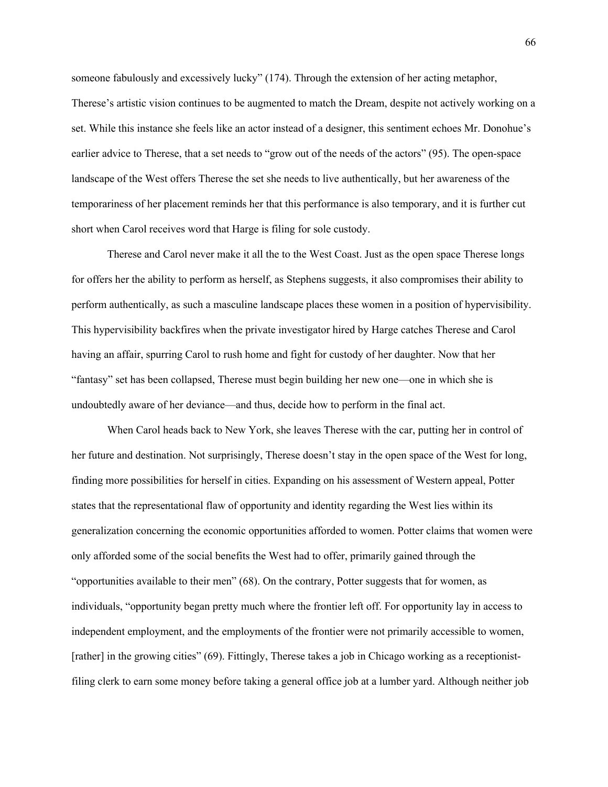someone fabulously and excessively lucky" (174). Through the extension of her acting metaphor, Therese's artistic vision continues to be augmented to match the Dream, despite not actively working on a set. While this instance she feels like an actor instead of a designer, this sentiment echoes Mr. Donohue's earlier advice to Therese, that a set needs to "grow out of the needs of the actors" (95). The open-space landscape of the West offers Therese the set she needs to live authentically, but her awareness of the temporariness of her placement reminds her that this performance is also temporary, and it is further cut short when Carol receives word that Harge is filing for sole custody.

Therese and Carol never make it all the to the West Coast. Just as the open space Therese longs for offers her the ability to perform as herself, as Stephens suggests, it also compromises their ability to perform authentically, as such a masculine landscape places these women in a position of hypervisibility. This hypervisibility backfires when the private investigator hired by Harge catches Therese and Carol having an affair, spurring Carol to rush home and fight for custody of her daughter. Now that her "fantasy" set has been collapsed, Therese must begin building her new one—one in which she is undoubtedly aware of her deviance—and thus, decide how to perform in the final act.

When Carol heads back to New York, she leaves Therese with the car, putting her in control of her future and destination. Not surprisingly, Therese doesn't stay in the open space of the West for long, finding more possibilities for herself in cities. Expanding on his assessment of Western appeal, Potter states that the representational flaw of opportunity and identity regarding the West lies within its generalization concerning the economic opportunities afforded to women. Potter claims that women were only afforded some of the social benefits the West had to offer, primarily gained through the "opportunities available to their men" (68). On the contrary, Potter suggests that for women, as individuals, "opportunity began pretty much where the frontier left off. For opportunity lay in access to independent employment, and the employments of the frontier were not primarily accessible to women, [rather] in the growing cities" (69). Fittingly, Therese takes a job in Chicago working as a receptionistfiling clerk to earn some money before taking a general office job at a lumber yard. Although neither job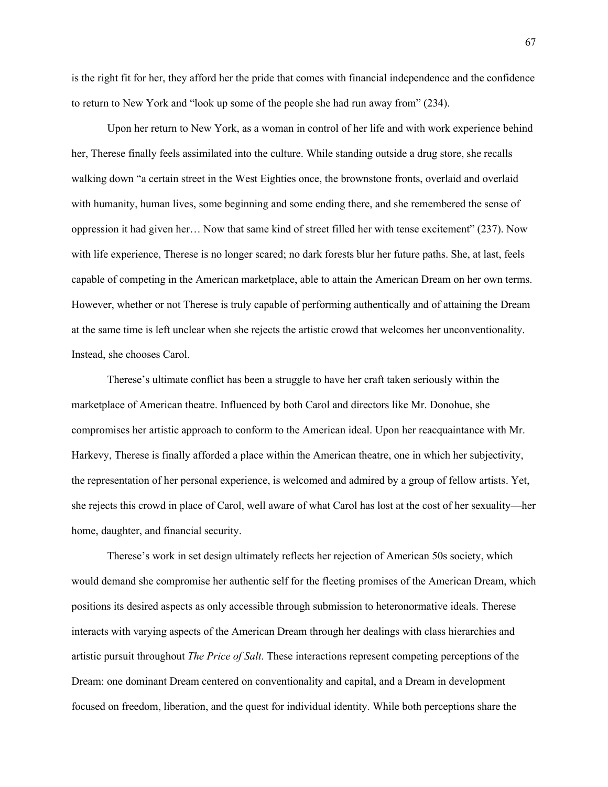is the right fit for her, they afford her the pride that comes with financial independence and the confidence to return to New York and "look up some of the people she had run away from" (234).

Upon her return to New York, as a woman in control of her life and with work experience behind her, Therese finally feels assimilated into the culture. While standing outside a drug store, she recalls walking down "a certain street in the West Eighties once, the brownstone fronts, overlaid and overlaid with humanity, human lives, some beginning and some ending there, and she remembered the sense of oppression it had given her… Now that same kind of street filled her with tense excitement" (237). Now with life experience, Therese is no longer scared; no dark forests blur her future paths. She, at last, feels capable of competing in the American marketplace, able to attain the American Dream on her own terms. However, whether or not Therese is truly capable of performing authentically and of attaining the Dream at the same time is left unclear when she rejects the artistic crowd that welcomes her unconventionality. Instead, she chooses Carol.

Therese's ultimate conflict has been a struggle to have her craft taken seriously within the marketplace of American theatre. Influenced by both Carol and directors like Mr. Donohue, she compromises her artistic approach to conform to the American ideal. Upon her reacquaintance with Mr. Harkevy, Therese is finally afforded a place within the American theatre, one in which her subjectivity, the representation of her personal experience, is welcomed and admired by a group of fellow artists. Yet, she rejects this crowd in place of Carol, well aware of what Carol has lost at the cost of her sexuality—her home, daughter, and financial security.

Therese's work in set design ultimately reflects her rejection of American 50s society, which would demand she compromise her authentic self for the fleeting promises of the American Dream, which positions its desired aspects as only accessible through submission to heteronormative ideals. Therese interacts with varying aspects of the American Dream through her dealings with class hierarchies and artistic pursuit throughout *The Price of Salt*. These interactions represent competing perceptions of the Dream: one dominant Dream centered on conventionality and capital, and a Dream in development focused on freedom, liberation, and the quest for individual identity. While both perceptions share the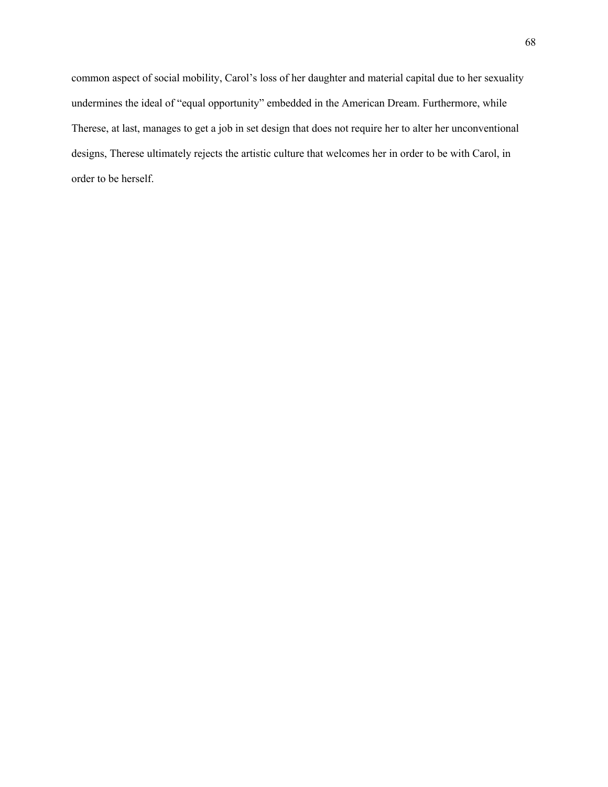common aspect of social mobility, Carol's loss of her daughter and material capital due to her sexuality undermines the ideal of "equal opportunity" embedded in the American Dream. Furthermore, while Therese, at last, manages to get a job in set design that does not require her to alter her unconventional designs, Therese ultimately rejects the artistic culture that welcomes her in order to be with Carol, in order to be herself.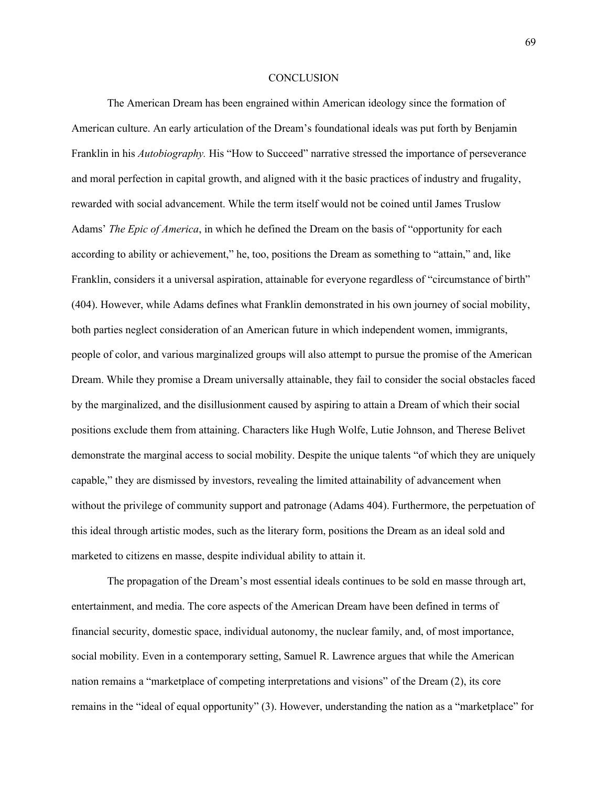## **CONCLUSION**

The American Dream has been engrained within American ideology since the formation of American culture. An early articulation of the Dream's foundational ideals was put forth by Benjamin Franklin in his *Autobiography.* His "How to Succeed" narrative stressed the importance of perseverance and moral perfection in capital growth, and aligned with it the basic practices of industry and frugality, rewarded with social advancement. While the term itself would not be coined until James Truslow Adams' *The Epic of America*, in which he defined the Dream on the basis of "opportunity for each according to ability or achievement," he, too, positions the Dream as something to "attain," and, like Franklin, considers it a universal aspiration, attainable for everyone regardless of "circumstance of birth" (404). However, while Adams defines what Franklin demonstrated in his own journey of social mobility, both parties neglect consideration of an American future in which independent women, immigrants, people of color, and various marginalized groups will also attempt to pursue the promise of the American Dream. While they promise a Dream universally attainable, they fail to consider the social obstacles faced by the marginalized, and the disillusionment caused by aspiring to attain a Dream of which their social positions exclude them from attaining. Characters like Hugh Wolfe, Lutie Johnson, and Therese Belivet demonstrate the marginal access to social mobility. Despite the unique talents "of which they are uniquely capable," they are dismissed by investors, revealing the limited attainability of advancement when without the privilege of community support and patronage (Adams 404). Furthermore, the perpetuation of this ideal through artistic modes, such as the literary form, positions the Dream as an ideal sold and marketed to citizens en masse, despite individual ability to attain it.

The propagation of the Dream's most essential ideals continues to be sold en masse through art, entertainment, and media. The core aspects of the American Dream have been defined in terms of financial security, domestic space, individual autonomy, the nuclear family, and, of most importance, social mobility. Even in a contemporary setting, Samuel R. Lawrence argues that while the American nation remains a "marketplace of competing interpretations and visions" of the Dream (2), its core remains in the "ideal of equal opportunity" (3). However, understanding the nation as a "marketplace" for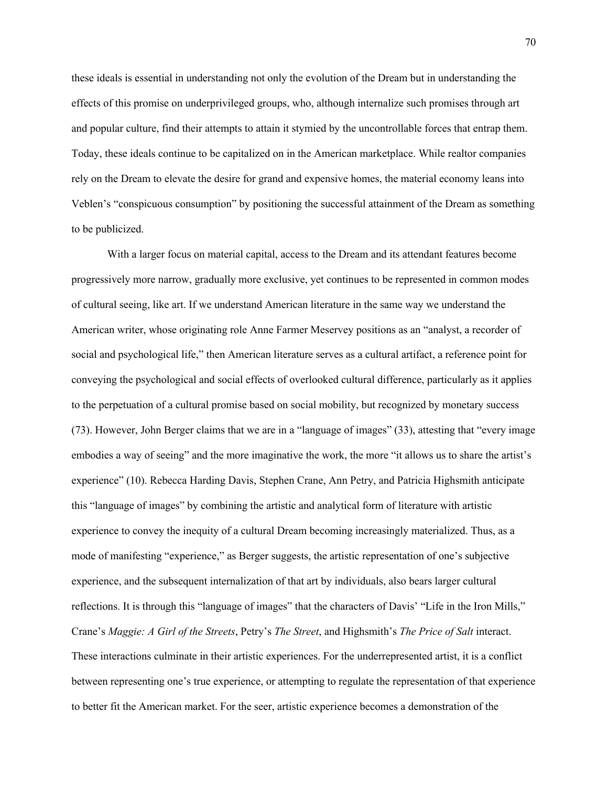these ideals is essential in understanding not only the evolution of the Dream but in understanding the effects of this promise on underprivileged groups, who, although internalize such promises through art and popular culture, find their attempts to attain it stymied by the uncontrollable forces that entrap them. Today, these ideals continue to be capitalized on in the American marketplace. While realtor companies rely on the Dream to elevate the desire for grand and expensive homes, the material economy leans into Veblen's "conspicuous consumption" by positioning the successful attainment of the Dream as something to be publicized.

With a larger focus on material capital, access to the Dream and its attendant features become progressively more narrow, gradually more exclusive, yet continues to be represented in common modes of cultural seeing, like art. If we understand American literature in the same way we understand the American writer, whose originating role Anne Farmer Meservey positions as an "analyst, a recorder of social and psychological life," then American literature serves as a cultural artifact, a reference point for conveying the psychological and social effects of overlooked cultural difference, particularly as it applies to the perpetuation of a cultural promise based on social mobility, but recognized by monetary success (73). However, John Berger claims that we are in a "language of images" (33), attesting that "every image embodies a way of seeing" and the more imaginative the work, the more "it allows us to share the artist's experience" (10). Rebecca Harding Davis, Stephen Crane, Ann Petry, and Patricia Highsmith anticipate this "language of images" by combining the artistic and analytical form of literature with artistic experience to convey the inequity of a cultural Dream becoming increasingly materialized. Thus, as a mode of manifesting "experience," as Berger suggests, the artistic representation of one's subjective experience, and the subsequent internalization of that art by individuals, also bears larger cultural reflections. It is through this "language of images" that the characters of Davis' "Life in the Iron Mills," Crane's *Maggie: A Girl of the Streets*, Petry's *The Street*, and Highsmith's *The Price of Salt* interact. These interactions culminate in their artistic experiences. For the underrepresented artist, it is a conflict between representing one's true experience, or attempting to regulate the representation of that experience to better fit the American market. For the seer, artistic experience becomes a demonstration of the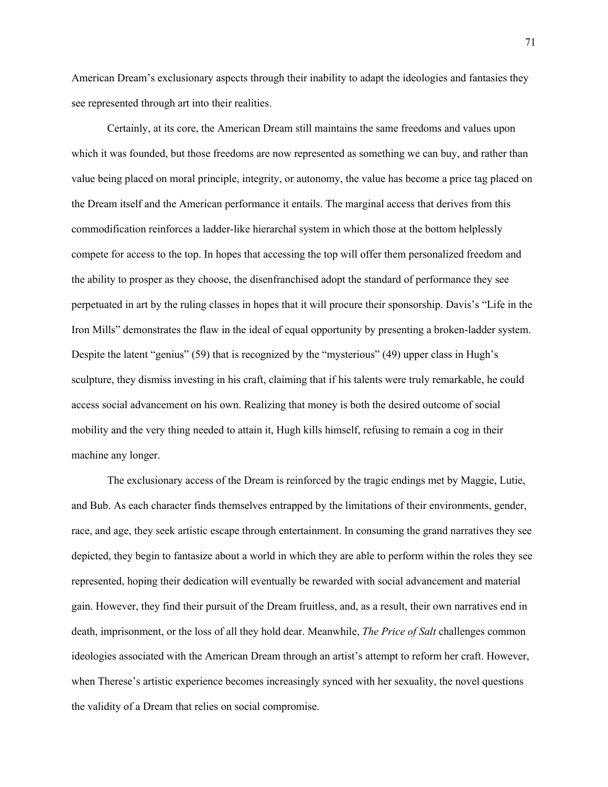American Dream's exclusionary aspects through their inability to adapt the ideologies and fantasies they see represented through art into their realities.

Certainly, at its core, the American Dream still maintains the same freedoms and values upon which it was founded, but those freedoms are now represented as something we can buy, and rather than value being placed on moral principle, integrity, or autonomy, the value has become a price tag placed on the Dream itself and the American performance it entails. The marginal access that derives from this commodification reinforces a ladder-like hierarchal system in which those at the bottom helplessly compete for access to the top. In hopes that accessing the top will offer them personalized freedom and the ability to prosper as they choose, the disenfranchised adopt the standard of performance they see perpetuated in art by the ruling classes in hopes that it will procure their sponsorship. Davis's "Life in the Iron Mills" demonstrates the flaw in the ideal of equal opportunity by presenting a broken-ladder system. Despite the latent "genius" (59) that is recognized by the "mysterious" (49) upper class in Hugh's sculpture, they dismiss investing in his craft, claiming that if his talents were truly remarkable, he could access social advancement on his own. Realizing that money is both the desired outcome of social mobility and the very thing needed to attain it, Hugh kills himself, refusing to remain a cog in their machine any longer.

The exclusionary access of the Dream is reinforced by the tragic endings met by Maggie, Lutie, and Bub. As each character finds themselves entrapped by the limitations of their environments, gender, race, and age, they seek artistic escape through entertainment. In consuming the grand narratives they see depicted, they begin to fantasize about a world in which they are able to perform within the roles they see represented, hoping their dedication will eventually be rewarded with social advancement and material gain. However, they find their pursuit of the Dream fruitless, and, as a result, their own narratives end in death, imprisonment, or the loss of all they hold dear. Meanwhile, *The Price of Salt* challenges common ideologies associated with the American Dream through an artist's attempt to reform her craft. However, when Therese's artistic experience becomes increasingly synced with her sexuality, the novel questions the validity of a Dream that relies on social compromise.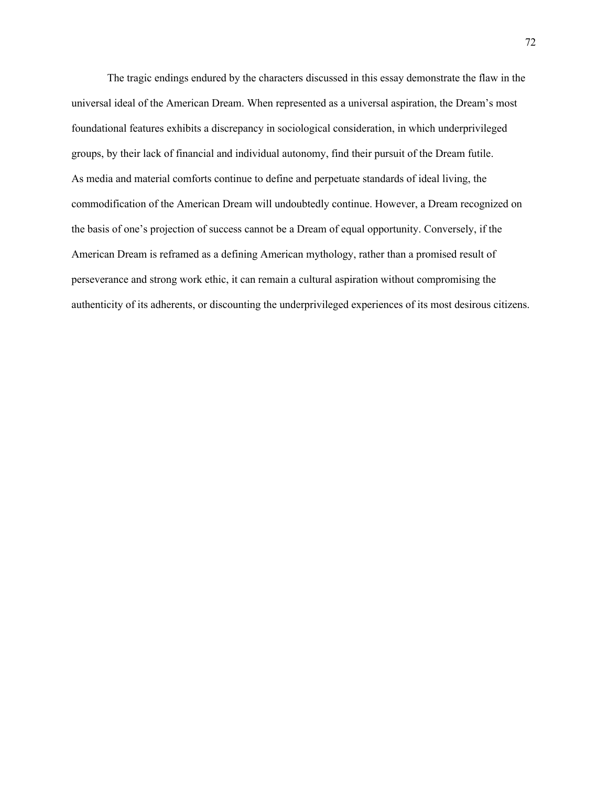The tragic endings endured by the characters discussed in this essay demonstrate the flaw in the universal ideal of the American Dream. When represented as a universal aspiration, the Dream's most foundational features exhibits a discrepancy in sociological consideration, in which underprivileged groups, by their lack of financial and individual autonomy, find their pursuit of the Dream futile. As media and material comforts continue to define and perpetuate standards of ideal living, the commodification of the American Dream will undoubtedly continue. However, a Dream recognized on the basis of one's projection of success cannot be a Dream of equal opportunity. Conversely, if the American Dream is reframed as a defining American mythology, rather than a promised result of perseverance and strong work ethic, it can remain a cultural aspiration without compromising the authenticity of its adherents, or discounting the underprivileged experiences of its most desirous citizens.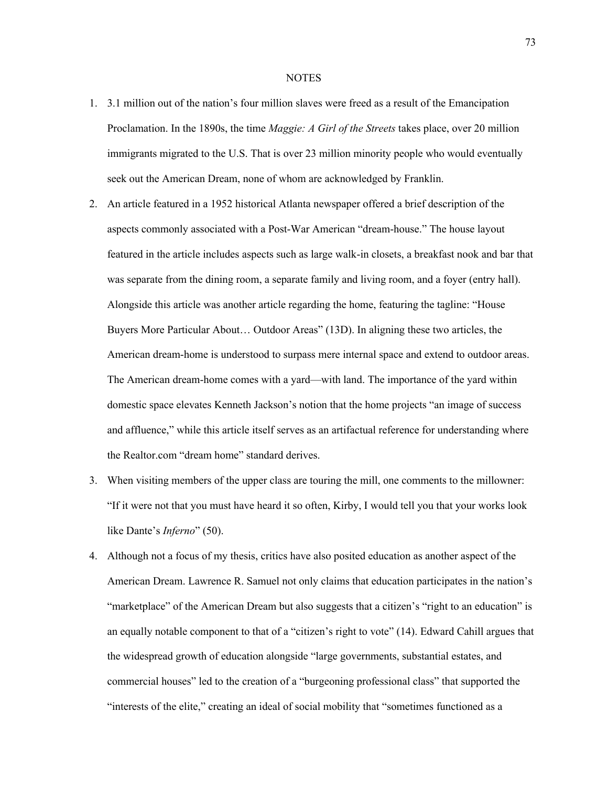## **NOTES**

- 1. 3.1 million out of the nation's four million slaves were freed as a result of the Emancipation Proclamation. In the 1890s, the time *Maggie: A Girl of the Streets* takes place, over 20 million immigrants migrated to the U.S. That is over 23 million minority people who would eventually seek out the American Dream, none of whom are acknowledged by Franklin.
- 2. An article featured in a 1952 historical Atlanta newspaper offered a brief description of the aspects commonly associated with a Post-War American "dream-house." The house layout featured in the article includes aspects such as large walk-in closets, a breakfast nook and bar that was separate from the dining room, a separate family and living room, and a foyer (entry hall). Alongside this article was another article regarding the home, featuring the tagline: "House Buyers More Particular About… Outdoor Areas" (13D). In aligning these two articles, the American dream-home is understood to surpass mere internal space and extend to outdoor areas. The American dream-home comes with a yard—with land. The importance of the yard within domestic space elevates Kenneth Jackson's notion that the home projects "an image of success and affluence," while this article itself serves as an artifactual reference for understanding where the Realtor.com "dream home" standard derives.
- 3. When visiting members of the upper class are touring the mill, one comments to the millowner: "If it were not that you must have heard it so often, Kirby, I would tell you that your works look like Dante's *Inferno*" (50).
- 4. Although not a focus of my thesis, critics have also posited education as another aspect of the American Dream. Lawrence R. Samuel not only claims that education participates in the nation's "marketplace" of the American Dream but also suggests that a citizen's "right to an education" is an equally notable component to that of a "citizen's right to vote" (14). Edward Cahill argues that the widespread growth of education alongside "large governments, substantial estates, and commercial houses" led to the creation of a "burgeoning professional class" that supported the "interests of the elite," creating an ideal of social mobility that "sometimes functioned as a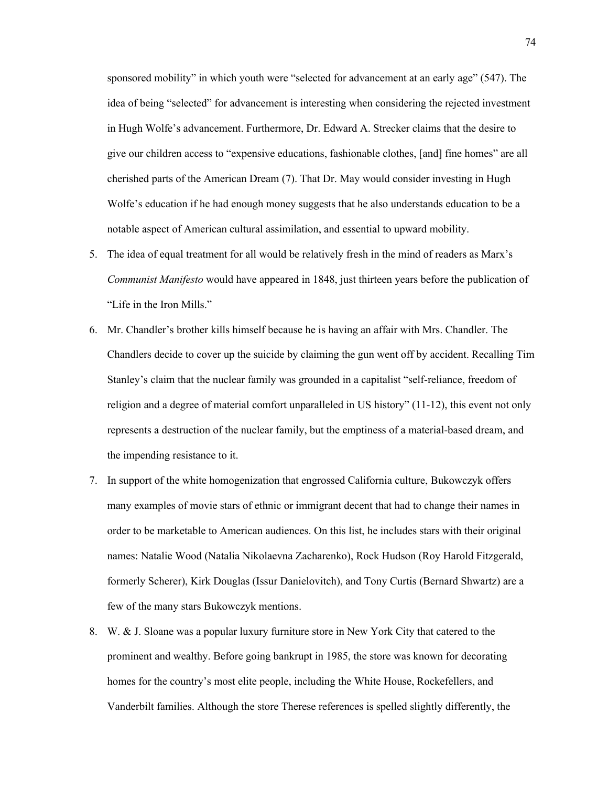sponsored mobility" in which youth were "selected for advancement at an early age" (547). The idea of being "selected" for advancement is interesting when considering the rejected investment in Hugh Wolfe's advancement. Furthermore, Dr. Edward A. Strecker claims that the desire to give our children access to "expensive educations, fashionable clothes, [and] fine homes" are all cherished parts of the American Dream (7). That Dr. May would consider investing in Hugh Wolfe's education if he had enough money suggests that he also understands education to be a notable aspect of American cultural assimilation, and essential to upward mobility.

- 5. The idea of equal treatment for all would be relatively fresh in the mind of readers as Marx's *Communist Manifesto* would have appeared in 1848, just thirteen years before the publication of "Life in the Iron Mills."
- 6. Mr. Chandler's brother kills himself because he is having an affair with Mrs. Chandler. The Chandlers decide to cover up the suicide by claiming the gun went off by accident. Recalling Tim Stanley's claim that the nuclear family was grounded in a capitalist "self-reliance, freedom of religion and a degree of material comfort unparalleled in US history" (11-12), this event not only represents a destruction of the nuclear family, but the emptiness of a material-based dream, and the impending resistance to it.
- 7. In support of the white homogenization that engrossed California culture, Bukowczyk offers many examples of movie stars of ethnic or immigrant decent that had to change their names in order to be marketable to American audiences. On this list, he includes stars with their original names: Natalie Wood (Natalia Nikolaevna Zacharenko), Rock Hudson (Roy Harold Fitzgerald, formerly Scherer), Kirk Douglas (Issur Danielovitch), and Tony Curtis (Bernard Shwartz) are a few of the many stars Bukowczyk mentions.
- 8. W. & J. Sloane was a popular luxury furniture store in New York City that catered to the prominent and wealthy. Before going bankrupt in 1985, the store was known for decorating homes for the country's most elite people, including the White House, Rockefellers, and Vanderbilt families. Although the store Therese references is spelled slightly differently, the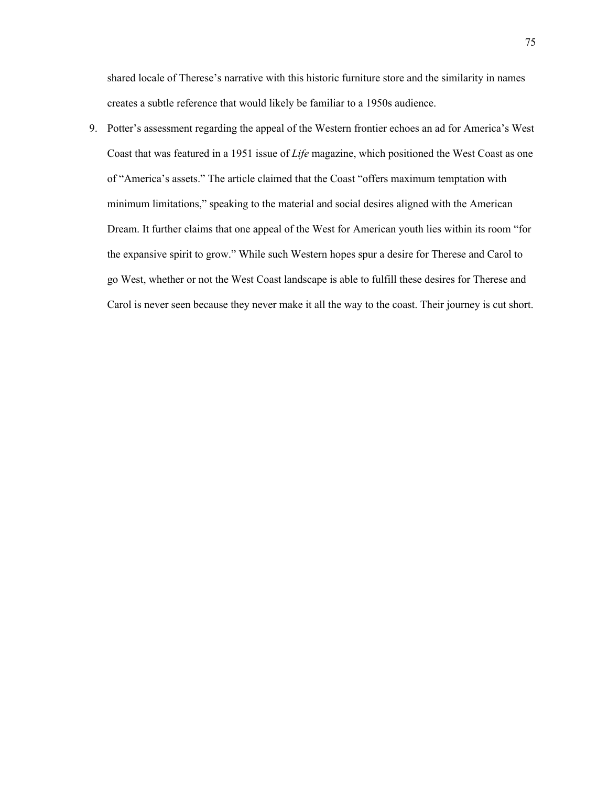shared locale of Therese's narrative with this historic furniture store and the similarity in names creates a subtle reference that would likely be familiar to a 1950s audience.

9. Potter's assessment regarding the appeal of the Western frontier echoes an ad for America's West Coast that was featured in a 1951 issue of *Life* magazine, which positioned the West Coast as one of "America's assets." The article claimed that the Coast "offers maximum temptation with minimum limitations," speaking to the material and social desires aligned with the American Dream. It further claims that one appeal of the West for American youth lies within its room "for the expansive spirit to grow." While such Western hopes spur a desire for Therese and Carol to go West, whether or not the West Coast landscape is able to fulfill these desires for Therese and Carol is never seen because they never make it all the way to the coast. Their journey is cut short.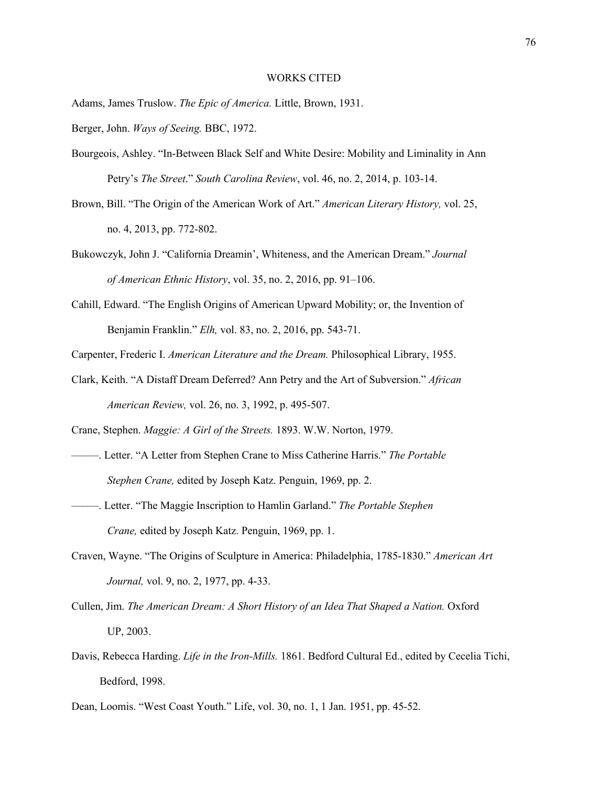## WORKS CITED

Adams, James Truslow. *The Epic of America.* Little, Brown, 1931.

Berger, John. *Ways of Seeing.* BBC, 1972.

- Bourgeois, Ashley. "In-Between Black Self and White Desire: Mobility and Liminality in Ann Petry's *The Street*." *South Carolina Review*, vol. 46, no. 2, 2014, p. 103-14.
- Brown, Bill. "The Origin of the American Work of Art." *American Literary History,* vol. 25, no. 4, 2013, pp. 772-802.
- Bukowczyk, John J. "California Dreamin', Whiteness, and the American Dream." *Journal of American Ethnic History*, vol. 35, no. 2, 2016, pp. 91–106.
- Cahill, Edward. "The English Origins of American Upward Mobility; or, the Invention of Benjamin Franklin." *Elh,* vol. 83, no. 2, 2016, pp. 543-71.

Carpenter, Frederic I. *American Literature and the Dream.* Philosophical Library, 1955.

Clark, Keith. "A Distaff Dream Deferred? Ann Petry and the Art of Subversion." *African American Review,* vol. 26, no. 3, 1992, p. 495-507.

Crane, Stephen. *Maggie: A Girl of the Streets.* 1893. W.W. Norton, 1979.

- —–––. Letter. "A Letter from Stephen Crane to Miss Catherine Harris." *The Portable Stephen Crane,* edited by Joseph Katz. Penguin, 1969, pp. 2.
- —–—. Letter. "The Maggie Inscription to Hamlin Garland." *The Portable Stephen Crane,* edited by Joseph Katz. Penguin, 1969, pp. 1.
- Craven, Wayne. "The Origins of Sculpture in America: Philadelphia, 1785-1830." *American Art Journal,* vol. 9, no. 2, 1977, pp. 4-33.
- Cullen, Jim. *The American Dream: A Short History of an Idea That Shaped a Nation.* Oxford UP, 2003.
- Davis, Rebecca Harding. *Life in the Iron-Mills.* 1861. Bedford Cultural Ed., edited by Cecelia Tichi, Bedford, 1998.

Dean, Loomis. "West Coast Youth." Life, vol. 30, no. 1, 1 Jan. 1951, pp. 45-52.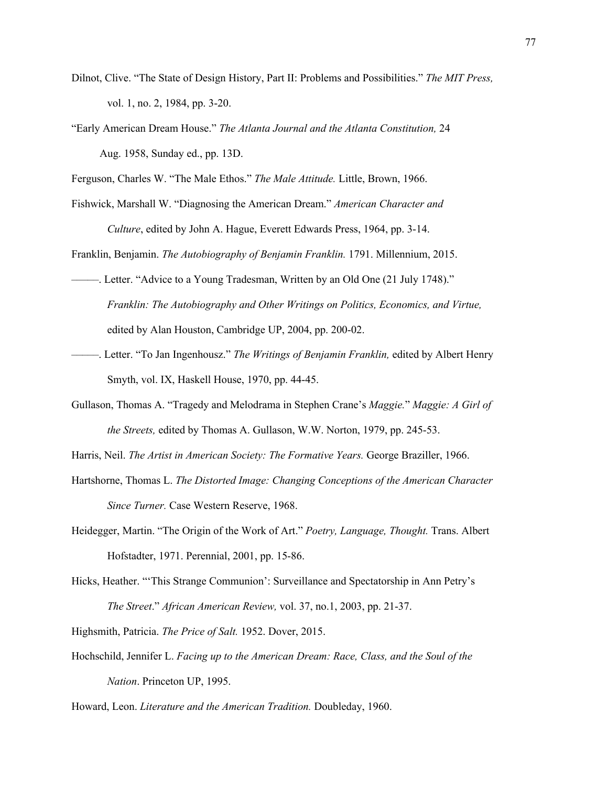- Dilnot, Clive. "The State of Design History, Part II: Problems and Possibilities." *The MIT Press,*  vol. 1, no. 2, 1984, pp. 3-20.
- "Early American Dream House." *The Atlanta Journal and the Atlanta Constitution,* 24 Aug. 1958, Sunday ed., pp. 13D.

Ferguson, Charles W. "The Male Ethos." *The Male Attitude.* Little, Brown, 1966.

Fishwick, Marshall W. "Diagnosing the American Dream." *American Character and Culture*, edited by John A. Hague, Everett Edwards Press, 1964, pp. 3-14.

Franklin, Benjamin. *The Autobiography of Benjamin Franklin.* 1791. Millennium, 2015.

- –—––. Letter. "Advice to a Young Tradesman, Written by an Old One (21 July 1748)." *Franklin: The Autobiography and Other Writings on Politics, Economics, and Virtue,* edited by Alan Houston, Cambridge UP, 2004, pp. 200-02.
- –––––. Letter. "To Jan Ingenhousz." *The Writings of Benjamin Franklin,* edited by Albert Henry Smyth, vol. IX, Haskell House, 1970, pp. 44-45.
- Gullason, Thomas A. "Tragedy and Melodrama in Stephen Crane's *Maggie.*" *Maggie: A Girl of the Streets,* edited by Thomas A. Gullason, W.W. Norton, 1979, pp. 245-53.
- Harris, Neil. *The Artist in American Society: The Formative Years.* George Braziller, 1966.
- Hartshorne, Thomas L. *The Distorted Image: Changing Conceptions of the American Character Since Turner.* Case Western Reserve, 1968.
- Heidegger, Martin. "The Origin of the Work of Art." *Poetry, Language, Thought.* Trans. Albert Hofstadter, 1971. Perennial, 2001, pp. 15-86.
- Hicks, Heather. "'This Strange Communion': Surveillance and Spectatorship in Ann Petry's *The Street*." *African American Review,* vol. 37, no.1, 2003, pp. 21-37.

Highsmith, Patricia. *The Price of Salt.* 1952. Dover, 2015.

Hochschild, Jennifer L. *Facing up to the American Dream: Race, Class, and the Soul of the Nation*. Princeton UP, 1995.

Howard, Leon. *Literature and the American Tradition.* Doubleday, 1960.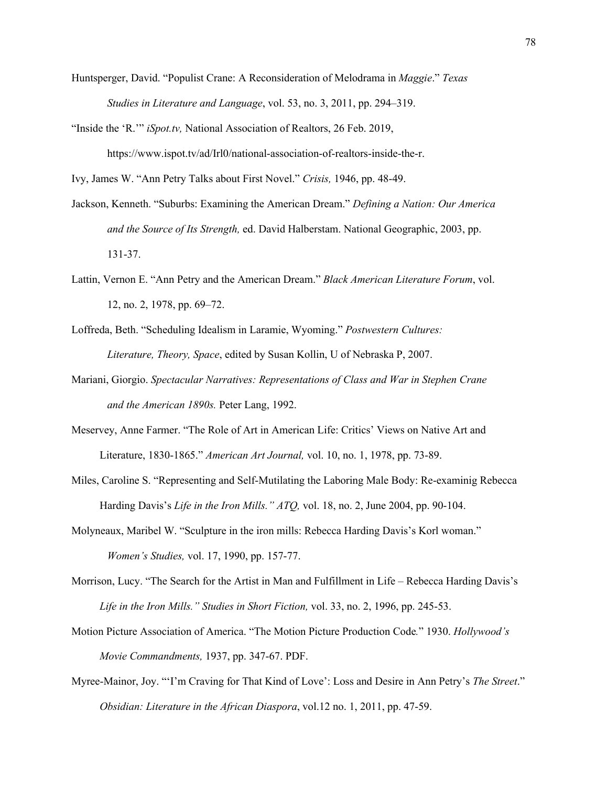- Huntsperger, David. "Populist Crane: A Reconsideration of Melodrama in *Maggie*." *Texas Studies in Literature and Language*, vol. 53, no. 3, 2011, pp. 294–319.
- "Inside the 'R.'" *iSpot.tv,* National Association of Realtors, 26 Feb. 2019, https://www.ispot.tv/ad/Irl0/national-association-of-realtors-inside-the-r.

Ivy, James W. "Ann Petry Talks about First Novel." *Crisis,* 1946, pp. 48-49.

- Jackson, Kenneth. "Suburbs: Examining the American Dream." *Defining a Nation: Our America and the Source of Its Strength,* ed. David Halberstam. National Geographic, 2003, pp. 131-37.
- Lattin, Vernon E. "Ann Petry and the American Dream." *Black American Literature Forum*, vol. 12, no. 2, 1978, pp. 69–72.
- Loffreda, Beth. "Scheduling Idealism in Laramie, Wyoming." *Postwestern Cultures: Literature, Theory, Space*, edited by Susan Kollin, U of Nebraska P, 2007.
- Mariani, Giorgio. *Spectacular Narratives: Representations of Class and War in Stephen Crane and the American 1890s.* Peter Lang, 1992.
- Meservey, Anne Farmer. "The Role of Art in American Life: Critics' Views on Native Art and Literature, 1830-1865." *American Art Journal,* vol. 10, no. 1, 1978, pp. 73-89.
- Miles, Caroline S. "Representing and Self-Mutilating the Laboring Male Body: Re-examinig Rebecca Harding Davis's *Life in the Iron Mills." ATQ,* vol. 18, no. 2, June 2004, pp. 90-104.
- Molyneaux, Maribel W. "Sculpture in the iron mills: Rebecca Harding Davis's Korl woman." *Women's Studies,* vol. 17, 1990, pp. 157-77.
- Morrison, Lucy. "The Search for the Artist in Man and Fulfillment in Life Rebecca Harding Davis's *Life in the Iron Mills." Studies in Short Fiction,* vol. 33, no. 2, 1996, pp. 245-53.
- Motion Picture Association of America. "The Motion Picture Production Code*.*" 1930. *Hollywood's Movie Commandments,* 1937, pp. 347-67. PDF.
- Myree-Mainor, Joy. "'I'm Craving for That Kind of Love': Loss and Desire in Ann Petry's *The Street*." *Obsidian: Literature in the African Diaspora*, vol.12 no. 1, 2011, pp. 47-59.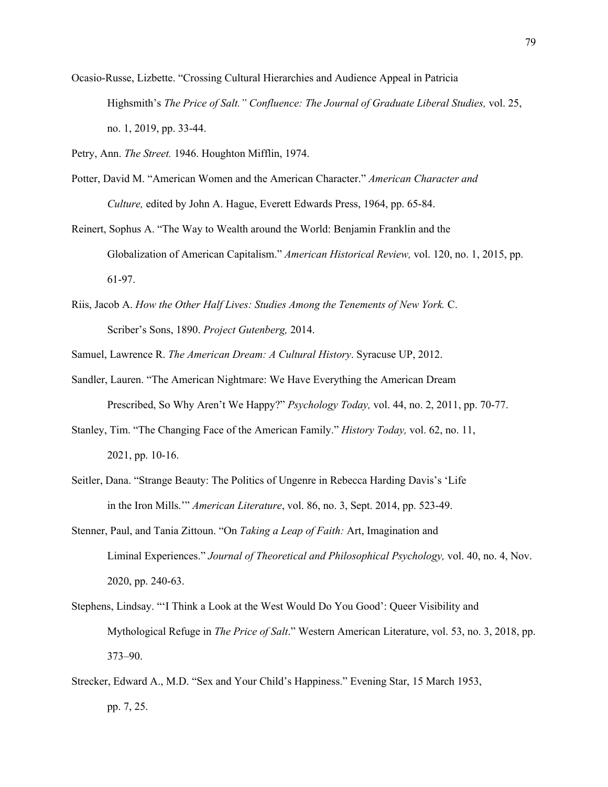Ocasio-Russe, Lizbette. "Crossing Cultural Hierarchies and Audience Appeal in Patricia Highsmith's *The Price of Salt." Confluence: The Journal of Graduate Liberal Studies,* vol. 25, no. 1, 2019, pp. 33-44.

Petry, Ann. *The Street.* 1946. Houghton Mifflin, 1974.

- Potter, David M. "American Women and the American Character." *American Character and Culture,* edited by John A. Hague, Everett Edwards Press, 1964, pp. 65-84.
- Reinert, Sophus A. "The Way to Wealth around the World: Benjamin Franklin and the Globalization of American Capitalism." *American Historical Review,* vol. 120, no. 1, 2015, pp. 61-97.
- Riis, Jacob A. *How the Other Half Lives: Studies Among the Tenements of New York.* C. Scriber's Sons, 1890. *Project Gutenberg,* 2014.
- Samuel, Lawrence R. *The American Dream: A Cultural History*. Syracuse UP, 2012.
- Sandler, Lauren. "The American Nightmare: We Have Everything the American Dream Prescribed, So Why Aren't We Happy?" *Psychology Today,* vol. 44, no. 2, 2011, pp. 70-77.
- Stanley, Tim. "The Changing Face of the American Family." *History Today,* vol. 62, no. 11, 2021, pp. 10-16.
- Seitler, Dana. "Strange Beauty: The Politics of Ungenre in Rebecca Harding Davis's 'Life in the Iron Mills.'" *American Literature*, vol. 86, no. 3, Sept. 2014, pp. 523-49.
- Stenner, Paul, and Tania Zittoun. "On *Taking a Leap of Faith:* Art, Imagination and Liminal Experiences." *Journal of Theoretical and Philosophical Psychology,* vol. 40, no. 4, Nov. 2020, pp. 240-63.
- Stephens, Lindsay. "'I Think a Look at the West Would Do You Good': Queer Visibility and Mythological Refuge in *The Price of Salt*." Western American Literature, vol. 53, no. 3, 2018, pp. 373–90.
- Strecker, Edward A., M.D. "Sex and Your Child's Happiness." Evening Star, 15 March 1953, pp. 7, 25.